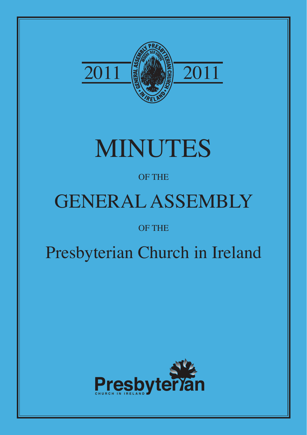

# MINUTES

## OF THE

# GENERAL ASSEMBLY

## OF THE

## Presbyterian Church in Ireland

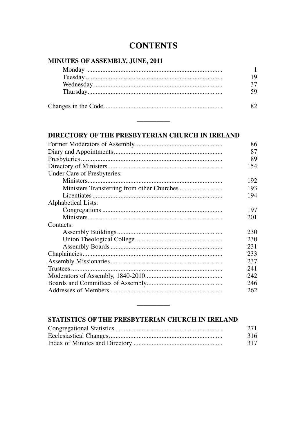### **CONTENTS**

#### MINUTES OF ASSEMBLY, JUNE, 2011

| ١Q |
|----|
|    |
|    |
|    |

#### DIRECTORY OF THE PRESBYTERIAN CHURCH IN IRELAND

|                             | 86  |
|-----------------------------|-----|
|                             | 87  |
|                             | 89  |
|                             | 154 |
| Under Care of Presbyteries: |     |
|                             | 192 |
|                             | 193 |
|                             | 194 |
| Alphabetical Lists:         |     |
|                             | 197 |
|                             | 201 |
| Contacts:                   |     |
|                             | 230 |
|                             | 230 |
|                             | 231 |
|                             | 233 |
|                             | 237 |
|                             | 241 |
|                             | 242 |
|                             | 246 |
|                             | 262 |
|                             |     |

#### STATISTICS OF THE PRESBYTERIAN CHURCH IN IRELAND

| 271 |
|-----|
| 316 |
| 317 |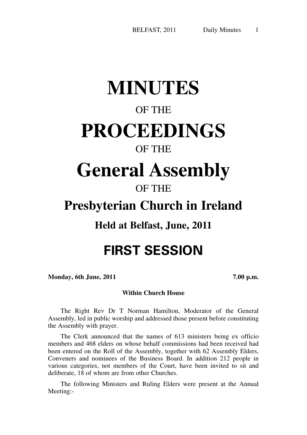1

## **MINUTES**

## OF THE

## **PROCEEDINGS**

### OF THE

## **General Assembly**

## OF THE

## **Presbyterian Church in Ireland**

## **Held at Belfast, June, 2011**

## **FIRST SESSION**

**Monday, 6th June, 2011 7.00 p.m.**

#### **Within Church House**

The Right Rev Dr T Norman Hamilton, Moderator of the General Assembly, led in public worship and addressed those present before constituting the Assembly with prayer.

The Clerk announced that the names of 613 ministers being ex officio members and 468 elders on whose behalf commissions had been received had been entered on the Roll of the Assembly, together with 62 Assembly Elders, Conveners and nominees of the Business Board. In addition 212 people in various categories, not members of the Court, have been invited to sit and deliberate, 18 of whom are from other Churches.

The following Ministers and Ruling Elders were present at the Annual Meeting:-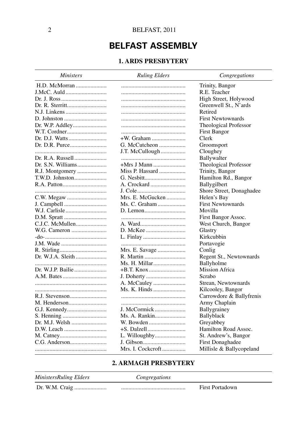### **BELFAST ASSEMBLY**

#### **1. ARDS PRESBYTERY**

| H.D. McMorran<br>Trinity, Bangor<br>R.E. Teacher<br>High Street, Holywood<br>Greenwell St., N'ards<br>Retired<br><b>First Newtownards</b><br>Theological Professor<br>First Bangor<br>Dr. D.J. Watts<br>+W. Graham<br>Clerk<br>G. McCutcheon<br>Groomsport<br>J.T. McCullough<br>Cloughey<br>Dr. R.A. Russell<br>Ballywalter<br>+Mrs J Mann<br>Theological Professor<br>Miss P. Hassard<br>Trinity, Bangor<br>Hamilton Rd., Bangor<br>Ballygilbert<br>Shore Street, Donaghadee<br>Mrs. E. McGucken<br>Helen's Bay<br><b>First Newtownards</b><br>Ms. C. Graham<br>Movilla<br>First Bangor Assoc.<br>C.J.C. McMullen<br>West Church, Bangor<br>Glastry<br>Kirkcubbin<br>Portavogie<br>Mrs. E. Savage<br>Conlig | <b>Ministers</b>  | <b>Ruling Elders</b> | Congregations           |
|---------------------------------------------------------------------------------------------------------------------------------------------------------------------------------------------------------------------------------------------------------------------------------------------------------------------------------------------------------------------------------------------------------------------------------------------------------------------------------------------------------------------------------------------------------------------------------------------------------------------------------------------------------------------------------------------------------------|-------------------|----------------------|-------------------------|
|                                                                                                                                                                                                                                                                                                                                                                                                                                                                                                                                                                                                                                                                                                               |                   |                      |                         |
|                                                                                                                                                                                                                                                                                                                                                                                                                                                                                                                                                                                                                                                                                                               |                   |                      |                         |
|                                                                                                                                                                                                                                                                                                                                                                                                                                                                                                                                                                                                                                                                                                               |                   |                      |                         |
|                                                                                                                                                                                                                                                                                                                                                                                                                                                                                                                                                                                                                                                                                                               |                   |                      |                         |
|                                                                                                                                                                                                                                                                                                                                                                                                                                                                                                                                                                                                                                                                                                               |                   |                      |                         |
|                                                                                                                                                                                                                                                                                                                                                                                                                                                                                                                                                                                                                                                                                                               |                   |                      |                         |
|                                                                                                                                                                                                                                                                                                                                                                                                                                                                                                                                                                                                                                                                                                               |                   |                      |                         |
|                                                                                                                                                                                                                                                                                                                                                                                                                                                                                                                                                                                                                                                                                                               |                   |                      |                         |
|                                                                                                                                                                                                                                                                                                                                                                                                                                                                                                                                                                                                                                                                                                               |                   |                      |                         |
|                                                                                                                                                                                                                                                                                                                                                                                                                                                                                                                                                                                                                                                                                                               |                   |                      |                         |
|                                                                                                                                                                                                                                                                                                                                                                                                                                                                                                                                                                                                                                                                                                               |                   |                      |                         |
|                                                                                                                                                                                                                                                                                                                                                                                                                                                                                                                                                                                                                                                                                                               |                   |                      |                         |
|                                                                                                                                                                                                                                                                                                                                                                                                                                                                                                                                                                                                                                                                                                               |                   |                      |                         |
|                                                                                                                                                                                                                                                                                                                                                                                                                                                                                                                                                                                                                                                                                                               |                   |                      |                         |
|                                                                                                                                                                                                                                                                                                                                                                                                                                                                                                                                                                                                                                                                                                               |                   |                      |                         |
|                                                                                                                                                                                                                                                                                                                                                                                                                                                                                                                                                                                                                                                                                                               |                   |                      |                         |
|                                                                                                                                                                                                                                                                                                                                                                                                                                                                                                                                                                                                                                                                                                               |                   |                      |                         |
|                                                                                                                                                                                                                                                                                                                                                                                                                                                                                                                                                                                                                                                                                                               |                   |                      |                         |
|                                                                                                                                                                                                                                                                                                                                                                                                                                                                                                                                                                                                                                                                                                               |                   |                      |                         |
|                                                                                                                                                                                                                                                                                                                                                                                                                                                                                                                                                                                                                                                                                                               |                   |                      |                         |
|                                                                                                                                                                                                                                                                                                                                                                                                                                                                                                                                                                                                                                                                                                               |                   |                      |                         |
|                                                                                                                                                                                                                                                                                                                                                                                                                                                                                                                                                                                                                                                                                                               |                   |                      |                         |
|                                                                                                                                                                                                                                                                                                                                                                                                                                                                                                                                                                                                                                                                                                               |                   |                      |                         |
|                                                                                                                                                                                                                                                                                                                                                                                                                                                                                                                                                                                                                                                                                                               |                   |                      |                         |
|                                                                                                                                                                                                                                                                                                                                                                                                                                                                                                                                                                                                                                                                                                               |                   |                      |                         |
|                                                                                                                                                                                                                                                                                                                                                                                                                                                                                                                                                                                                                                                                                                               |                   |                      |                         |
|                                                                                                                                                                                                                                                                                                                                                                                                                                                                                                                                                                                                                                                                                                               | Dr. W.J.A. Sleith |                      | Regent St., Newtownards |
| Ms. H. Millar<br>Ballyholme                                                                                                                                                                                                                                                                                                                                                                                                                                                                                                                                                                                                                                                                                   |                   |                      |                         |
| <b>Mission Africa</b>                                                                                                                                                                                                                                                                                                                                                                                                                                                                                                                                                                                                                                                                                         |                   |                      |                         |
| Scrabo                                                                                                                                                                                                                                                                                                                                                                                                                                                                                                                                                                                                                                                                                                        |                   |                      |                         |
| A. McCauley<br>Strean, Newtownards                                                                                                                                                                                                                                                                                                                                                                                                                                                                                                                                                                                                                                                                            |                   |                      |                         |
| Ms. K. Hinds<br>Kilcooley, Bangor                                                                                                                                                                                                                                                                                                                                                                                                                                                                                                                                                                                                                                                                             |                   |                      |                         |
| Carrowdore & Ballyfrenis                                                                                                                                                                                                                                                                                                                                                                                                                                                                                                                                                                                                                                                                                      |                   |                      |                         |
| Army Chaplain                                                                                                                                                                                                                                                                                                                                                                                                                                                                                                                                                                                                                                                                                                 |                   |                      |                         |
| J. McCormick<br>Ballygrainey                                                                                                                                                                                                                                                                                                                                                                                                                                                                                                                                                                                                                                                                                  |                   |                      |                         |
| Ms. A. Rankin<br>Ballyblack                                                                                                                                                                                                                                                                                                                                                                                                                                                                                                                                                                                                                                                                                   |                   |                      |                         |
| Dr. M.J. Welsh<br>W. Bowden<br>Greyabbey                                                                                                                                                                                                                                                                                                                                                                                                                                                                                                                                                                                                                                                                      |                   |                      |                         |
| D.W. Leach<br>Hamilton Road Assoc.                                                                                                                                                                                                                                                                                                                                                                                                                                                                                                                                                                                                                                                                            |                   |                      |                         |
| L. Willoughby<br>St. Andrew's, Bangor                                                                                                                                                                                                                                                                                                                                                                                                                                                                                                                                                                                                                                                                         |                   |                      |                         |
| <b>First Donaghadee</b>                                                                                                                                                                                                                                                                                                                                                                                                                                                                                                                                                                                                                                                                                       |                   |                      |                         |
| Mrs. I. Cockcroft<br>Millisle & Ballycopeland                                                                                                                                                                                                                                                                                                                                                                                                                                                                                                                                                                                                                                                                 |                   |                      |                         |

#### **2. ARMAGH PRESBYTERY**

*Ministers Ruling Elders Congregations*

Dr. W.M. Craig ...................... ............................................ First Portadown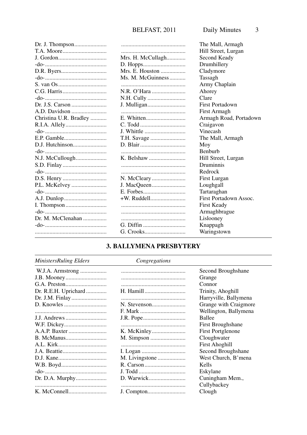|                        |                   | The Mall, Armagh       |
|------------------------|-------------------|------------------------|
|                        |                   | Hill Street, Lurgan    |
|                        | Mrs. H. McCullagh | Second Keady           |
|                        |                   | Drumhillery            |
|                        | Mrs. E. Houston   | Cladymore              |
|                        | Ms. M. McGuinness | Tassagh                |
|                        |                   | Army Chaplain          |
|                        |                   | Ahorey                 |
|                        |                   | Clare                  |
|                        |                   | <b>First Portadown</b> |
|                        |                   | First Armagh           |
| Christina U.R. Bradley |                   | Armagh Road, Portadown |
|                        |                   | Craigavon              |
|                        | J. Whittle        | Vinecash               |
| F.P. Gamble            | T.H. Savage       | The Mall, Armagh       |
|                        |                   | Moy                    |
|                        |                   | <b>Benburb</b>         |
|                        |                   | Hill Street, Lurgan    |
|                        |                   | Druminnis              |
|                        |                   | Redrock                |
|                        |                   | First Lurgan           |
| P.L. McKelvey          |                   | Loughgall              |
|                        |                   | Tartaraghan            |
|                        |                   | First Portadown Assoc. |
|                        |                   | First Keady            |
|                        |                   | Armaghbrague           |
| Dr. M. McClenahan      |                   | Lislooney              |
|                        | G. Diffin         | Knappagh               |
|                        |                   | Waringstown            |
|                        |                   |                        |

### 3. BALLYMENA PRESBYTERY

#### MinistersRuling Elders

#### $Congregations$

| W.J.A. Armstrong     |                | Second Broughshane       |
|----------------------|----------------|--------------------------|
|                      |                | Grange                   |
|                      |                | Connor                   |
| Dr. R.E.H. Uprichard |                | Trinity, Ahoghill        |
| Dr. J.M. Finlay      |                | Harryville, Ballymena    |
|                      |                | Grange with Craigmore    |
|                      | F. Mark        | Wellington, Ballymena    |
|                      |                | Ballee                   |
|                      |                | First Broughshane        |
|                      |                | <b>First Portglenone</b> |
|                      |                | Cloughwater              |
|                      |                | <b>First Ahoghill</b>    |
|                      |                | Second Broughshane       |
|                      | M. Livingstone | West Church, B'mena      |
|                      |                | Kells                    |
|                      |                | Eskylane                 |
| Dr. D.A. Murphy      |                | Cuningham Mem.,          |
|                      |                | Cullybackey              |
|                      |                | Clough                   |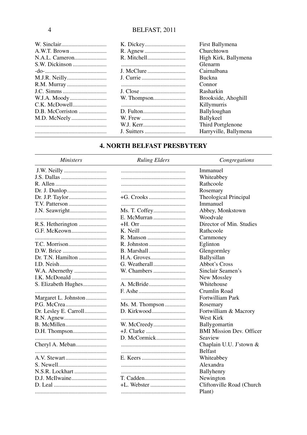|                  | First Ballymena       |
|------------------|-----------------------|
|                  | Churchtown            |
| N.A.L. Cameron   | High Kirk, Ballymena  |
| S.W. Dickinson   | Glenarm               |
|                  | Cairnalbana           |
|                  | <b>Buckna</b>         |
| R.M. Murray      | Connor                |
|                  | Rasharkin             |
|                  | Brookside, Ahoghill   |
|                  | Killymurris           |
| D.B. McCorriston | <b>Ballyloughan</b>   |
|                  | <b>Ballykeel</b>      |
|                  | Third Portglenone     |
|                  | Harryville, Ballymena |

#### **4. NORTH BELFAST PRESBYTERY**

#### Ministers

#### **Ruling Elders**

 $Congregations$ 

|                       |                 | Immanuel                        |
|-----------------------|-----------------|---------------------------------|
|                       |                 | Whiteabbey                      |
|                       |                 | Rathcoole                       |
|                       |                 | Rosemary                        |
|                       | +G. Crooks      | <b>Theological Principal</b>    |
|                       |                 | Immanuel                        |
|                       | Ms. T. Coffey   | Abbey, Monkstown                |
|                       | E. McMurran     | Woodvale                        |
|                       |                 | Director of Min. Studies        |
|                       |                 | Rathcoole                       |
|                       |                 | Carnmoney                       |
|                       | R. Johnston     | Eglinton                        |
|                       |                 | Glengormley                     |
| Dr. T.N. Hamilton     |                 | Ballysillan                     |
|                       | G. Weatherall   | Abbot's Cross                   |
|                       | W. Chambers     | Sinclair Seamen's               |
|                       |                 | New Mossley                     |
|                       |                 | Whitehouse                      |
|                       |                 | Crumlin Road                    |
| Margaret L. Johnston  |                 | Fortwilliam Park                |
|                       | Ms. M. Thompson | Rosemary                        |
| Dr. Lesley E. Carroll | D. Kirkwood     | Fortwilliam & Macrory           |
|                       |                 | West Kirk                       |
| B. McMillen           |                 | Ballygomartin                   |
| D.H. Thompson         |                 | <b>BMI Mission Dev. Officer</b> |
|                       | D. McCormick    | Seaview                         |
|                       |                 | Chaplain U.U. J'stown &         |
|                       |                 | <b>Belfast</b>                  |
|                       |                 | Whiteabbey                      |
|                       |                 | Alexandra                       |
| N.S.R. Lockhart       |                 | Ballyhenry                      |
|                       | T. Cadden       | Newington                       |
|                       |                 | Cliftonville Road (Church       |
|                       |                 | Plant)                          |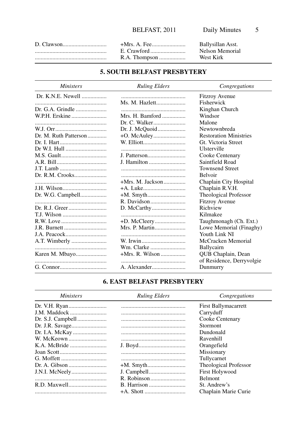|               | Ballysillan Asst. |
|---------------|-------------------|
|               | Nelson Memorial   |
| R.A. Thompson | West Kirk         |

#### **5. SOUTH BELFAST PRESBYTERY**

| <i>Ministers</i>      | <b>Ruling Elders</b> | Congregations                 |
|-----------------------|----------------------|-------------------------------|
| Dr. K.N.E. Newell     |                      | <b>Fitzroy Avenue</b>         |
|                       | Ms. M. Hazlett       | Fisherwick                    |
|                       |                      | Kinghan Church                |
|                       | Mrs. H. Bamford      | Windsor                       |
|                       |                      | Malone                        |
|                       |                      | Newtownbreda                  |
| Dr. M. Ruth Patterson |                      | <b>Restoration Ministries</b> |
|                       |                      | Gt. Victoria Street           |
|                       |                      | Ulsterville                   |
|                       |                      | Cooke Centenary               |
|                       | J. Hamilton          | Saintfield Road               |
|                       |                      | <b>Townsend Street</b>        |
|                       |                      | <b>Belvoir</b>                |
|                       | $+Mrs$ . M. Jackson  | Chaplain City Hospital        |
|                       |                      | Chaplain R.V.H.               |
| Dr. W.G. Campbell     | +M. Smyth            | Theological Professor         |
|                       |                      | <b>Fitzroy Avenue</b>         |
|                       |                      | Richview                      |
|                       |                      | Kilmakee                      |
|                       |                      | Taughmonagh (Ch. Ext.)        |
|                       | Mrs. P. Martin       | Lowe Memorial (Finaghy)       |
| J.A. Peacock          |                      | Youth Link NI                 |
| A.T. Wimberly         | W. Irwin             | McCracken Memorial            |
|                       | Wm. Clarke           | Ballycairn                    |
| Karen M. Mbayo        |                      | QUB Chaplain, Dean            |
|                       |                      | of Residence, Derryvolgie     |
|                       |                      | Dunmurry                      |

#### **6. EAST BELFAST PRESBYTERY**

| <i>Ministers</i> | <b>Ruling Elders</b> | Congregations               |
|------------------|----------------------|-----------------------------|
|                  |                      | <b>First Ballymacarrett</b> |
|                  |                      | Carryduff                   |
|                  |                      | Cooke Centenary             |
|                  |                      | Stormont                    |
|                  |                      | Dundonald                   |
|                  |                      | Ravenhill                   |
|                  |                      | Orangefield                 |
|                  |                      | Missionary                  |
|                  |                      | Tullycarnet                 |
|                  |                      | Theological Professor       |
|                  |                      | <b>First Holywood</b>       |
|                  |                      | <b>Belmont</b>              |
|                  |                      | St. Andrew's                |
|                  |                      | Chaplain Marie Curie        |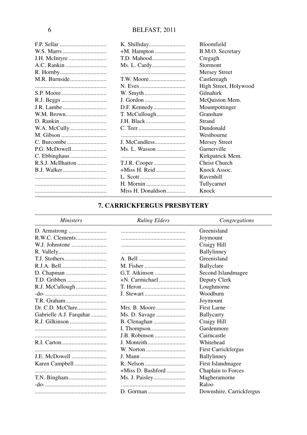|                   |                   | Bloomfield            |
|-------------------|-------------------|-----------------------|
|                   |                   | B.M.O. Secretary      |
|                   |                   | Cregagh               |
|                   | Ms. L. Cardy      | <b>Stormont</b>       |
|                   |                   | <b>Mersey Street</b>  |
|                   |                   | Castlereagh           |
|                   | N. Eves           | High Street, Holywood |
|                   |                   | Gilnahirk             |
|                   | J. Gordon         | McQuiston Mem.        |
| J.R. Lambe        |                   | Mountpottinger        |
|                   |                   | Granshaw              |
|                   | J.H. Black        | Strand                |
|                   |                   | Dundonald             |
|                   |                   | Westbourne            |
|                   | J. McCandless     | <b>Mersey Street</b>  |
|                   | Ms. L. Wasson     | Garnerville           |
| C. Ebbinghaus     |                   | Kirkpatrick Mem.      |
| R.S.J. McIlhatton | T.J.R. Cooper     | Christ Church         |
|                   | +Miss H. Reid     | Knock Assoc.          |
|                   |                   | Ravenhill             |
|                   | H. Mornin         | Tullycarnet           |
|                   | Miss H. Donaldson | Knock                 |

#### **7. CARRICKFERGUS PRESBYTERY**

| <i>Ministers</i>        | <b>Ruling Elders</b> | Congregations              |
|-------------------------|----------------------|----------------------------|
|                         |                      | Greenisland                |
| R.W.C. Clements         |                      | Joymount                   |
| W.J. Johnstone          |                      | Craigy Hill                |
|                         |                      | Ballylinney                |
|                         |                      | Greenisland                |
|                         |                      | Ballyclare                 |
|                         |                      | Second Islandmagee         |
| T.D. Gribben            | $+N$ . Carmichael    | Deputy Clerk               |
| R.J. McCullough         |                      | Loughmorne                 |
|                         | J. Stewart           | Woodburn                   |
|                         |                      | Joymount                   |
|                         | Mrs. B. Moore        | First Larne                |
| Gabrielle A.J. Farquhar | Ms. D. Savage        | Ballycarry                 |
| R.J. Gilkinson          |                      | Craigy Hill                |
|                         |                      | Gardenmore                 |
|                         | <b>J.B. Robinson</b> | Cairncastle                |
|                         | J. Monteith          | Whitehead                  |
|                         | W. Norton            | <b>First Carrickfergus</b> |
| <b>J.E. McDowell</b>    | J. Mann              | Ballylinney                |
| Karen Campbell          |                      | First Islandmagee          |
|                         | $+Miss D.$ Bashford  | Chaplain to Forces         |
|                         |                      | Magheramorne               |
|                         |                      | Raloo                      |
|                         |                      | Downshire, Carrickfergus   |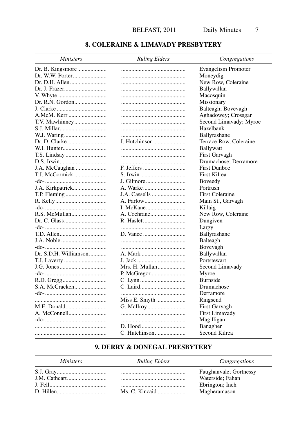#### 8. COLERAINE & LIMAVADY PRESBYTERY

| <i>Ministers</i>      | <b>Ruling Elders</b> | Congregations          |
|-----------------------|----------------------|------------------------|
|                       |                      | Evangelism Promoter    |
|                       |                      | Moneydig               |
|                       |                      | New Row, Coleraine     |
|                       |                      | Ballywillan            |
|                       |                      | Macosquin              |
|                       |                      | Missionary             |
|                       |                      | Balteagh; Bovevagh     |
|                       |                      | Aghadowey; Crossgar    |
|                       |                      | Second Limavady; Myroe |
|                       |                      | Hazelbank              |
|                       |                      | Ballyrashane           |
|                       | J. Hutchinson        | Terrace Row, Coleraine |
|                       |                      | Ballywatt              |
|                       |                      | First Garvagh          |
|                       |                      | Drumachose; Derramore  |
| J.A. McCaughan        | F. Jeffers           | <b>First Dunboe</b>    |
| T.J. McCormick        | S. Irwin             | First Kilrea           |
|                       | J. Gilmore           | Boveedy                |
|                       | A. Warke             | Portrush               |
|                       | J.A. Cassells        | <b>First Coleraine</b> |
|                       |                      | Main St., Garvagh      |
|                       |                      | Killaig                |
| R.S. McMullan         |                      | New Row, Coleraine     |
|                       |                      | Dungiven               |
|                       |                      | Largy                  |
|                       |                      | Ballyrashane           |
|                       |                      | Balteagh               |
|                       |                      | Bovevagh               |
| Dr. S.D.H. Williamson | A. Mark              | Ballywillan            |
|                       | J. Jack              | Portstewart            |
|                       | Mrs. H. Mullan       | Second Limavady        |
|                       |                      | Myroe                  |
|                       |                      | Burnside               |
|                       |                      | Drumachose             |
|                       |                      | Derramore              |
|                       |                      | Ringsend               |
| M.E. Donald           |                      | First Garvagh          |
|                       |                      | First Limavady         |
|                       |                      | Magilligan             |
|                       | D. Hood              | Banagher               |
|                       | C. Hutchinson        | Second Kilrea          |
|                       |                      |                        |

#### 9. DERRY & DONEGAL PRESBYTERY

| <i>Ministers</i> | <b>Ruling Elders</b> | Congregations          |
|------------------|----------------------|------------------------|
|                  |                      | Faughanyale; Gortnessy |
|                  |                      | Waterside: Fahan       |
|                  |                      | Ebrington; Inch        |
|                  |                      | Magheramason           |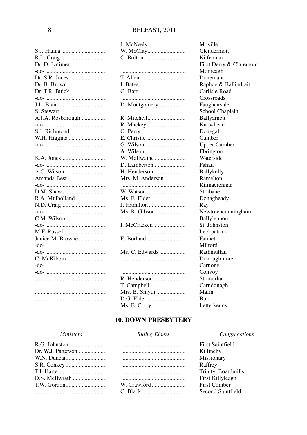|                   | J. McNeely       | Moville                 |
|-------------------|------------------|-------------------------|
|                   |                  | Glendermott             |
|                   |                  | Kilfennan               |
|                   |                  | First Derry & Claremont |
|                   |                  | Monreagh                |
|                   |                  | Donemana                |
|                   |                  | Raphoe & Ballindrait    |
| Dr. T.R. Buick    |                  | Carlisle Road           |
|                   |                  | Crossroads              |
|                   | D. Montgomery    | Faughanvale             |
|                   |                  | School Chaplain         |
| A.J.A. Rosborough |                  | Ballyarnett             |
|                   |                  | Knowhead                |
|                   |                  | Donegal                 |
| W.H. Higgins      |                  | Cumber                  |
|                   |                  | <b>Upper Cumber</b>     |
|                   |                  | Ebrington               |
|                   | W. McIlwaine     | Waterside               |
|                   |                  | Fahan                   |
|                   | H. Henderson     | Ballykelly              |
|                   | Mrs. M. Anderson | Ramelton                |
|                   |                  | Kilmacrennan            |
|                   |                  | Strabane                |
| R.A. Mulholland   |                  | Donagheady              |
|                   | J. Hamilton      | Ray                     |
|                   | Ms. R. Gibson    | Newtowncunningham       |
|                   |                  | Ballylennon             |
|                   | I. McCracken     | St. Johnston            |
|                   |                  | Leckpatrick             |
| Janice M. Browne  |                  | Fannet                  |
|                   |                  | Milford                 |
|                   | Ms. C. Edwards   | Rathmullan              |
| C. McKibbin       |                  | Donoughmore             |
|                   |                  | Carnone                 |
|                   |                  | Convoy                  |
|                   | R. Henderson     | Stranorlar              |
|                   | T. Campbell      | Carndonagh              |
|                   | Mrs. B. Smyth    | Malin                   |
|                   |                  | <b>Burt</b>             |
|                   | Ms. E. Corry     | Letterkenny             |
|                   |                  |                         |

#### **10. DOWN PRESBYTERY**

| <i>Ministers</i> | <b>Ruling Elders</b> | Congregations           |
|------------------|----------------------|-------------------------|
|                  |                      | <b>First Saintfield</b> |
|                  |                      | Killinchy               |
|                  |                      | Missionary              |
|                  |                      | Raffrey                 |
|                  |                      | Trinity, Boardmills     |
|                  |                      | First Killyleagh        |
|                  | W. Crawford          | <b>First Comber</b>     |
|                  |                      | Second Saintfield       |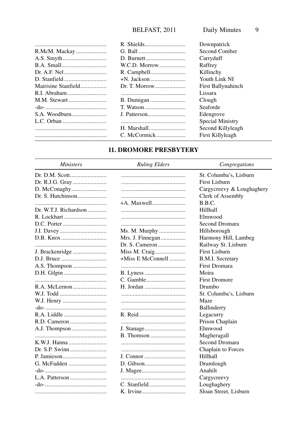|               | Downpatrick        |
|---------------|--------------------|
|               | Second Comber      |
|               | Carryduff          |
| W.C.D. Morrow | Raffrey            |
|               | Killinchy          |
|               | Youth Link NI      |
| Dr. T. Morrow | First Ballynahinch |
|               | Lissara            |
|               | Clough             |
|               | Seaforde           |
|               | Edengrove          |
|               | Special Ministry   |
|               | Second Killyleagh  |
|               | First Killyleagh   |
|               |                    |

#### **11. DROMORE PRESBYTERY**

| <i>Ministers</i>      | <b>Ruling Elders</b> | Congregations             |
|-----------------------|----------------------|---------------------------|
|                       |                      | St. Columba's, Lisburn    |
|                       |                      | <b>First Lisburn</b>      |
| D. McConaghy          |                      | Cargycreevy & Loughaghery |
|                       |                      | Clerk of Assembly         |
|                       | +A. Maxwell          | B.B.C.                    |
| Dr. W.T.J. Richardson |                      | Hillhall                  |
|                       |                      | Elmwood                   |
|                       |                      | Second Dromara            |
|                       | Ms. M. Murphy        | Hillsborough              |
|                       |                      | Harmony Hill, Lambeg      |
|                       |                      | Railway St. Lisburn       |
|                       | Miss M. Craig        | First Lisburn             |
|                       | $+Miss E McConnell$  | <b>B.M.I. Secretary</b>   |
|                       |                      | <b>First Dromara</b>      |
|                       |                      | Moira                     |
|                       |                      | <b>First Dromore</b>      |
|                       |                      | Drumbo                    |
|                       |                      | St. Columba's, Lisburn    |
|                       |                      | Maze                      |
|                       |                      | Ballinderry               |
|                       |                      | Legacurry                 |
|                       |                      | Prison Chaplain           |
|                       |                      | Elmwood                   |
|                       |                      | Magheragall               |
|                       |                      | Second Dromara            |
|                       |                      | Chaplain to Forces        |
|                       |                      | Hillhall                  |
|                       |                      | Drumlough                 |
|                       |                      | Anahilt                   |
|                       |                      | Cargycreevy               |
|                       |                      | Loughaghery               |
|                       |                      | Sloan Street, Lisburn     |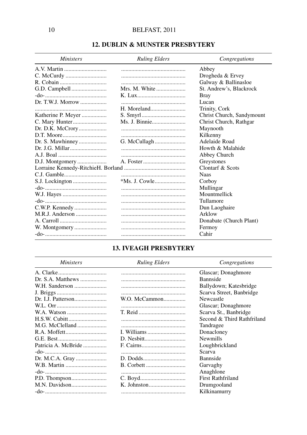#### **12. DUBLIN & MUNSTER PRESBYTERY**

| <i>Ministers</i>   | <b>Ruling Elders</b> | Congregations             |
|--------------------|----------------------|---------------------------|
|                    |                      | Abbey                     |
|                    |                      | Drogheda & Ervey          |
|                    |                      | Galway & Ballinasloe      |
|                    | Mrs. M. White        | St. Andrew's, Blackrock   |
|                    |                      | <b>Bray</b>               |
| Dr. T.W.J. Morrow  |                      | Lucan                     |
|                    | H. Moreland          | Trinity, Cork             |
| Katherine P. Meyer |                      | Christ Church, Sandymount |
| C. Mary Hunter     | Ms. J. Binnie        | Christ Church, Rathgar    |
| Dr. D.K. McCrory   |                      | Maynooth                  |
|                    |                      | Kilkenny                  |
| Dr. S. Mawhinney   | G. McCullagh         | Adelaide Road             |
| Dr. J.G. Millar    |                      | Howth & Malahide          |
|                    |                      | Abbey Church              |
| D.J. Montgomery    |                      | Greystones                |
|                    |                      | Clontarf & Scots          |
|                    |                      | <b>Naas</b>               |
|                    |                      | Corboy                    |
|                    |                      | Mullingar                 |
|                    |                      | Mountmellick              |
|                    |                      | Tullamore                 |
| C.W.P. Kennedy     |                      | Dun Laoghaire             |
| M.R.J. Anderson    |                      | Arklow                    |
|                    |                      | Donabate (Church Plant)   |
| W. Montgomery      |                      | Fermoy                    |
|                    |                      | Cahir                     |

#### **13. IVEAGH PRESBYTERY**

| <i>Ministers</i>    | <b>Ruling Elders</b> | Congregations              |
|---------------------|----------------------|----------------------------|
|                     |                      | Glascar; Donaghmore        |
| Dr. S.A. Matthews   |                      | <b>Bannside</b>            |
| W.H. Sanderson      |                      | Ballydown; Katesbridge     |
|                     |                      | Scarva Street, Banbridge   |
|                     | W.O. McCammon        | Newcastle                  |
|                     |                      | Glascar; Donaghmore        |
|                     |                      | Scarva St., Banbridge      |
|                     |                      | Second & Third Rathfriland |
|                     |                      | Tandragee                  |
|                     | I. Williams          | Donacloney                 |
|                     |                      | <b>Newmills</b>            |
| Patricia A. McBride |                      | Loughbrickland             |
|                     |                      | Scarva                     |
| Dr. M.C.A. Gray     |                      | <b>Bannside</b>            |
|                     |                      | Garvaghy                   |
|                     |                      | Anaghlone                  |
|                     |                      | First Rathfriland          |
|                     |                      | Drumgooland                |
|                     |                      | Kilkinamurry               |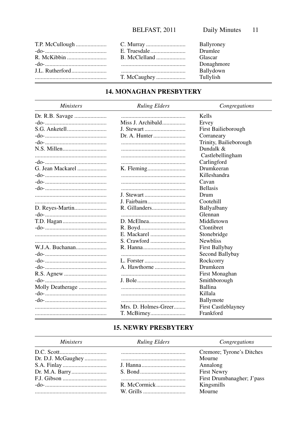$\overline{\phantom{0}}$ 

| T.P. McCullough | Ballyroney |
|-----------------|------------|
|                 | Drumlee    |
|                 | Glascar    |
|                 | Donaghmore |
|                 | Ballydown  |
|                 | Tullylish  |

### **14. MONAGHAN PRESBYTERY**

| <b>Ministers</b> | <b>Ruling Elders</b> | Congregations              |
|------------------|----------------------|----------------------------|
|                  |                      | Kells                      |
|                  | Miss J. Archibald    | Ervey                      |
|                  | J. Stewart           | First Bailieborough        |
|                  |                      | Corraneary                 |
|                  |                      | Trinity, Bailieborough     |
|                  |                      | Dundalk $&$                |
|                  |                      | Castlebellingham           |
|                  |                      | Carlingford                |
| G. Jean Mackarel |                      | Drumkeeran                 |
|                  |                      | Killeshandra               |
|                  |                      | Cavan                      |
|                  |                      | <b>Bellasis</b>            |
|                  | J. Stewart           | Drum                       |
|                  | J. Fairbairn         | Cootehill                  |
| D. Reyes-Martin  | R. Gillanders        | Ballyalbany                |
|                  |                      | Glennan                    |
|                  |                      | Middletown                 |
|                  |                      | Clontibret                 |
|                  | E. Mackarel          | Stonebridge                |
|                  |                      | <b>Newbliss</b>            |
| W.J.A. Buchanan  |                      | First Ballybay             |
|                  |                      | Second Ballybay            |
|                  | L. Forster           | Rockcorry                  |
|                  | A. Hawthorne         | Drumkeen                   |
|                  |                      | First Monaghan             |
|                  |                      | Smithborough               |
| Molly Deatherage |                      | Ballina                    |
|                  |                      | Killala                    |
|                  |                      | Ballymote                  |
|                  | Mrs. D. Holmes-Greer | <b>First Castleblayney</b> |
|                  |                      | Frankford                  |

#### **15. NEWRY PRESBYTERY**

| <i>Ministers</i> | <b>Ruling Elders</b> | Congregations              |
|------------------|----------------------|----------------------------|
|                  |                      | Cremore; Tyrone's Ditches  |
|                  |                      | Mourne                     |
|                  |                      | Annalong                   |
|                  |                      | <b>First Newry</b>         |
|                  |                      | First Drumbanagher; J'pass |
|                  |                      | Kingsmills                 |
|                  | W. Grills            | Mourne                     |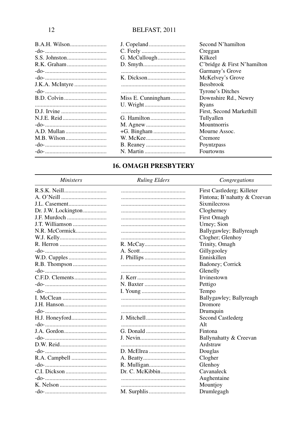| <b>B.A.H. Wilson</b> |                    | Second N'hamilton           |
|----------------------|--------------------|-----------------------------|
|                      |                    | Creggan                     |
|                      | G. McCullough      | Kilkeel                     |
|                      |                    | C'bridge & First N'hamilton |
|                      |                    | Garmany's Grove             |
|                      |                    | McKelvey's Grove            |
| J.K.A. McIntyre      |                    | <b>Bessbrook</b>            |
|                      |                    | Tyrone's Ditches            |
|                      | Miss E. Cunningham | Downshire Rd., Newry        |
|                      |                    | Ryans                       |
|                      |                    | First, Second Markethill    |
|                      | G. Hamilton        | Tullyallen                  |
|                      |                    | Mountnorris                 |
|                      |                    | Mourne Assoc.               |
|                      |                    | Cremore                     |
|                      |                    | Poyntzpass                  |
|                      |                    | Fourtowns                   |

#### **16. OMAGH PRESBYTERY**

| <b>Ministers</b>    | <b>Ruling Elders</b>     | Congregations                |
|---------------------|--------------------------|------------------------------|
|                     |                          | First Castlederg; Killeter   |
|                     |                          | Fintona; B'nahatty & Creevan |
|                     |                          | <b>Sixmilecross</b>          |
| Dr. J.W. Lockington |                          | Clogherney                   |
| J.F. Murdoch        |                          | First Omagh                  |
| J.T. Williamson     |                          | Urney; Sion                  |
| N.R. McCormick      |                          | Ballygawley; Ballyreagh      |
|                     |                          | Clogher; Glenhoy             |
|                     |                          | Trinity, Omagh               |
|                     |                          | Gillygooley                  |
|                     |                          | Enniskillen                  |
|                     |                          | Badoney; Corrick             |
|                     |                          | Glenelly                     |
|                     |                          | Irvinestown                  |
|                     |                          | Pettigo                      |
|                     |                          | Tempo                        |
|                     |                          | Ballygawley; Ballyreagh      |
|                     |                          | Dromore                      |
|                     |                          | Drumquin                     |
|                     | J. Mitchell              | Second Castlederg            |
|                     |                          | Alt                          |
|                     |                          | Fintona                      |
|                     |                          | Ballynahatty & Creevan       |
|                     |                          | Ardstraw                     |
|                     |                          | Douglas                      |
|                     |                          | Clogher                      |
|                     |                          | Glenhoy                      |
|                     | $Dr. C. \text{McKibbin}$ | Cavanaleck                   |
|                     |                          | Aughentaine                  |
|                     |                          | Mountjoy                     |
|                     |                          | Drumlegagh                   |

12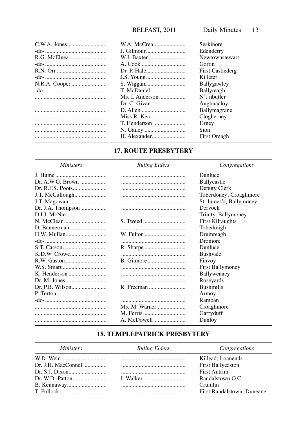|                 | Seskinore               |
|-----------------|-------------------------|
|                 | Edenderry               |
|                 | Newtownstewart          |
|                 | Gortin                  |
|                 | <b>First Castlederg</b> |
|                 | Killeter                |
|                 | <b>Ballygawley</b>      |
|                 | Ballyreagh              |
| Ms. I. Anderson | N't'nhutter             |
|                 | Aughnacloy              |
|                 | <b>Ballymagrane</b>     |
|                 | Clogherney              |
|                 | Urney                   |
|                 | <b>Sion</b>             |
|                 | First Omagh             |
|                 |                         |

#### 17. ROUTE PRESBYTERY

| <i>Ministers</i>  | <b>Ruling Elders</b> | Congregations           |
|-------------------|----------------------|-------------------------|
|                   |                      | Dunluce                 |
|                   |                      | <b>Ballycastle</b>      |
|                   |                      | Deputy Clerk            |
|                   |                      | Toberdoney; Croaghmore  |
|                   |                      | St. James's, Ballymoney |
| Dr. J.A. Thompson |                      | Dervock                 |
|                   |                      | Trinity, Ballymoney     |
|                   |                      | <b>First Kilraughts</b> |
|                   |                      | Toberkeigh              |
|                   |                      | Drumreagh               |
|                   |                      | Dromore                 |
|                   |                      | Dunluce                 |
|                   |                      | <b>Bushvale</b>         |
|                   |                      | Finvoy                  |
|                   |                      | <b>First Ballymoney</b> |
|                   |                      | Ballyweaney             |
|                   |                      | Roseyards               |
|                   |                      | <b>Bushmills</b>        |
|                   |                      | Armoy                   |
|                   |                      | Ramoan                  |
|                   | Ms. M. Warner        | Croaghmore              |
|                   |                      | Garryduff               |
|                   | A. McDowell          | Dunloy                  |

#### **18. TEMPLEPATRICK PRESBYTERY**

| <i>Ministers</i> | <b>Ruling Elders</b> | Congregations              |
|------------------|----------------------|----------------------------|
|                  |                      | Killead; Loanends          |
|                  |                      | First Ballyeaston          |
|                  |                      | First Antrim               |
|                  | I. Walker            | Randalstown O.C.           |
|                  |                      | Crumlin                    |
|                  |                      | First Randalstown, Duneane |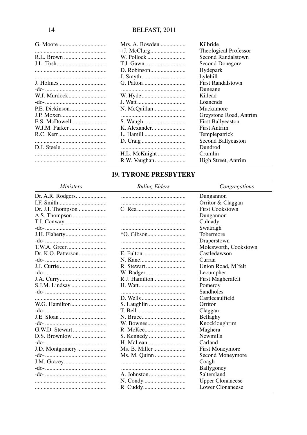| Kilbride                  |                          |
|---------------------------|--------------------------|
|                           | Theological Professor    |
| R.L. Brown<br>W. Pollock  | Second Randalstown       |
|                           | Second Donegore          |
| Hydepark                  |                          |
| Lylehill                  |                          |
|                           | <b>First Randalstown</b> |
| Duneane                   |                          |
| W.J. Murdock<br>Killead   |                          |
| Loanends                  |                          |
| N. McQuillan<br>Muckamore |                          |
|                           | Greystone Road, Antrim   |
|                           | <b>First Ballyeaston</b> |
| <b>First Antrim</b>       |                          |
|                           | Templepatrick            |
|                           | Second Ballyeaston       |
| Dundrod                   |                          |
| Crumlin                   |                          |
|                           | High Street, Antrim      |

#### **19. TYRONE PRESBYTERY**

#### **Ministers**

#### **Ruling Elders**

Congregations

|                   |               | Dungannon               |
|-------------------|---------------|-------------------------|
|                   |               | Orritor & Claggan       |
| Dr. J.I. Thompson |               | <b>First Cookstown</b>  |
|                   |               | Dungannon               |
|                   |               | Culnady                 |
|                   |               | Swatragh                |
| J.H. Flaherty     |               | Tobermore               |
|                   |               | Draperstown             |
|                   |               | Molesworth, Cookstown   |
|                   |               | Castledawson            |
|                   |               | Curran                  |
| J.J. Currie       |               | Union Road, M'felt      |
|                   |               | Lecumpher               |
|                   | R.J. Hamilton | First Magherafelt       |
| S.J.M. Lindsay    |               | Pomeroy                 |
|                   |               | <b>Sandholes</b>        |
|                   |               | Castlecaulfield         |
|                   |               | Orritor                 |
|                   |               | Claggan                 |
|                   |               | Bellaghy                |
|                   |               | Knockloughrim           |
|                   |               | Maghera                 |
|                   |               | <b>Newmills</b>         |
|                   |               | Carland                 |
| J.D. Montgomery   |               | <b>First Moneymore</b>  |
|                   | Ms. M. Quinn  | Second Moneymore        |
|                   |               | Coagh                   |
|                   |               | Ballygoney              |
|                   |               | Saltersland             |
|                   |               | <b>Upper Clonaneese</b> |
|                   |               | Lower Clonaneese        |
|                   |               |                         |

 $14$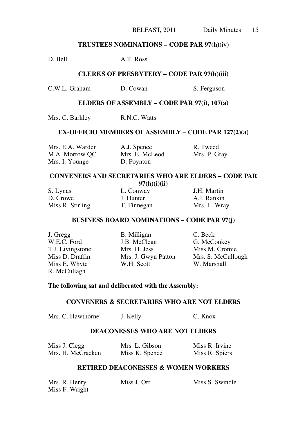#### Daily Minutes 15

#### **TRUSTEES NOMINATIONS – CODE PAR 97(h)(iv)**

D. Bell A.T. Ross

#### **CLERKS OF PRESBYTERY – CODE PAR 97(h)(iii)**

C.W.L. Graham D. Cowan S. Ferguson

#### **ELDERS OF ASSEMBLY – CODE PAR 97(i), 107(a)**

Mrs. C. Barkley R.N.C. Watts

#### **EX-OFFICIO MEMBERS OF ASSEMBLY – CODE PAR 127(2)(a)**

| Mrs. E.A. Warden | A.J. Spence    | R. Tweed     |
|------------------|----------------|--------------|
| M.A. Morrow OC   | Mrs. E. McLeod | Mrs. P. Gray |
| Mrs. I. Younge   | D. Poynton     |              |

#### **CONVENERS AND SECRETARIES WHO ARE ELDERS – CODE PAR 97(h)(i)(ii)**

| S. Lynas         | L. Conway   | J.H. Martin  |
|------------------|-------------|--------------|
| D. Crowe         | J. Hunter   | A.J. Rankin  |
| Miss R. Stirling | T. Finnegan | Mrs. L. Wray |

#### **BUSINESS BOARD NOMINATIONS – CODE PAR 97(j)**

J. Gregg B. Milligan C. Beck R. McCullagh

W.E.C. Ford J.B. McClean G. McConkey T.J. Livingstone Mrs. H. Jess Miss M. Cromie Miss E. Whyte W.H. Scott W. Marshall

Miss D. Draffin Mrs. J. Gwyn Patton Mrs. S. McCullough

#### **The following sat and deliberated with the Assembly:**

#### **CONVENERS & SECRETARIES WHO ARE NOT ELDERS**

Mrs. C. Hawthorne J. Kelly C. Knox

#### **DEACONESSES WHO ARE NOT ELDERS**

| Miss J. Clegg     | Mrs. L. Gibson | Miss R. Irvine |
|-------------------|----------------|----------------|
| Mrs. H. McCracken | Miss K. Spence | Miss R. Spiers |

#### **RETIRED DEACONESSES & WOMEN WORKERS**

| Mrs. R. Henry  | Miss J. Orr | Miss S. Swindle |
|----------------|-------------|-----------------|
| Miss F. Wright |             |                 |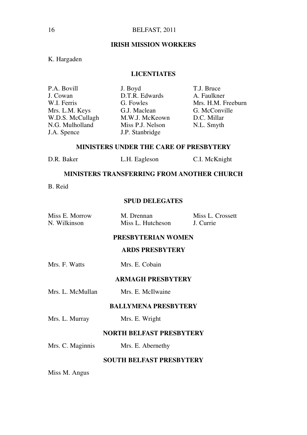#### **IRISH MISSION WORKERS**

#### K. Hargaden

#### **LICENTIATES**

| J. Boyd          | T.J. Bruce         |
|------------------|--------------------|
| D.T.R. Edwards   | A. Faulkner        |
| G. Fowles        | Mrs. H.M. Freeburn |
| G.J. Maclean     | G. McConville      |
| M.W.J. McKeown   | D.C. Millar        |
| Miss P.J. Nelson | N.L. Smyth         |
| J.P. Stanbridge  |                    |
|                  |                    |

#### **MINISTERS UNDER THE CARE OF PRESBYTERY**

| D.R. Baker<br>L.H. Eagleson | C.I. McKnight |
|-----------------------------|---------------|
|-----------------------------|---------------|

#### **MINISTERS TRANSFERRING FROM ANOTHER CHURCH**

B. Reid

#### **SPUD DELEGATES**

| Miss E. Morrow | M. Drennan        | Miss L. Crossett |
|----------------|-------------------|------------------|
| N. Wilkinson   | Miss L. Hutcheson | J. Currie        |

#### **PRESBYTERIAN WOMEN**

#### **ARDS PRESBYTERY**

| Mrs. F. Watts |  |  | Mrs. E. Cobain |
|---------------|--|--|----------------|
|---------------|--|--|----------------|

#### **ARMAGH PRESBYTERY**

Mrs. L. McMullan Mrs. E. McIlwaine

#### **BALLYMENA PRESBYTERY**

Mrs. L. Murray Mrs. E. Wright

#### **NORTH BELFAST PRESBYTERY**

Mrs. C. Maginnis Mrs. E. Abernethy

#### **SOUTH BELFAST PRESBYTERY**

Miss M. Angus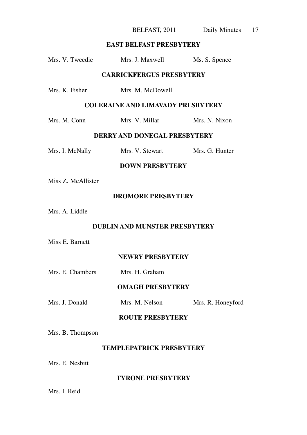BELFAST, 2011 Daily Minutes 17

#### **EAST BELFAST PRESBYTERY**

| Mrs. V. Tweedie                          | Mrs. J. Maxwell  | Ms. S. Spence  |  |  |  |
|------------------------------------------|------------------|----------------|--|--|--|
| <b>CARRICKFERGUS PRESBYTERY</b>          |                  |                |  |  |  |
| Mrs. K. Fisher                           | Mrs. M. McDowell |                |  |  |  |
| <b>COLERAINE AND LIMAVADY PRESBYTERY</b> |                  |                |  |  |  |
| Mrs. M. Conn                             | Mrs. V. Millar   | Mrs. N. Nixon  |  |  |  |
| DERRY AND DONEGAL PRESBYTERY             |                  |                |  |  |  |
| Mrs. I. McNally                          | Mrs. V. Stewart  | Mrs. G. Hunter |  |  |  |
| <b>DOWN PRESBYTERY</b>                   |                  |                |  |  |  |
| Miss Z. McAllister                       |                  |                |  |  |  |
| <b>DROMORE PRESBYTERY</b>                |                  |                |  |  |  |
| Mrs. A. Liddle                           |                  |                |  |  |  |

#### **DUBLIN AND MUNSTER PRESBYTERY**

Miss E. Barnett

**NEWRY PRESBYTERY**

| Mrs. E. Chambers | Mrs. H. Graham |
|------------------|----------------|
|                  |                |

#### **OMAGH PRESBYTERY**

Mrs. J. Donald Mrs. M. Nelson Mrs. R. Honeyford

#### **ROUTE PRESBYTERY**

Mrs. B. Thompson

#### **TEMPLEPATRICK PRESBYTERY**

Mrs. E. Nesbitt

#### **TYRONE PRESBYTERY**

Mrs. I. Reid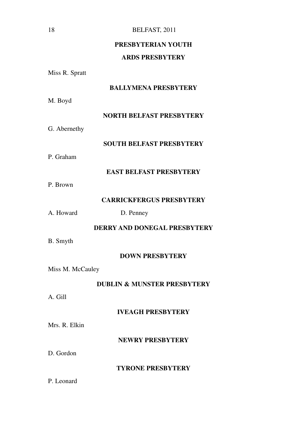#### **PRESBYTERIAN YOUTH**

#### **ARDS PRESBYTERY**

Miss R. Spratt

#### **BALLYMENA PRESBYTERY**

M. Boyd

#### **NORTH BELFAST PRESBYTERY**

G. Abernethy

#### **SOUTH BELFAST PRESBYTERY**

P. Graham

#### **EAST BELFAST PRESBYTERY**

P. Brown

#### **CARRICKFERGUS PRESBYTERY**

A. Howard D. Penney

#### **DERRY AND DONEGAL PRESBYTERY**

B. Smyth

#### **DOWN PRESBYTERY**

Miss M. McCauley

#### **DUBLIN & MUNSTER PRESBYTERY**

A. Gill

#### **IVEAGH PRESBYTERY**

Mrs. R. Elkin

#### **NEWRY PRESBYTERY**

D. Gordon

#### **TYRONE PRESBYTERY**

P. Leonard

18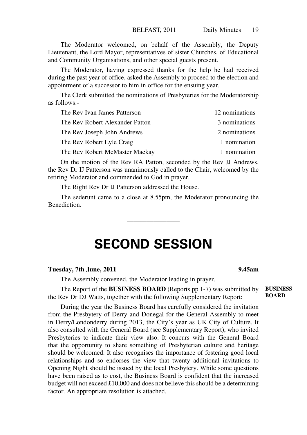The Moderator welcomed, on behalf of the Assembly, the Deputy Lieutenant, the Lord Mayor, representatives of sister Churches, of Educational and Community Organisations, and other special guests present.

The Moderator, having expressed thanks for the help he had received during the past year of office, asked the Assembly to proceed to the election and appointment of a successor to him in office for the ensuing year.

The Clerk submitted the nominations of Presbyteries for the Moderatorship as follows:-

| The Rev Ivan James Patterson    | 12 nominations |
|---------------------------------|----------------|
| The Rev Robert Alexander Patton | 3 nominations  |
| The Rev Joseph John Andrews     | 2 nominations  |
| The Rev Robert Lyle Craig       | 1 nomination   |
| The Rev Robert McMaster Mackay  | 1 nomination   |

On the motion of the Rev RA Patton, seconded by the Rev JJ Andrews, the Rev Dr IJ Patterson was unanimously called to the Chair, welcomed by the retiring Moderator and commended to God in prayer.

The Right Rev Dr IJ Patterson addressed the House.

The sederunt came to a close at 8.55pm, the Moderator pronouncing the Benediction.

————————————————

## **SECOND SESSION**

#### **Tuesday, 7th June, 2011 9.45am**

The Assembly convened, the Moderator leading in prayer.

The Report of the **BUSINESS BOARD** (Reports pp 1-7) was submitted by the Rev Dr DJ Watts, together with the following Supplementary Report:

During the year the Business Board has carefully considered the invitation from the Presbytery of Derry and Donegal for the General Assembly to meet in Derry/Londonderry during 2013, the City's year as UK City of Culture. It also consulted with the General Board (see Supplementary Report), who invited Presbyteries to indicate their view also. It concurs with the General Board that the opportunity to share something of Presbyterian culture and heritage should be welcomed. It also recognises the importance of fostering good local relationships and so endorses the view that twenty additional invitations to Opening Night should be issued by the local Presbytery. While some questions have been raised as to cost, the Business Board is confident that the increased budget will not exceed £10,000 and does not believe this should be a determining factor. An appropriate resolution is attached.

**BUSINESS BOARD**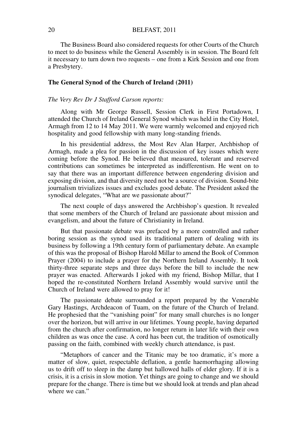The Business Board also considered requests for other Courts of the Church to meet to do business while the General Assembly is in session. The Board felt it necessary to turn down two requests – one from a Kirk Session and one from a Presbytery.

#### **The General Synod of the Church of Ireland (2011)**

#### *The Very Rev Dr J Stafford Carson reports:*

Along with Mr George Russell, Session Clerk in First Portadown, I attended the Church of Ireland General Synod which was held in the City Hotel, Armagh from 12 to 14 May 2011. We were warmly welcomed and enjoyed rich hospitality and good fellowship with many long-standing friends.

In his presidential address, the Most Rev Alan Harper, Archbishop of Armagh, made a plea for passion in the discussion of key issues which were coming before the Synod. He believed that measured, tolerant and reserved contributions can sometimes be interpreted as indifferentism. He went on to say that there was an important difference between engendering division and exposing division, and that diversity need not be a source of division. Sound-bite journalism trivializes issues and excludes good debate. The President asked the synodical delegates, "What are we passionate about?"

The next couple of days answered the Archbishop's question. It revealed that some members of the Church of Ireland are passionate about mission and evangelism, and about the future of Christianity in Ireland.

But that passionate debate was prefaced by a more controlled and rather boring session as the synod used its traditional pattern of dealing with its business by following a 19th century form of parliamentary debate. An example of this was the proposal of Bishop Harold Millar to amend the Book of Common Prayer (2004) to include a prayer for the Northern Ireland Assembly. It took thirty-three separate steps and three days before the bill to include the new prayer was enacted. Afterwards I joked with my friend, Bishop Millar, that I hoped the re-constituted Northern Ireland Assembly would survive until the Church of Ireland were allowed to pray for it!

The passionate debate surrounded a report prepared by the Venerable Gary Hastings, Archdeacon of Tuam, on the future of the Church of Ireland. He prophesied that the "vanishing point" for many small churches is no longer over the horizon, but will arrive in our lifetimes. Young people, having departed from the church after confirmation, no longer return in later life with their own children as was once the case. A cord has been cut, the tradition of osmotically passing on the faith, combined with weekly church attendance, is past.

"Metaphors of cancer and the Titanic may be too dramatic, it's more a matter of slow, quiet, respectable deflation, a gentle haemorrhaging allowing us to drift off to sleep in the damp but hallowed halls of elder glory. If it is a crisis, it is a crisis in slow motion. Yet things are going to change and we should prepare for the change. There is time but we should look at trends and plan ahead where we can."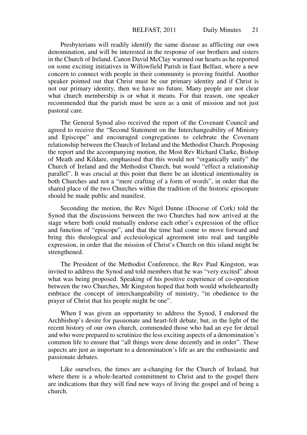Presbyterians will readily identify the same disease as afflicting our own denomination, and will be interested in the response of our brothers and sisters in the Church of Ireland. Canon David McClay warmed our hearts as he reported on some exciting initiatives in Willowfield Parish in East Belfast, where a new concern to connect with people in their community is proving fruitful. Another speaker pointed out that Christ must be our primary identity and if Christ is not our primary identity, then we have no future. Many people are not clear what church membership is or what it means. For that reason, one speaker recommended that the parish must be seen as a unit of mission and not just pastoral care.

The General Synod also received the report of the Covenant Council and agreed to receive the "Second Statement on the Interchangeability of Ministry and Episcope" and encouraged congregations to celebrate the Covenant relationship between the Church of Ireland and the Methodist Church. Proposing the report and the accompanying motion, the Most Rev Richard Clarke, Bishop of Meath and Kildare, emphasised that this would not "organically unify" the Church of Ireland and the Methodist Church, but would "effect a relationship parallel". It was crucial at this point that there be an identical intentionality in both Churches and not a "mere crafting of a form of words", in order that the shared place of the two Churches within the tradition of the historic episcopate should be made public and manifest.

Seconding the motion, the Rev Nigel Dunne (Diocese of Cork) told the Synod that the discussions between the two Churches had now arrived at the stage where both could mutually endorse each other's expression of the office and function of "episcope", and that the time had come to move forward and bring this theological and ecclesiological agreement into real and tangible expression, in order that the mission of Christ's Church on this island might be strengthened.

The President of the Methodist Conference, the Rev Paul Kingston, was invited to address the Synod and told members that he was "very excited" about what was being proposed. Speaking of his positive experience of co-operation between the two Churches, Mr Kingston hoped that both would wholeheartedly embrace the concept of interchangeability of ministry, "in obedience to the prayer of Christ that his people might be one".

When I was given an opportunity to address the Synod, I endorsed the Archbishop's desire for passionate and heart-felt debate, but, in the light of the recent history of our own church, commended those who had an eye for detail and who were prepared to scrutinize the less exciting aspects of a denomination's common life to ensure that "all things were done decently and in order". These aspects are just as important to a denomination's life as are the enthusiastic and passionate debates.

Like ourselves, the times are a-changing for the Church of Ireland, but where there is a whole-hearted commitment to Christ and to the gospel there are indications that they will find new ways of living the gospel and of being a church.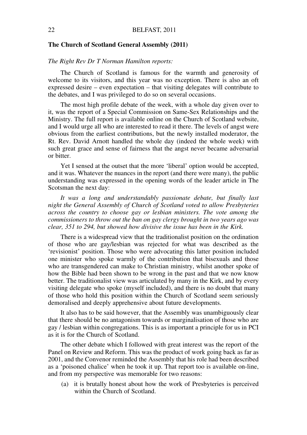#### **The Church of Scotland General Assembly (2011)**

#### *The Right Rev Dr T Norman Hamilton reports:*

The Church of Scotland is famous for the warmth and generosity of welcome to its visitors, and this year was no exception. There is also an oft expressed desire – even expectation – that visiting delegates will contribute to the debates, and I was privileged to do so on several occasions.

The most high profile debate of the week, with a whole day given over to it, was the report of a Special Commission on Same-Sex Relationships and the Ministry. The full report is available online on the Church of Scotland website, and I would urge all who are interested to read it there. The levels of angst were obvious from the earliest contributions, but the newly installed moderator, the Rt. Rev. David Arnott handled the whole day (indeed the whole week) with such great grace and sense of fairness that the angst never became adversarial or bitter.

Yet I sensed at the outset that the more 'liberal' option would be accepted, and it was. Whatever the nuances in the report (and there were many), the public understanding was expressed in the opening words of the leader article in The Scotsman the next day:

*It was a long and understandably passionate debate, but finally last night the General Assembly of Church of Scotland voted to allow Presbyteries across the country to choose gay or lesbian ministers. The vote among the commissioners to throw out the ban on gay clergy brought in two years ago was clear, 351 to 294, but showed how divisive the issue has been in the Kirk.*

There is a widespread view that the traditionalist position on the ordination of those who are gay/lesbian was rejected for what was described as the 'revisionist' position. Those who were advocating this latter position included one minister who spoke warmly of the contribution that bisexuals and those who are transgendered can make to Christian ministry, whilst another spoke of how the Bible had been shown to be wrong in the past and that we now know better. The traditionalist view was articulated by many in the Kirk, and by every visiting delegate who spoke (myself included), and there is no doubt that many of those who hold this position within the Church of Scotland seem seriously demoralised and deeply apprehensive about future developments.

It also has to be said however, that the Assembly was unambiguously clear that there should be no antagonism towards or marginalisation of those who are gay / lesbian within congregations. This is as important a principle for us in PCI as it is for the Church of Scotland.

The other debate which I followed with great interest was the report of the Panel on Review and Reform. This was the product of work going back as far as 2001, and the Convenor reminded the Assembly that his role had been described as a 'poisoned chalice' when he took it up. That report too is available on-line, and from my perspective was memorable for two reasons:

(a) it is brutally honest about how the work of Presbyteries is perceived within the Church of Scotland.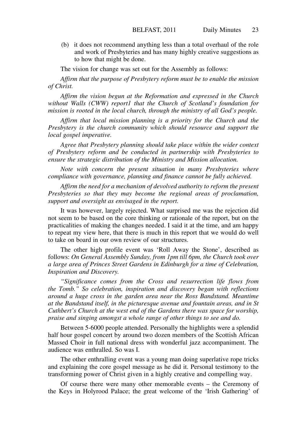(b) it does not recommend anything less than a total overhaul of the role and work of Presbyteries and has many highly creative suggestions as to how that might be done.

The vision for change was set out for the Assembly as follows:

*Affirm that the purpose of Presbytery reform must be to enable the mission of Christ.*

*Affirm the vision begun at the Reformation and expressed in the Church without Walls (CWW) report1 that the Church of Scotland's foundation for mission is rooted in the local church, through the ministry of all God's people.*

*Affirm that local mission planning is a priority for the Church and the Presbytery is the church community which should resource and support the local gospel imperative.*

*Agree that Presbytery planning should take place within the wider context of Presbytery reform and be conducted in partnership with Presbyteries to ensure the strategic distribution of the Ministry and Mission allocation.*

*Note with concern the present situation in many Presbyteries where compliance with governance, planning and finance cannot be fully achieved.*

*Affirm the need for a mechanism of devolved authority to reform the present Presbyteries so that they may become the regional areas of proclamation, support and oversight as envisaged in the report.*

It was however, largely rejected. What surprised me was the rejection did not seem to be based on the core thinking or rationale of the report, but on the practicalities of making the changes needed. I said it at the time, and am happy to repeat my view here, that there is much in this report that we would do well to take on board in our own review of our structures.

The other high profile event was 'Roll Away the Stone', described as follows: *On General Assembly Sunday, from 1pm till 6pm, the Church took over a large area of Princes Street Gardens in Edinburgh for a time of Celebration, Inspiration and Discovery.*

*"Significance comes from the Cross and resurrection life flows from the Tomb." So celebration, inspiration and discovery began with reflections around a huge cross in the garden area near the Ross Bandstand. Meantime at the Bandstand itself, in the picturesque avenue and fountain areas, and in St Cuthbert's Church at the west end of the Gardens there was space for worship, praise and singing amongst a whole range of other things to see and do.*

Between 5-6000 people attended. Personally the highlights were a splendid half hour gospel concert by around two dozen members of the Scottish African Massed Choir in full national dress with wonderful jazz accompaniment. The audience was enthralled. So was I.

The other enthralling event was a young man doing superlative rope tricks and explaining the core gospel message as he did it. Personal testimony to the transforming power of Christ given in a highly creative and compelling way.

Of course there were many other memorable events – the Ceremony of the Keys in Holyrood Palace; the great welcome of the 'Irish Gathering' of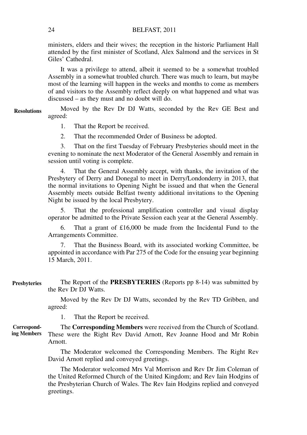ministers, elders and their wives; the reception in the historic Parliament Hall attended by the first minister of Scotland, Alex Salmond and the services in St Giles' Cathedral.

It was a privilege to attend, albeit it seemed to be a somewhat troubled Assembly in a somewhat troubled church. There was much to learn, but maybe most of the learning will happen in the weeks and months to come as members of and visitors to the Assembly reflect deeply on what happened and what was discussed – as they must and no doubt will do.

Moved by the Rev Dr DJ Watts, seconded by the Rev GE Best and agreed: **Resolutions**

1. That the Report be received.

2. That the recommended Order of Business be adopted.

3. That on the first Tuesday of February Presbyteries should meet in the evening to nominate the next Moderator of the General Assembly and remain in session until voting is complete.

4. That the General Assembly accept, with thanks, the invitation of the Presbytery of Derry and Donegal to meet in Derry/Londonderry in 2013, that the normal invitations to Opening Night be issued and that when the General Assembly meets outside Belfast twenty additional invitations to the Opening Night be issued by the local Presbytery.

5. That the professional amplification controller and visual display operator be admitted to the Private Session each year at the General Assembly.

6. That a grant of £16,000 be made from the Incidental Fund to the Arrangements Committee.

That the Business Board, with its associated working Committee, be appointed in accordance with Par 275 of the Code for the ensuing year beginning 15 March, 2011.

The Report of the **PRESBYTERIES** (Reports pp 8-14) was submitted by the Rev Dr DJ Watts. **Presbyteries**

> Moved by the Rev Dr DJ Watts, seconded by the Rev TD Gribben, and agreed:

1. That the Report be received.

The **Corresponding Members** were received from the Church of Scotland. These were the Right Rev David Arnott, Rev Joanne Hood and Mr Robin Arnott. **Corresponding Members**

> The Moderator welcomed the Corresponding Members. The Right Rev David Arnott replied and conveyed greetings.

> The Moderator welcomed Mrs Val Morrison and Rev Dr Jim Coleman of the United Reformed Church of the United Kingdom; and Rev Iain Hodgins of the Presbyterian Church of Wales. The Rev Iain Hodgins replied and conveyed greetings.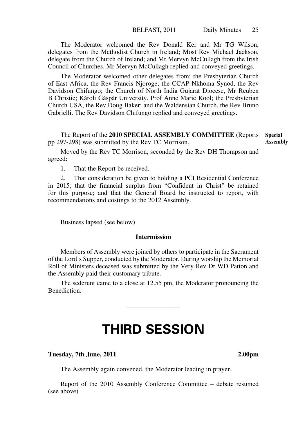The Moderator welcomed the Rev Donald Ker and Mr TG Wilson, delegates from the Methodist Church in Ireland; Most Rev Michael Jackson, delegate from the Church of Ireland; and Mr Mervyn McCullagh from the Irish Council of Churches. Mr Mervyn McCullagh replied and conveyed greetings.

The Moderator welcomed other delegates from: the Presbyterian Church of East Africa, the Rev Francis Njoroge; the CCAP Nkhoma Synod, the Rev Davidson Chifungo; the Church of North India Gujarat Diocese, Mr Reuben B Christie; Károli Gáspár University, Prof Anne Marie Kool; the Presbyterian Church USA, the Rev Doug Baker; and the Waldensian Church, the Rev Bruno Gabrielli. The Rev Davidson Chifungo replied and conveyed greetings.

The Report of the **2010 SPECIAL ASSEMBLY COMMITTEE** (Reports **Special**  pp 297-298) was submitted by the Rev TC Morrison. **Assembly**

Moved by the Rev TC Morrison, seconded by the Rev DH Thompson and agreed:

1. That the Report be received.

2. That consideration be given to holding a PCI Residential Conference in 2015; that the financial surplus from "Confident in Christ" be retained for this purpose; and that the General Board be instructed to report, with recommendations and costings to the 2012 Assembly.

Business lapsed (see below)

#### **Intermission**

Members of Assembly were joined by others to participate in the Sacrament of the Lord's Supper, conducted by the Moderator. During worship the Memorial Roll of Ministers deceased was submitted by the Very Rev Dr WD Patton and the Assembly paid their customary tribute.

The sederunt came to a close at 12.55 pm, the Moderator pronouncing the Benediction.

 $\overline{\phantom{a}}$ 

## **THIRD SESSION**

#### **Tuesday, 7th June, 2011 2.00pm**

The Assembly again convened, the Moderator leading in prayer.

Report of the 2010 Assembly Conference Committee – debate resumed (see above)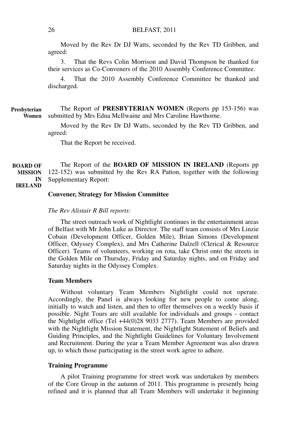Moved by the Rev Dr DJ Watts, seconded by the Rev TD Gribben, and agreed:

3. That the Revs Colin Morrison and David Thompson be thanked for their services as Co-Conveners of the 2010 Assembly Conference Committee.

4. That the 2010 Assembly Conference Committee be thanked and discharged.

The Report of **PRESBYTERIAN WOMEN** (Reports pp 153-156) was submitted by Mrs Edna McIlwaine and Mrs Caroline Hawthorne. **Presbyterian Women**

> Moved by the Rev Dr DJ Watts, seconded by the Rev TD Gribben, and agreed:

That the Report be received.

The Report of the **BOARD OF MISSION IN IRELAND** (Reports pp 122-152) was submitted by the Rev RA Patton, together with the following Supplementary Report: **BOARD OF MISSION IN** 

**IRELAND**

#### **Convener, Strategy for Mission Committee**

#### *The Rev Alistair R Bill reports:*

The street outreach work of Nightlight continues in the entertainment areas of Belfast with Mr John Luke as Director. The staff team consists of Mrs Linzie Cobain (Development Officer, Golden Mile), Brian Simons (Development Officer, Odyssey Complex), and Mrs Catherine Dalzell (Clerical & Resource Officer). Teams of volunteers, working on rota, take Christ onto the streets in the Golden Mile on Thursday, Friday and Saturday nights, and on Friday and Saturday nights in the Odyssey Complex.

#### **Team Members**

Without voluntary Team Members Nightlight could not operate. Accordingly, the Panel is always looking for new people to come along, initially to watch and listen, and then to offer themselves on a weekly basis if possible. Night Tours are still available for individuals and groups - contact the Nightlight office (Tel +44(0)28 9033 2777). Team Members are provided with the Nightlight Mission Statement, the Nightlight Statement of Beliefs and Guiding Principles, and the Nightlight Guidelines for Voluntary Involvement and Recruitment. During the year a Team Member Agreement was also drawn up, to which those participating in the street work agree to adhere.

#### **Training Programme**

A pilot Training programme for street work was undertaken by members of the Core Group in the autumn of 2011. This programme is presently being refined and it is planned that all Team Members will undertake it beginning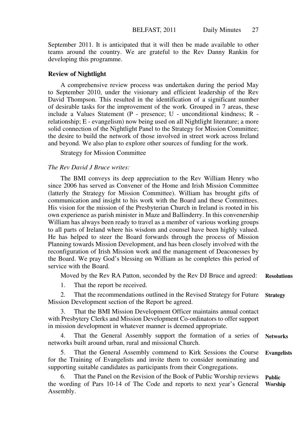September 2011. It is anticipated that it will then be made available to other teams around the country. We are grateful to the Rev Danny Rankin for developing this programme.

#### **Review of Nightlight**

A comprehensive review process was undertaken during the period May to September 2010, under the visionary and efficient leadership of the Rev David Thompson. This resulted in the identification of a significant number of desirable tasks for the improvement of the work. Grouped in 7 areas, these include a Values Statement (P - presence; U - unconditional kindness; R relationship; E - evangelism) now being used on all Nightlight literature; a more solid connection of the Nightlight Panel to the Strategy for Mission Committee; the desire to build the network of those involved in street work across Ireland and beyond. We also plan to explore other sources of funding for the work.

Strategy for Mission Committee

#### *The Rev David J Bruce writes:*

The BMI conveys its deep appreciation to the Rev William Henry who since 2006 has served as Convener of the Home and Irish Mission Committee (latterly the Strategy for Mission Committee). William has brought gifts of communication and insight to his work with the Board and these Committees. His vision for the mission of the Presbyterian Church in Ireland is rooted in his own experience as parish minister in Maze and Ballinderry. In this convenership William has always been ready to travel as a member of various working groups to all parts of Ireland where his wisdom and counsel have been highly valued. He has helped to steer the Board forwards through the process of Mission Planning towards Mission Development, and has been closely involved with the reconfiguration of Irish Mission work and the management of Deaconesses by the Board. We pray God's blessing on William as he completes this period of service with the Board.

Moved by the Rev RA Patton, seconded by the Rev DJ Bruce and agreed: 1. That the report be received. 2. That the recommendations outlined in the Revised Strategy for Future Mission Development section of the Report be agreed. **Resolutions Strategy**

That the BMI Mission Development Officer maintains annual contact with Presbytery Clerks and Mission Development Co-ordinators to offer support in mission development in whatever manner is deemed appropriate.

4. That the General Assembly support the formation of a series of networks built around urban, rural and missional Church. **Networks**

5. That the General Assembly commend to Kirk Sessions the Course for the Training of Evangelists and invite them to consider nominating and supporting suitable candidates as participants from their Congregations. **Evangelists**

6. That the Panel on the Revision of the Book of Public Worship reviews the wording of Pars 10-14 of The Code and reports to next year's General Assembly. **Public Worship**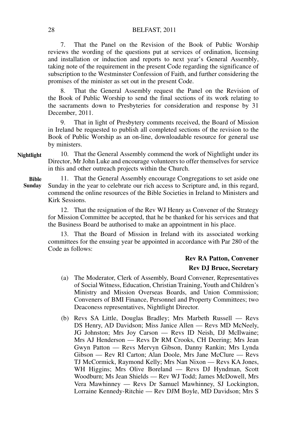7. That the Panel on the Revision of the Book of Public Worship reviews the wording of the questions put at services of ordination, licensing and installation or induction and reports to next year's General Assembly, taking note of the requirement in the present Code regarding the significance of subscription to the Westminster Confession of Faith, and further considering the promises of the minister as set out in the present Code.

8. That the General Assembly request the Panel on the Revision of the Book of Public Worship to send the final sections of its work relating to the sacraments down to Presbyteries for consideration and response by 31 December, 2011.

9. That in light of Presbytery comments received, the Board of Mission in Ireland be requested to publish all completed sections of the revision to the Book of Public Worship as an on-line, downloadable resource for general use by ministers.

10. That the General Assembly commend the work of Nightlight under its Director, Mr John Luke and encourage volunteers to offer themselves for service in this and other outreach projects within the Church. **Nightlight**

11. That the General Assembly encourage Congregations to set aside one Sunday in the year to celebrate our rich access to Scripture and, in this regard, commend the online resources of the Bible Societies in Ireland to Ministers and Kirk Sessions.

12. That the resignation of the Rev WJ Henry as Convener of the Strategy for Mission Committee be accepted, that he be thanked for his services and that the Business Board be authorised to make an appointment in his place.

13. That the Board of Mission in Ireland with its associated working committees for the ensuing year be appointed in accordance with Par 280 of the Code as follows:

#### **Rev RA Patton, Convener**

#### **Rev DJ Bruce, Secretary**

- (a) The Moderator, Clerk of Assembly, Board Convener, Representatives of Social Witness, Education, Christian Training, Youth and Children's Ministry and Mission Overseas Boards, and Union Commission; Conveners of BMI Finance, Personnel and Property Committees; two Deaconess representatives, Nightlight Director.
- (b) Revs SA Little, Douglas Bradley; Mrs Marbeth Russell Revs DS Henry, AD Davidson; Miss Janice Allen — Revs MD McNeely, JG Johnston; Mrs Joy Carson — Revs ID Neish, DJ McIlwaine; Mrs AJ Henderson — Revs Dr RM Crooks, CH Deering; Mrs Jean Gwyn Patton — Revs Mervyn Gibson, Danny Rankin; Mrs Lynda Gibson — Rev RI Carton; Alan Doole, Mrs Jane McClure — Revs TJ McCormick, Raymond Kelly; Mrs Nan Nixon — Revs KA Jones, WH Higgins; Mrs Olive Boreland — Revs DJ Hyndman, Scott Woodburn; Ms Jean Shields — Rev WJ Todd; James McDowell, Mrs Vera Mawhinney — Revs Dr Samuel Mawhinney, SJ Lockington, Lorraine Kennedy-Ritchie — Rev DJM Boyle, MD Davidson; Mrs S

28

**Bible Sunday**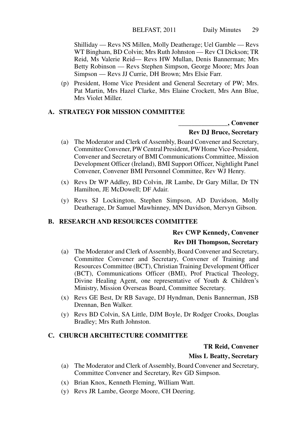Shilliday — Revs NS Millen, Molly Deatherage; Uel Gamble — Revs WT Bingham, BD Colvin; Mrs Ruth Johnston — Rev CI Dickson; TR Reid, Ms Valerie Reid— Revs HW Mullan, Denis Bannerman; Mrs Betty Robinson — Revs Stephen Simpson, George Moore; Mrs Joan Simpson — Revs JJ Currie, DH Brown; Mrs Elsie Farr.

(p) President, Home Vice President and General Secretary of PW; Mrs. Pat Martin, Mrs Hazel Clarke, Mrs Elaine Crockett, Mrs Ann Blue, Mrs Violet Miller.

#### **A. STRATEGY FOR MISSION COMMITTEE**

**\_\_\_\_\_\_\_\_\_\_\_\_\_\_\_, Convener**

#### **Rev DJ Bruce, Secretary**

- (a) The Moderator and Clerk of Assembly, Board Convener and Secretary, Committee Convener, PW Central President, PW Home Vice-President, Convener and Secretary of BMI Communications Committee, Mission Development Officer (Ireland), BMI Support Officer, Nightlight Panel Convener, Convener BMI Personnel Committee, Rev WJ Henry.
- (x) Revs Dr WP Addley, BD Colvin, JR Lambe, Dr Gary Millar, Dr TN Hamilton, JE McDowell; DF Adair.
- (y) Revs SJ Lockington, Stephen Simpson, AD Davidson, Molly Deatherage, Dr Samuel Mawhinney, MN Davidson, Mervyn Gibson.

#### **B. RESEARCH AND RESOURCES COMMITTEE**

#### **Rev CWP Kennedy, Convener**

#### **Rev DH Thompson, Secretary**

- (a) The Moderator and Clerk of Assembly, Board Convener and Secretary, Committee Convener and Secretary, Convener of Training and Resources Committee (BCT), Christian Training Development Officer (BCT), Communications Officer (BMI), Prof Practical Theology, Divine Healing Agent, one representative of Youth & Children's Ministry, Mission Overseas Board, Committee Secretary.
- (x) Revs GE Best, Dr RB Savage, DJ Hyndman, Denis Bannerman, JSB Drennan, Ben Walker.
- (y) Revs BD Colvin, SA Little, DJM Boyle, Dr Rodger Crooks, Douglas Bradley; Mrs Ruth Johnston.

#### **C. CHURCH ARCHITECTURE COMMITTEE**

#### **TR Reid, Convener**

#### **Miss L Beatty, Secretary**

- (a) The Moderator and Clerk of Assembly, Board Convener and Secretary, Committee Convener and Secretary, Rev GD Simpson.
- (x) Brian Knox, Kenneth Fleming, William Watt.
- (y) Revs JR Lambe, George Moore, CH Deering.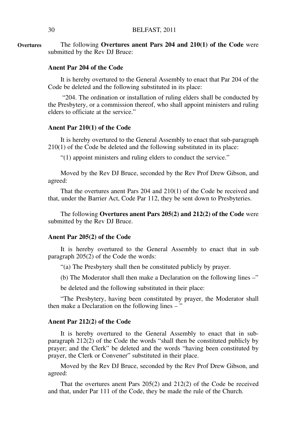The following **Overtures anent Pars 204 and 210(1) of the Code** were submitted by the Rev DJ Bruce: **Overtures**

#### **Anent Par 204 of the Code**

It is hereby overtured to the General Assembly to enact that Par 204 of the Code be deleted and the following substituted in its place:

 "204. The ordination or installation of ruling elders shall be conducted by the Presbytery, or a commission thereof, who shall appoint ministers and ruling elders to officiate at the service."

#### **Anent Par 210(1) of the Code**

It is hereby overtured to the General Assembly to enact that sub-paragraph 210(1) of the Code be deleted and the following substituted in its place:

"(1) appoint ministers and ruling elders to conduct the service."

Moved by the Rev DJ Bruce, seconded by the Rev Prof Drew Gibson, and agreed:

That the overtures anent Pars 204 and 210(1) of the Code be received and that, under the Barrier Act, Code Par 112, they be sent down to Presbyteries.

The following **Overtures anent Pars 205(2) and 212(2) of the Code** were submitted by the Rev DJ Bruce.

#### **Anent Par 205(2) of the Code**

It is hereby overtured to the General Assembly to enact that in sub paragraph 205(2) of the Code the words:

"(a) The Presbytery shall then be constituted publicly by prayer.

(b) The Moderator shall then make a Declaration on the following lines –"

be deleted and the following substituted in their place:

"The Presbytery, having been constituted by prayer, the Moderator shall then make a Declaration on the following lines  $-$ 

#### **Anent Par 212(2) of the Code**

It is hereby overtured to the General Assembly to enact that in subparagraph 212(2) of the Code the words "shall then be constituted publicly by prayer; and the Clerk" be deleted and the words "having been constituted by prayer, the Clerk or Convener" substituted in their place.

Moved by the Rev DJ Bruce, seconded by the Rev Prof Drew Gibson, and agreed:

That the overtures anent Pars 205(2) and 212(2) of the Code be received and that, under Par 111 of the Code, they be made the rule of the Church.

30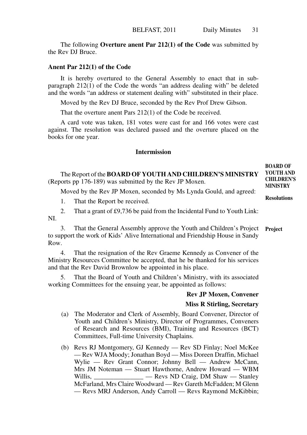The following **Overture anent Par 212(1) of the Code** was submitted by the Rev DJ Bruce.

#### **Anent Par 212(1) of the Code**

It is hereby overtured to the General Assembly to enact that in subparagraph 212(1) of the Code the words "an address dealing with" be deleted and the words "an address or statement dealing with" substituted in their place.

Moved by the Rev DJ Bruce, seconded by the Rev Prof Drew Gibson.

That the overture anent Pars 212(1) of the Code be received.

A card vote was taken, 181 votes were cast for and 166 votes were cast against. The resolution was declared passed and the overture placed on the books for one year.

#### **Intermission**

The Report of the **BOARD OF YOUTH AND CHILDREN'S MINISTRY** (Reports pp 176-189) was submitted by the Rev JP Moxen.

Moved by the Rev JP Moxen, seconded by Ms Lynda Gould, and agreed:

1. That the Report be received.

2. That a grant of £9,736 be paid from the Incidental Fund to Youth Link: NI.

3. That the General Assembly approve the Youth and Children's Project **Project**to support the work of Kids' Alive International and Friendship House in Sandy Row.

4. That the resignation of the Rev Graeme Kennedy as Convener of the Ministry Resources Committee be accepted, that he be thanked for his services and that the Rev David Brownlow be appointed in his place.

5. That the Board of Youth and Children's Ministry, with its associated working Committees for the ensuing year, be appointed as follows:

#### **Rev JP Moxen, Convener**

#### **Miss R Stirling, Secretary**

- (a) The Moderator and Clerk of Assembly, Board Convener, Director of Youth and Children's Ministry, Director of Programmes, Conveners of Research and Resources (BMI), Training and Resources (BCT) Committees, Full-time University Chaplains.
- (b) Revs RJ Montgomery, GJ Kennedy Rev SD Finlay; Noel McKee — Rev WJA Moody; Jonathan Boyd — Miss Doreen Draffin, Michael Wylie — Rev Grant Connor; Johnny Bell — Andrew McCann, Mrs JM Noteman — Stuart Hawthorne, Andrew Howard — WBM Willis,  $-$  Revs ND Craig, DM Shaw  $-$  Stanley McFarland, Mrs Claire Woodward — Rev Gareth McFadden; M Glenn — Revs MRJ Anderson, Andy Carroll — Revs Raymond McKibbin;

**BOARD OF YOUTH AND CHILDREN'S MINISTRY**

**Resolutions**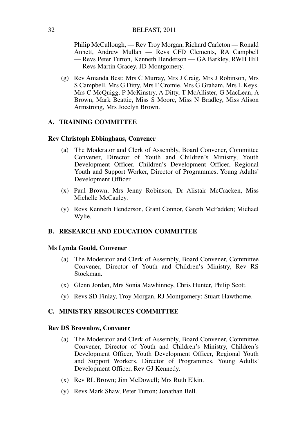Philip McCullough, — Rev Troy Morgan, Richard Carleton — Ronald Annett, Andrew Mullan — Revs CFD Clements, RA Campbell — Revs Peter Turton, Kenneth Henderson — GA Barkley, RWH Hill — Revs Martin Gracey, JD Montgomery.

(g) Rev Amanda Best; Mrs C Murray, Mrs J Craig, Mrs J Robinson, Mrs S Campbell, Mrs G Ditty, Mrs F Cromie, Mrs G Graham, Mrs L Keys, Mrs C McQuigg, P McKinstry, A Ditty, T McAllister, G MacLean, A Brown, Mark Beattie, Miss S Moore, Miss N Bradley, Miss Alison Armstrong, Mrs Jocelyn Brown.

#### **A. TRAINING COMMITTEE**

#### **Rev Christoph Ebbinghaus, Convener**

- (a) The Moderator and Clerk of Assembly, Board Convener, Committee Convener, Director of Youth and Children's Ministry, Youth Development Officer, Children's Development Officer, Regional Youth and Support Worker, Director of Programmes, Young Adults' Development Officer.
- (x) Paul Brown, Mrs Jenny Robinson, Dr Alistair McCracken, Miss Michelle McCauley.
- (y) Revs Kenneth Henderson, Grant Connor, Gareth McFadden; Michael Wylie.

#### **B. RESEARCH AND EDUCATION COMMITTEE**

#### **Ms Lynda Gould, Convener**

- (a) The Moderator and Clerk of Assembly, Board Convener, Committee Convener, Director of Youth and Children's Ministry, Rev RS Stockman.
- (x) Glenn Jordan, Mrs Sonia Mawhinney, Chris Hunter, Philip Scott.
- (y) Revs SD Finlay, Troy Morgan, RJ Montgomery; Stuart Hawthorne.

#### **C. MINISTRY RESOURCES COMMITTEE**

#### **Rev DS Brownlow, Convener**

- (a) The Moderator and Clerk of Assembly, Board Convener, Committee Convener, Director of Youth and Children's Ministry, Children's Development Officer, Youth Development Officer, Regional Youth and Support Workers, Director of Programmes, Young Adults' Development Officer, Rev GJ Kennedy.
- (x) Rev RL Brown; Jim McDowell; Mrs Ruth Elkin.
- (y) Revs Mark Shaw, Peter Turton; Jonathan Bell.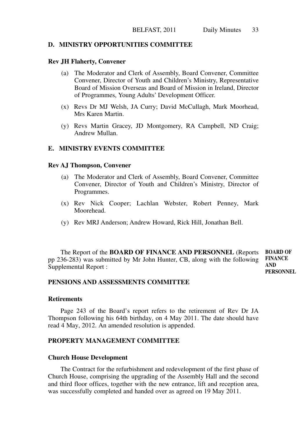# **D. MINISTRY OPPORTUNITIES COMMITTEE**

#### **Rev JH Flaherty, Convener**

- (a) The Moderator and Clerk of Assembly, Board Convener, Committee Convener, Director of Youth and Children's Ministry, Representative Board of Mission Overseas and Board of Mission in Ireland, Director of Programmes, Young Adults' Development Officer.
- (x) Revs Dr MJ Welsh, JA Curry; David McCullagh, Mark Moorhead, Mrs Karen Martin.
- (y) Revs Martin Gracey, JD Montgomery, RA Campbell, ND Craig; Andrew Mullan.

# **E. MINISTRY EVENTS COMMITTEE**

#### **Rev AJ Thompson, Convener**

- (a) The Moderator and Clerk of Assembly, Board Convener, Committee Convener, Director of Youth and Children's Ministry, Director of Programmes.
- (x) Rev Nick Cooper; Lachlan Webster, Robert Penney, Mark Moorehead.
- (y) Rev MRJ Anderson; Andrew Howard, Rick Hill, Jonathan Bell.

The Report of the **BOARD OF FINANCE AND PERSONNEL** (Reports pp 236-283) was submitted by Mr John Hunter, CB, along with the following Supplemental Report : **BOARD OF FINANCE AND PERSONNEL**

# **PENSIONS AND ASSESSMENTS COMMITTEE**

# **Retirements**

Page 243 of the Board's report refers to the retirement of Rev Dr JA Thompson following his 64th birthday, on 4 May 2011. The date should have read 4 May, 2012. An amended resolution is appended.

# **PROPERTY MANAGEMENT COMMITTEE**

#### **Church House Development**

The Contract for the refurbishment and redevelopment of the first phase of Church House, comprising the upgrading of the Assembly Hall and the second and third floor offices, together with the new entrance, lift and reception area, was successfully completed and handed over as agreed on 19 May 2011.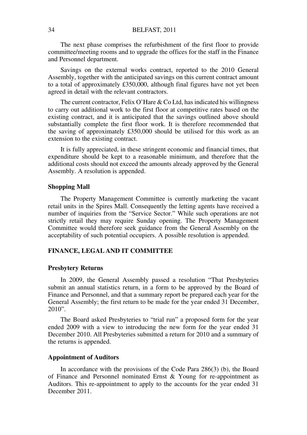The next phase comprises the refurbishment of the first floor to provide committee/meeting rooms and to upgrade the offices for the staff in the Finance and Personnel department.

Savings on the external works contract, reported to the 2010 General Assembly, together with the anticipated savings on this current contract amount to a total of approximately £350,000, although final figures have not yet been agreed in detail with the relevant contractors.

The current contractor, Felix O'Hare & Co Ltd, has indicated his willingness to carry out additional work to the first floor at competitive rates based on the existing contract, and it is anticipated that the savings outlined above should substantially complete the first floor work. It is therefore recommended that the saving of approximately £350,000 should be utilised for this work as an extension to the existing contract.

It is fully appreciated, in these stringent economic and financial times, that expenditure should be kept to a reasonable minimum, and therefore that the additional costs should not exceed the amounts already approved by the General Assembly. A resolution is appended.

#### **Shopping Mall**

The Property Management Committee is currently marketing the vacant retail units in the Spires Mall. Consequently the letting agents have received a number of inquiries from the "Service Sector." While such operations are not strictly retail they may require Sunday opening. The Property Management Committee would therefore seek guidance from the General Assembly on the acceptability of such potential occupiers. A possible resolution is appended.

# **FINANCE, LEGAL AND IT COMMITTEE**

# **Presbytery Returns**

In 2009, the General Assembly passed a resolution "That Presbyteries submit an annual statistics return, in a form to be approved by the Board of Finance and Personnel, and that a summary report be prepared each year for the General Assembly; the first return to be made for the year ended 31 December, 2010".

The Board asked Presbyteries to "trial run" a proposed form for the year ended 2009 with a view to introducing the new form for the year ended 31 December 2010. All Presbyteries submitted a return for 2010 and a summary of the returns is appended.

#### **Appointment of Auditors**

In accordance with the provisions of the Code Para 286(3) (b), the Board of Finance and Personnel nominated Ernst & Young for re-appointment as Auditors. This re-appointment to apply to the accounts for the year ended 31 December 2011.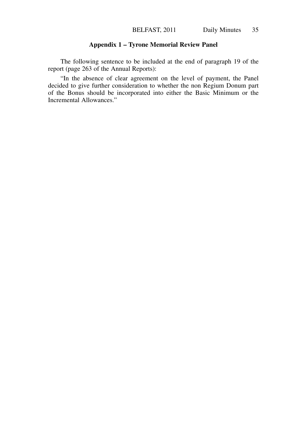# **Appendix 1 – Tyrone Memorial Review Panel**

The following sentence to be included at the end of paragraph 19 of the report (page 263 of the Annual Reports):

"In the absence of clear agreement on the level of payment, the Panel decided to give further consideration to whether the non Regium Donum part of the Bonus should be incorporated into either the Basic Minimum or the Incremental Allowances."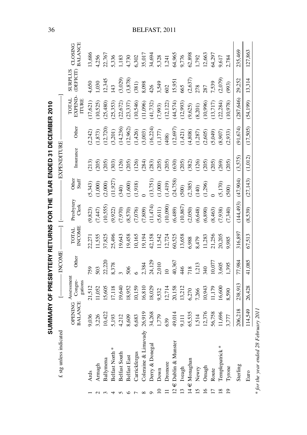|                 |                           |                                  |                                  |                | SUMMARY OF PRESBYTERY RETURNS FOR THE YEAR ENDED 31 DECEMBER 2010 |                               |                             |                    |                        |                                         |                      |                           |
|-----------------|---------------------------|----------------------------------|----------------------------------|----------------|-------------------------------------------------------------------|-------------------------------|-----------------------------|--------------------|------------------------|-----------------------------------------|----------------------|---------------------------|
|                 | £ stg unless indicated    |                                  |                                  | <b>INCOME</b>  |                                                                   |                               |                             | <b>EXPENDITURE</b> |                        |                                         |                      |                           |
|                 |                           | <b>OPENING</b><br><b>BALANCE</b> | Assessment<br>Congre-<br>gations | Other          | <b>INCOME</b><br><b>TOTAL</b>                                     | Presbytery<br>Clerk           | Other<br>Staff              | Insurance          | Other                  | EXPEND-<br><b>LATOT</b><br><b>ITURE</b> | SURPLUS<br>(DEFICIT) | <b>BALANCE</b><br>CLOSING |
|                 | Yds                       | ,036                             | 21,512                           | 759            | 2,271                                                             | 9,823)                        | (5,343)                     | (213)              | 2,242)                 | (17, 621)                               | ,650                 | 13,686                    |
| $\sim$          | Armagh                    | 3,226                            | 11,052                           | 503            | 1,555                                                             | (7,447)                       | 1,000                       | (205)              | 1,873)                 | (10,525)                                | 030,                 | 1,256                     |
|                 | Ballymena                 | 10,422                           | 15,605                           | 22,220         | 17,825                                                            | 10,555)                       | 2,000)                      | (205)              | 12,720)                | (25, 480)                               | 12,345               | 22,767                    |
| 4               | Belfast North             | 5,193                            | 17,118                           | 8,378          | 25,496                                                            | 9,922)                        | 11,927)                     | (303)              | 3,201)                 | (25, 353)                               | 43                   | 336                       |
| 5               | Belfast South             | 4,212                            | 19,640                           |                | 19,643                                                            |                               | (340)                       | (126)              | 14,236)                | (22, 672)                               | (3,029)              | 1.183                     |
| $\circ$         | Belfast East              | 8,609                            | 18,952                           | 506            | 19,458                                                            | $(0.250)$<br>(0.28)<br>(0.29) |                             | (205)              | 12,962)                | (23, 337)                               | (3,878)              | 4,730                     |
|                 | Carrickfergus             | 6,683                            | 10,159                           |                | 10,165                                                            |                               | $(1,600)$<br>$(1,918)$<br>0 | (126)              | 1,426)                 | (10,546)                                | 381)                 | 5,302                     |
|                 | Coleraine & Limavady      | 26,919                           | 16,810                           | 2,384          | 19,194                                                            | 7,809                         |                             | (284)              | (3,003)                | (11,096)                                | 8,098                | 35,017                    |
|                 | Derry & Donegal           | 34,268                           | 18,029                           | 24,129         | 42,158                                                            | (11,474)                      | (13,751)                    | (283)              | (16,224)               | (41, 732)                               |                      | 34,694                    |
| $\approx$       | Down                      | 1,779                            | 9,532                            | 2,010          | 1,542                                                             | (5, 611)                      | 1,000                       | (205)              | $1,177)$               | (7,993)                                 | 426<br>3,549         | 5,328<br>1,241            |
|                 | Dromore                   | 639                              | 12,714                           | $\overline{a}$ | 12,724                                                            | (10,090)                      |                             | (205)              | (408)                  | (12, 122)                               |                      |                           |
|                 | $12 \in$ Dublin & Munster | 49,014                           | 20,158                           | 40,367         | 60,525                                                            | (6,489)                       | $(1, 419)$<br>$(24, 758)$   | (630)              | (12, 697)              |                                         | 602<br>15,951        | 64,965                    |
| $\overline{13}$ | Iveagh                    | 9,111                            | 13,212                           | 446            | 13,658                                                            | (10, 867)                     | (500)                       | (205)              | 1,421)                 | $(44,574)$<br>(12,993)                  | 665                  | 9,776                     |
|                 | $14 \in$ Monaghan         | 65,535                           | 5,270                            | 718            | 6,988                                                             | (2,050)                       | (2,385)                     | (382)              |                        | (9,625)                                 | $(2,637)$<br>$278$   | 62,898                    |
| $\overline{15}$ | Newry                     | 514                              | 7,266                            | 1,213          | 8,479                                                             | (6, 648)                      | (140)                       | (126)              | $(4,808)$<br>$(1,287)$ | (8,201)                                 |                      | 1,792<br>12,663           |
| $\frac{6}{2}$   | Omagh                     | 12,376                           | 10,943                           | 340            | 1,283                                                             | (6, 890)                      | 1,296)                      | (205)              | 2,605                  | (10,996)                                | 182                  |                           |
|                 | Route                     | 56,758                           | 1,179                            | 10,077         | 21,256                                                            | (8,463)                       |                             | (205)              | (5,049)                | 13,717                                  | ,539                 | 54,297                    |
| $\frac{8}{18}$  | lemplepatrick*            | 11,696                           | 16,600                           | 3,605          | 20,205                                                            | (388)                         | 5,170)                      | (269)              | (8,907)                | (22, 284)                               | (2,079)              | 9,617                     |
| $\overline{0}$  | Tyrone                    | 3,777                            | 8,590                            | ,395           | 9,985                                                             | (7,340)                       | (500)                       | (205)              | (2,933)                | (10,978)                                | (993)                | 2,784                     |
|                 | Sterling                  | 206,218                          | 238,913                          | 77,984         | 316,897                                                           | (144, 493)                    | (47,904)                    | (3,575)            | (91, 674)              | (287, 646)                              | 29,252               | 235,469                   |
|                 | Euro                      | 114,549                          | 26,428                           | 41,085         | 67,513                                                            | (8,539)                       | (27, 143)                   | (1,012)            | (17,505)               | (54, 199)                               | 13,314               | 127,863                   |

36

# BELFAST, 2011

\* for the year ended 28 February 2011 \* *for the year ended 28 February 2011*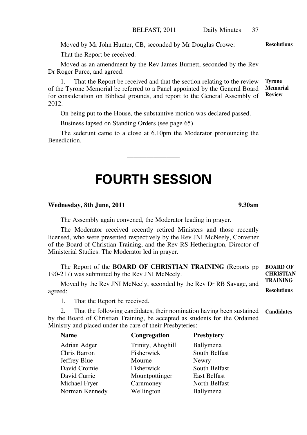Moved by Mr John Hunter, CB, seconded by Mr Douglas Crowe:

That the Report be received.

Moved as an amendment by the Rev James Burnett, seconded by the Rev Dr Roger Purce, and agreed:

1. That the Report be received and that the section relating to the review of the Tyrone Memorial be referred to a Panel appointed by the General Board for consideration on Biblical grounds, and report to the General Assembly of 2012. **Tyrone Memorial Review**

On being put to the House, the substantive motion was declared passed.

Business lapsed on Standing Orders (see page 65)

The sederunt came to a close at 6.10pm the Moderator pronouncing the Benediction.

———————————————

# **FOURTH SESSION**

## **Wednesday, 8th June, 2011 9.30am**

The Assembly again convened, the Moderator leading in prayer.

The Moderator received recently retired Ministers and those recently licensed, who were presented respectively by the Rev JNI McNeely, Convener of the Board of Christian Training, and the Rev RS Hetherington, Director of Ministerial Studies. The Moderator led in prayer.

The Report of the **BOARD OF CHRISTIAN TRAINING** (Reports pp 190-217) was submitted by the Rev JNI McNeely. **BOARD OF CHRISTIAN TRAINING**

Moved by the Rev JNI McNeely, seconded by the Rev Dr RB Savage, and agreed: **Resolutions**

1. That the Report be received.

2. That the following candidates, their nomination having been sustained by the Board of Christian Training, be accepted as students for the Ordained Ministry and placed under the care of their Presbyteries: **Candidates**

| Name           | Congregation      | Presbytery          |
|----------------|-------------------|---------------------|
| Adrian Adger   | Trinity, Ahoghill | Ballymena           |
| Chris Barron   | Fisherwick        | South Belfast       |
| Jeffrey Blue   | Mourne            | Newry               |
| David Cromie   | Fisherwick        | South Belfast       |
| David Currie   | Mountpottinger    | <b>East Belfast</b> |
| Michael Fryer  | Carnmoney         | North Belfast       |
| Norman Kennedy | Wellington        | Ballymena           |
|                |                   |                     |

**Resolutions**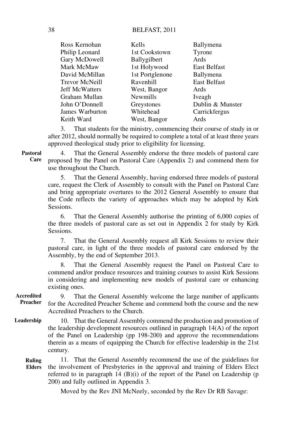| Kells           | Ballymena           |
|-----------------|---------------------|
| 1st Cookstown   | Tyrone              |
| Ballygilbert    | Ards                |
| 1st Holywood    | <b>East Belfast</b> |
| 1st Portglenone | Ballymena           |
| Ravenhill       | <b>East Belfast</b> |
| West, Bangor    | Ards                |
| <b>Newmills</b> | Iveagh              |
| Greystones      | Dublin & Munster    |
| Whitehead       | Carrickfergus       |
| West, Bangor    | Ards                |
|                 |                     |

3. That students for the ministry, commencing their course of study in or after 2012, should normally be required to complete a total of at least three years approved theological study prior to eligibility for licensing.

**Pastoral** 

**Care**

4. That the General Assembly endorse the three models of pastoral care proposed by the Panel on Pastoral Care (Appendix 2) and commend them for use throughout the Church.

5. That the General Assembly, having endorsed three models of pastoral care, request the Clerk of Assembly to consult with the Panel on Pastoral Care and bring appropriate overtures to the 2012 General Assembly to ensure that the Code reflects the variety of approaches which may be adopted by Kirk Sessions.

6. That the General Assembly authorise the printing of 6,000 copies of the three models of pastoral care as set out in Appendix 2 for study by Kirk Sessions.

7. That the General Assembly request all Kirk Sessions to review their pastoral care, in light of the three models of pastoral care endorsed by the Assembly, by the end of September 2013.

8. That the General Assembly request the Panel on Pastoral Care to commend and/or produce resources and training courses to assist Kirk Sessions in considering and implementing new models of pastoral care or enhancing existing ones.

9. That the General Assembly welcome the large number of applicants for the Accredited Preacher Scheme and commend both the course and the new Accredited Preachers to the Church. **Accredited Preacher**

10. That the General Assembly commend the production and promotion of the leadership development resources outlined in paragraph 14(A) of the report of the Panel on Leadership (pp 198-200**)** and approve the recommendations therein as a means of equipping the Church for effective leadership in the 21st century. **Leadership**

11. That the General Assembly recommend the use of the guidelines for the involvement of Presbyteries in the approval and training of Elders Elect referred to in paragraph 14 (B)(i) of the report of the Panel on Leadership (p 200) and fully outlined in Appendix 3. **Ruling Elders**

Moved by the Rev JNI McNeely, seconded by the Rev Dr RB Savage: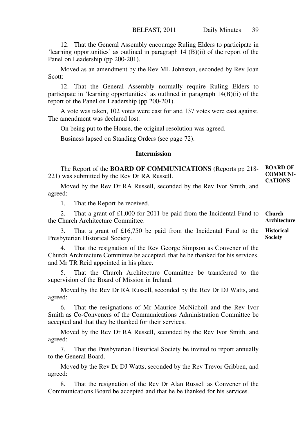12. That the General Assembly encourage Ruling Elders to participate in 'learning opportunities' as outlined in paragraph 14 (B)(ii) of the report of the Panel on Leadership (pp 200-201).

Moved as an amendment by the Rev ML Johnston, seconded by Rev Joan Scott:

12. That the General Assembly normally require Ruling Elders to participate in 'learning opportunities' as outlined in paragraph 14(B)(ii) of the report of the Panel on Leadership (pp 200-201).

A vote was taken, 102 votes were cast for and 137 votes were cast against. The amendment was declared lost.

On being put to the House, the original resolution was agreed.

Business lapsed on Standing Orders (see page 72).

# **Intermission**

The Report of the **BOARD OF COMMUNICATIONS** (Reports pp 218- 221) was submitted by the Rev Dr RA Russell. **BOARD OF COMMUNI-CATIONS**

Moved by the Rev Dr RA Russell, seconded by the Rev Ivor Smith, and agreed:

1. That the Report be received.

2. That a grant of £1,000 for 2011 be paid from the Incidental Fund to the Church Architecture Committee. **Church Architecture**

3. That a grant of £16,750 be paid from the Incidental Fund to the Presbyterian Historical Society.

That the resignation of the Rev George Simpson as Convener of the Church Architecture Committee be accepted, that he be thanked for his services, and Mr TR Reid appointed in his place.

5. That the Church Architecture Committee be transferred to the supervision of the Board of Mission in Ireland.

Moved by the Rev Dr RA Russell, seconded by the Rev Dr DJ Watts, and agreed:

6. That the resignations of Mr Maurice McNicholl and the Rev Ivor Smith as Co-Conveners of the Communications Administration Committee be accepted and that they be thanked for their services.

Moved by the Rev Dr RA Russell, seconded by the Rev Ivor Smith, and agreed:

7. That the Presbyterian Historical Society be invited to report annually to the General Board.

Moved by the Rev Dr DJ Watts, seconded by the Rev Trevor Gribben, and agreed:

8. That the resignation of the Rev Dr Alan Russell as Convener of the Communications Board be accepted and that he be thanked for his services.

**Historical Society**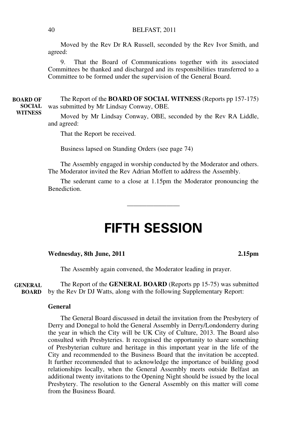#### BELFAST, 2011

Moved by the Rev Dr RA Russell, seconded by the Rev Ivor Smith, and agreed:

9. That the Board of Communications together with its associated Committees be thanked and discharged and its responsibilities transferred to a Committee to be formed under the supervision of the General Board.

The Report of the **BOARD OF SOCIAL WITNESS** (Reports pp 157-175) was submitted by Mr Lindsay Conway, OBE. **BOARD OF SOCIAL WITNESS**

Moved by Mr Lindsay Conway, OBE, seconded by the Rev RA Liddle, and agreed:

That the Report be received.

Business lapsed on Standing Orders (see page 74)

The Assembly engaged in worship conducted by the Moderator and others. The Moderator invited the Rev Adrian Moffett to address the Assembly.

The sederunt came to a close at 1.15pm the Moderator pronouncing the Benediction.

———————————————

# **FIFTH SESSION**

#### **Wednesday, 8th June, 2011 2.15pm**

The Assembly again convened, the Moderator leading in prayer.

The Report of the **GENERAL BOARD** (Reports pp 15-75) was submitted by the Rev Dr DJ Watts, along with the following Supplementary Report: **GENERAL BOARD**

#### **General**

The General Board discussed in detail the invitation from the Presbytery of Derry and Donegal to hold the General Assembly in Derry/Londonderry during the year in which the City will be UK City of Culture, 2013. The Board also consulted with Presbyteries. It recognised the opportunity to share something of Presbyterian culture and heritage in this important year in the life of the City and recommended to the Business Board that the invitation be accepted. It further recommended that to acknowledge the importance of building good relationships locally, when the General Assembly meets outside Belfast an additional twenty invitations to the Opening Night should be issued by the local Presbytery. The resolution to the General Assembly on this matter will come from the Business Board.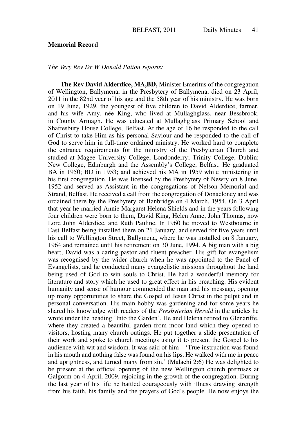# **Memorial Record**

*The Very Rev Dr W Donald Patton reports:*

**The Rev David Alderdice, MA,BD,** Minister Emeritus of the congregation of Wellington, Ballymena, in the Presbytery of Ballymena, died on 23 April, 2011 in the 82nd year of his age and the 58th year of his ministry. He was born on 19 June, 1929, the youngest of five children to David Alderdice, farmer, and his wife Amy, née King, who lived at Mullaghglass, near Bessbrook, in County Armagh. He was educated at Mullaghglass Primary School and Shaftesbury House College, Belfast. At the age of 16 he responded to the call of Christ to take Him as his personal Saviour and he responded to the call of God to serve him in full-time ordained ministry. He worked hard to complete the entrance requirements for the ministry of the Presbyterian Church and studied at Magee University College, Londonderry; Trinity College, Dublin; New College, Edinburgh and the Assembly's College, Belfast. He graduated BA in 1950; BD in 1953; and achieved his MA in 1959 while ministering in his first congregation. He was licensed by the Presbytery of Newry on 8 June, 1952 and served as Assistant in the congregations of Nelson Memorial and Strand, Belfast. He received a call from the congregation of Donacloney and was ordained there by the Presbytery of Banbridge on 4 March, 1954. On 3 April that year he married Annie Margaret Helena Shields and in the years following four children were born to them, David King, Helen Anne, John Thomas, now Lord John Alderdice, and Ruth Pauline. In 1960 he moved to Westbourne in East Belfast being installed there on 21 January, and served for five years until his call to Wellington Street, Ballymena, where he was installed on 8 January, 1964 and remained until his retirement on 30 June, 1994. A big man with a big heart, David was a caring pastor and fluent preacher. His gift for evangelism was recognised by the wider church when he was appointed to the Panel of Evangelists, and he conducted many evangelistic missions throughout the land being used of God to win souls to Christ. He had a wonderful memory for literature and story which he used to great effect in his preaching. His evident humanity and sense of humour commended the man and his message, opening up many opportunities to share the Gospel of Jesus Christ in the pulpit and in personal conversation. His main hobby was gardening and for some years he shared his knowledge with readers of the *Presbyterian Herald* in the articles he wrote under the heading 'Into the Garden'. He and Helena retired to Glenariffe, where they created a beautiful garden from moor land which they opened to visitors, hosting many church outings. He put together a slide presentation of their work and spoke to church meetings using it to present the Gospel to his audience with wit and wisdom. It was said of him – 'True instruction was found in his mouth and nothing false was found on his lips. He walked with me in peace and uprightness, and turned many from sin.' (Malachi 2:6) He was delighted to be present at the official opening of the new Wellington church premises at Galgorm on 4 April, 2009, rejoicing in the growth of the congregation. During the last year of his life he battled courageously with illness drawing strength from his faith, his family and the prayers of God's people. He now enjoys the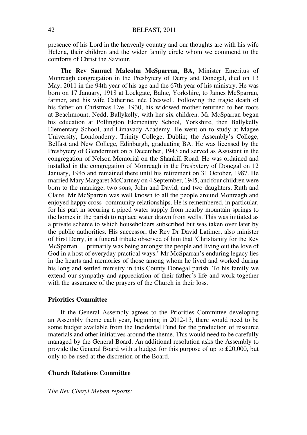presence of his Lord in the heavenly country and our thoughts are with his wife Helena, their children and the wider family circle whom we commend to the comforts of Christ the Saviour.

**The Rev Samuel Malcolm McSparran, BA,** Minister Emeritus of Monreagh congregation in the Presbytery of Derry and Donegal, died on 13 May, 2011 in the 94th year of his age and the 67th year of his ministry. He was born on 17 January, 1918 at Lockgate, Balne, Yorkshire, to James McSparran, farmer, and his wife Catherine, née Creswell. Following the tragic death of his father on Christmas Eve, 1930, his widowed mother returned to her roots at Beachmount, Nedd, Ballykelly, with her six children. Mr McSparran began his education at Pollington Elementary School, Yorkshire, then Ballykelly Elementary School, and Limavady Academy. He went on to study at Magee University, Londonderry; Trinity College, Dublin; the Assembly's College, Belfast and New College, Edinburgh, graduating BA. He was licensed by the Presbytery of Glendermott on 5 December, 1943 and served as Assistant in the congregation of Nelson Memorial on the Shankill Road. He was ordained and installed in the congregation of Monreagh in the Presbytery of Donegal on 12 January, 1945 and remained there until his retirement on 31 October, 1987. He married Mary Margaret McCartney on 4 September, 1945, and four children were born to the marriage, two sons, John and David, and two daughters, Ruth and Claire. Mr McSparran was well known to all the people around Monreagh and enjoyed happy cross- community relationships. He is remembered, in particular, for his part in securing a piped water supply from nearby mountain springs to the homes in the parish to replace water drawn from wells. This was initiated as a private scheme to which householders subscribed but was taken over later by the public authorities. His successor, the Rev Dr David Latimer, also minister of First Derry, in a funeral tribute observed of him that 'Christianity for the Rev McSparran … primarily was being amongst the people and living out the love of God in a host of everyday practical ways.' Mr McSparran's enduring legacy lies in the hearts and memories of those among whom he lived and worked during his long and settled ministry in this County Donegal parish. To his family we extend our sympathy and appreciation of their father's life and work together with the assurance of the prayers of the Church in their loss.

# **Priorities Committee**

If the General Assembly agrees to the Priorities Committee developing an Assembly theme each year, beginning in 2012-13, there would need to be some budget available from the Incidental Fund for the production of resource materials and other initiatives around the theme. This would need to be carefully managed by the General Board. An additional resolution asks the Assembly to provide the General Board with a budget for this purpose of up to £20,000, but only to be used at the discretion of the Board.

#### **Church Relations Committee**

*The Rev Cheryl Meban reports:*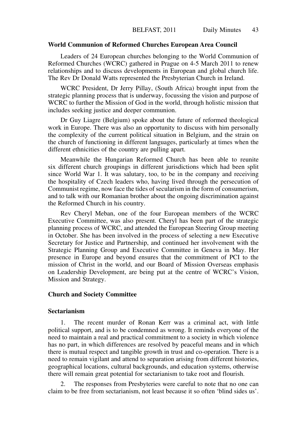#### **World Communion of Reformed Churches European Area Council**

Leaders of 24 European churches belonging to the World Communion of Reformed Churches (WCRC) gathered in Prague on 4-5 March 2011 to renew relationships and to discuss developments in European and global church life. The Rev Dr Donald Watts represented the Presbyterian Church in Ireland.

WCRC President, Dr Jerry Pillay, (South Africa) brought input from the strategic planning process that is underway, focussing the vision and purpose of WCRC to further the Mission of God in the world, through holistic mission that includes seeking justice and deeper communion.

Dr Guy Liagre (Belgium) spoke about the future of reformed theological work in Europe. There was also an opportunity to discuss with him personally the complexity of the current political situation in Belgium, and the strain on the church of functioning in different languages, particularly at times when the different ethnicities of the country are pulling apart.

Meanwhile the Hungarian Reformed Church has been able to reunite six different church groupings in different jurisdictions which had been split since World War 1. It was salutary, too, to be in the company and receiving the hospitality of Czech leaders who, having lived through the persecution of Communist regime, now face the tides of secularism in the form of consumerism, and to talk with our Romanian brother about the ongoing discrimination against the Reformed Church in his country.

Rev Cheryl Meban, one of the four European members of the WCRC Executive Committee, was also present. Cheryl has been part of the strategic planning process of WCRC, and attended the European Steering Group meeting in October. She has been involved in the process of selecting a new Executive Secretary for Justice and Partnership, and continued her involvement with the Strategic Planning Group and Executive Committee in Geneva in May. Her presence in Europe and beyond ensures that the commitment of PCI to the mission of Christ in the world, and our Board of Mission Overseas emphasis on Leadership Development, are being put at the centre of WCRC's Vision, Mission and Strategy.

# **Church and Society Committee**

# **Sectarianism**

1. The recent murder of Ronan Kerr was a criminal act, with little political support, and is to be condemned as wrong. It reminds everyone of the need to maintain a real and practical commitment to a society in which violence has no part, in which differences are resolved by peaceful means and in which there is mutual respect and tangible growth in trust and co-operation. There is a need to remain vigilant and attend to separation arising from different histories, geographical locations, cultural backgrounds, and education systems, otherwise there will remain great potential for sectarianism to take root and flourish.

The responses from Presbyteries were careful to note that no one can claim to be free from sectarianism, not least because it so often 'blind sides us'.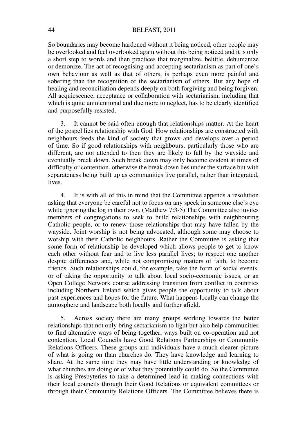#### BELFAST, 2011

So boundaries may become hardened without it being noticed, other people may be overlooked and feel overlooked again without this being noticed and it is only a short step to words and then practices that marginalize, belittle, dehumanize or demonize. The act of recognising and accepting sectarianism as part of one's own behaviour as well as that of others, is perhaps even more painful and sobering than the recognition of the sectarianism of others. But any hope of healing and reconciliation depends deeply on both forgiving and being forgiven. All acquiescence, acceptance or collaboration with sectarianism, including that which is quite unintentional and due more to neglect, has to be clearly identified and purposefully resisted.

3. It cannot be said often enough that relationships matter. At the heart of the gospel lies relationship with God. How relationships are constructed with neighbours feeds the kind of society that grows and develops over a period of time. So if good relationships with neighbours, particularly those who are different, are not attended to then they are likely to fall by the wayside and eventually break down. Such break down may only become evident at times of difficulty or contention, otherwise the break down lies under the surface but with separateness being built up as communities live parallel, rather than integrated, lives.

4. It is with all of this in mind that the Committee appends a resolution asking that everyone be careful not to focus on any speck in someone else's eye while ignoring the log in their own. (Matthew 7:3-5) The Committee also invites members of congregations to seek to build relationships with neighbouring Catholic people, or to renew those relationships that may have fallen by the wayside. Joint worship is not being advocated, although some may choose to worship with their Catholic neighbours. Rather the Committee is asking that some form of relationship be developed which allows people to get to know each other without fear and to live less parallel lives; to respect one another despite differences and, while not compromising matters of faith, to become friends. Such relationships could, for example, take the form of social events, or of taking the opportunity to talk about local socio-economic issues, or an Open College Network course addressing transition from conflict in countries including Northern Ireland which gives people the opportunity to talk about past experiences and hopes for the future. What happens locally can change the atmosphere and landscape both locally and further afield.

5. Across society there are many groups working towards the better relationships that not only bring sectarianism to light but also help communities to find alternative ways of being together, ways built on co-operation and not contention. Local Councils have Good Relations Partnerships or Community Relations Officers. These groups and individuals have a much clearer picture of what is going on than churches do. They have knowledge and learning to share. At the same time they may have little understanding or knowledge of what churches are doing or of what they potentially could do. So the Committee is asking Presbyteries to take a determined lead in making connections with their local councils through their Good Relations or equivalent committees or through their Community Relations Officers. The Committee believes there is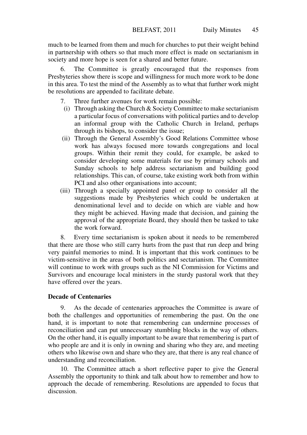much to be learned from them and much for churches to put their weight behind in partnership with others so that much more effect is made on sectarianism in society and more hope is seen for a shared and better future.

6. The Committee is greatly encouraged that the responses from Presbyteries show there is scope and willingness for much more work to be done in this area. To test the mind of the Assembly as to what that further work might be resolutions are appended to facilitate debate.

- 7. Three further avenues for work remain possible:
- (i) Through asking the Church & Society Committee to make sectarianism a particular focus of conversations with political parties and to develop an informal group with the Catholic Church in Ireland, perhaps through its bishops, to consider the issue;
- (ii) Through the General Assembly's Good Relations Committee whose work has always focused more towards congregations and local groups. Within their remit they could, for example, be asked to consider developing some materials for use by primary schools and Sunday schools to help address sectarianism and building good relationships. This can, of course, take existing work both from within PCI and also other organisations into account;
- (iii) Through a specially appointed panel or group to consider all the suggestions made by Presbyteries which could be undertaken at denominational level and to decide on which are viable and how they might be achieved. Having made that decision, and gaining the approval of the appropriate Board, they should then be tasked to take the work forward.

8. Every time sectarianism is spoken about it needs to be remembered that there are those who still carry hurts from the past that run deep and bring very painful memories to mind. It is important that this work continues to be victim-sensitive in the areas of both politics and sectarianism. The Committee will continue to work with groups such as the NI Commission for Victims and Survivors and encourage local ministers in the sturdy pastoral work that they have offered over the years.

# **Decade of Centenaries**

9. As the decade of centenaries approaches the Committee is aware of both the challenges and opportunities of remembering the past. On the one hand, it is important to note that remembering can undermine processes of reconciliation and can put unnecessary stumbling blocks in the way of others. On the other hand, it is equally important to be aware that remembering is part of who people are and it is only in owning and sharing who they are, and meeting others who likewise own and share who they are, that there is any real chance of understanding and reconciliation.

10. The Committee attach a short reflective paper to give the General Assembly the opportunity to think and talk about how to remember and how to approach the decade of remembering. Resolutions are appended to focus that discussion.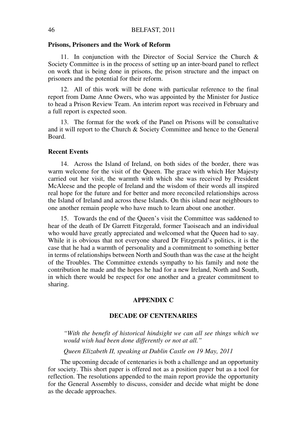#### **Prisons, Prisoners and the Work of Reform**

11. In conjunction with the Director of Social Service the Church & Society Committee is in the process of setting up an inter-board panel to reflect on work that is being done in prisons, the prison structure and the impact on prisoners and the potential for their reform.

12. All of this work will be done with particular reference to the final report from Dame Anne Owers, who was appointed by the Minister for Justice to head a Prison Review Team. An interim report was received in February and a full report is expected soon.

13. The format for the work of the Panel on Prisons will be consultative and it will report to the Church & Society Committee and hence to the General Board.

# **Recent Events**

14. Across the Island of Ireland, on both sides of the border, there was warm welcome for the visit of the Queen. The grace with which Her Majesty carried out her visit, the warmth with which she was received by President McAleese and the people of Ireland and the wisdom of their words all inspired real hope for the future and for better and more reconciled relationships across the Island of Ireland and across these Islands. On this island near neighbours to one another remain people who have much to learn about one another.

15. Towards the end of the Queen's visit the Committee was saddened to hear of the death of Dr Garrett Fitzgerald, former Taoiseach and an individual who would have greatly appreciated and welcomed what the Queen had to say. While it is obvious that not everyone shared Dr Fitzgerald's politics, it is the case that he had a warmth of personality and a commitment to something better in terms of relationships between North and South than was the case at the height of the Troubles. The Committee extends sympathy to his family and note the contribution he made and the hopes he had for a new Ireland, North and South, in which there would be respect for one another and a greater commitment to sharing.

# **APPENDIX C**

# **DECADE OF CENTENARIES**

*"With the benefit of historical hindsight we can all see things which we would wish had been done differently or not at all."*

*Queen Elizabeth II, speaking at Dublin Castle on 19 May, 2011*

The upcoming decade of centenaries is both a challenge and an opportunity for society. This short paper is offered not as a position paper but as a tool for reflection. The resolutions appended to the main report provide the opportunity for the General Assembly to discuss, consider and decide what might be done as the decade approaches.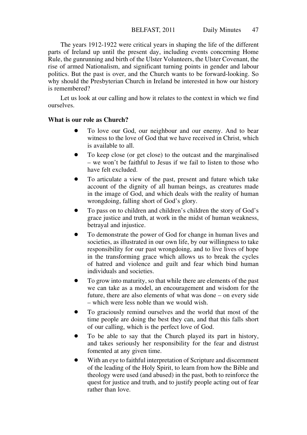The years 1912-1922 were critical years in shaping the life of the different parts of Ireland up until the present day, including events concerning Home Rule, the gunrunning and birth of the Ulster Volunteers, the Ulster Covenant, the rise of armed Nationalism, and significant turning points in gender and labour politics. But the past is over, and the Church wants to be forward-looking. So why should the Presbyterian Church in Ireland be interested in how our history is remembered?

Let us look at our calling and how it relates to the context in which we find ourselves.

# **What is our role as Church?**

- To love our God, our neighbour and our enemy. And to bear witness to the love of God that we have received in Christ, which is available to all.
- To keep close (or get close) to the outcast and the marginalised – we won't be faithful to Jesus if we fail to listen to those who have felt excluded.
- To articulate a view of the past, present and future which take account of the dignity of all human beings, as creatures made in the image of God, and which deals with the reality of human wrongdoing, falling short of God's glory.
- To pass on to children and children's children the story of God's grace justice and truth, at work in the midst of human weakness, betrayal and injustice.
- To demonstrate the power of God for change in human lives and societies, as illustrated in our own life, by our willingness to take responsibility for our past wrongdoing, and to live lives of hope in the transforming grace which allows us to break the cycles of hatred and violence and guilt and fear which bind human individuals and societies.
- To grow into maturity, so that while there are elements of the past we can take as a model, an encouragement and wisdom for the future, there are also elements of what was done – on every side – which were less noble than we would wish.
- To graciously remind ourselves and the world that most of the time people are doing the best they can, and that this falls short of our calling, which is the perfect love of God.
- To be able to say that the Church played its part in history, and takes seriously her responsibility for the fear and distrust fomented at any given time.
- With an eye to faithful interpretation of Scripture and discernment of the leading of the Holy Spirit, to learn from how the Bible and theology were used (and abused) in the past, both to reinforce the quest for justice and truth, and to justify people acting out of fear rather than love.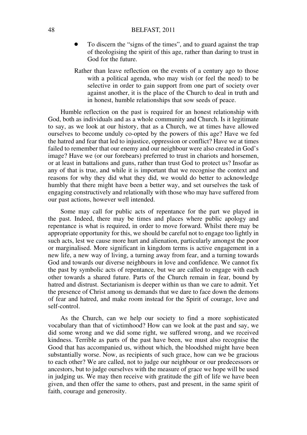#### 48 BELFAST, 2011

- To discern the "signs of the times", and to guard against the trap of theologising the spirit of this age, rather than daring to trust in God for the future.
- Rather than leave reflection on the events of a century ago to those with a political agenda, who may wish (or feel the need) to be selective in order to gain support from one part of society over against another, it is the place of the Church to deal in truth and in honest, humble relationships that sow seeds of peace.

Humble reflection on the past is required for an honest relationship with God, both as individuals and as a whole community and Church. Is it legitimate to say, as we look at our history, that as a Church, we at times have allowed ourselves to become unduly co-opted by the powers of this age? Have we fed the hatred and fear that led to injustice, oppression or conflict? Have we at times failed to remember that our enemy and our neighbour were also created in God's image? Have we (or our forebears) preferred to trust in chariots and horsemen, or at least in battalions and guns, rather than trust God to protect us? Insofar as any of that is true, and while it is important that we recognise the context and reasons for why they did what they did, we would do better to acknowledge humbly that there might have been a better way, and set ourselves the task of engaging constructively and relationally with those who may have suffered from our past actions, however well intended.

Some may call for public acts of repentance for the part we played in the past. Indeed, there may be times and places where public apology and repentance is what is required, in order to move forward. Whilst there may be appropriate opportunity for this, we should be careful not to engage too lightly in such acts, lest we cause more hurt and alienation, particularly amongst the poor or marginalised. More significant in kingdom terms is active engagement in a new life, a new way of living, a turning away from fear, and a turning towards God and towards our diverse neighbours in love and confidence. We cannot fix the past by symbolic acts of repentance, but we are called to engage with each other towards a shared future. Parts of the Church remain in fear, bound by hatred and distrust. Sectarianism is deeper within us than we care to admit. Yet the presence of Christ among us demands that we dare to face down the demons of fear and hatred, and make room instead for the Spirit of courage, love and self-control.

As the Church, can we help our society to find a more sophisticated vocabulary than that of victimhood? How can we look at the past and say, we did some wrong and we did some right, we suffered wrong, and we received kindness. Terrible as parts of the past have been, we must also recognise the Good that has accompanied us, without which, the bloodshed might have been substantially worse. Now, as recipients of such grace, how can we be gracious to each other? We are called, not to judge our neighbour or our predecessors or ancestors, but to judge ourselves with the measure of grace we hope will be used in judging us. We may then receive with gratitude the gift of life we have been given, and then offer the same to others, past and present, in the same spirit of faith, courage and generosity.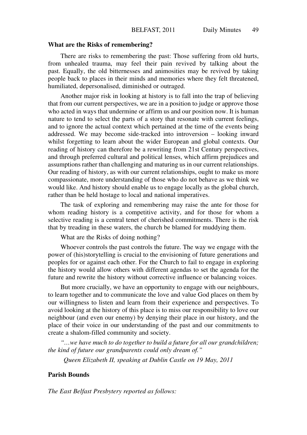#### **What are the Risks of remembering?**

There are risks to remembering the past: Those suffering from old hurts, from unhealed trauma, may feel their pain revived by talking about the past. Equally, the old bitternesses and animosities may be revived by taking people back to places in their minds and memories where they felt threatened, humiliated, depersonalised, diminished or outraged.

Another major risk in looking at history is to fall into the trap of believing that from our current perspectives, we are in a position to judge or approve those who acted in ways that undermine or affirm us and our position now. It is human nature to tend to select the parts of a story that resonate with current feelings, and to ignore the actual context which pertained at the time of the events being addressed. We may become side-tracked into introversion – looking inward whilst forgetting to learn about the wider European and global contexts. Our reading of history can therefore be a rewriting from 21st Century perspectives, and through preferred cultural and political lenses, which affirm prejudices and assumptions rather than challenging and maturing us in our current relationships. Our reading of history, as with our current relationships, ought to make us more compassionate, more understanding of those who do not behave as we think we would like. And history should enable us to engage locally as the global church, rather than be held hostage to local and national imperatives.

The task of exploring and remembering may raise the ante for those for whom reading history is a competitive activity, and for those for whom a selective reading is a central tenet of cherished commitments. There is the risk that by treading in these waters, the church be blamed for muddying them.

What are the Risks of doing nothing?

Whoever controls the past controls the future. The way we engage with the power of (his)storytelling is crucial to the envisioning of future generations and peoples for or against each other. For the Church to fail to engage in exploring the history would allow others with different agendas to set the agenda for the future and rewrite the history without corrective influence or balancing voices.

But more crucially, we have an opportunity to engage with our neighbours, to learn together and to communicate the love and value God places on them by our willingness to listen and learn from their experience and perspectives. To avoid looking at the history of this place is to miss our responsibility to love our neighbour (and even our enemy) by denying their place in our history, and the place of their voice in our understanding of the past and our commitments to create a shalom-filled community and society.

*"…we have much to do together to build a future for all our grandchildren; the kind of future our grandparents could only dream of."*

*Queen Elizabeth II, speaking at Dublin Castle on 19 May, 2011*

#### **Parish Bounds**

*The East Belfast Presbytery reported as follows:*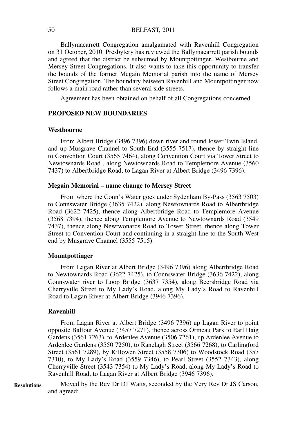Ballymacarrett Congregation amalgamated with Ravenhill Congregation on 31 October, 2010. Presbytery has reviewed the Ballymacarrett parish bounds and agreed that the district be subsumed by Mountpottinger, Westbourne and Mersey Street Congregations. It also wants to take this opportunity to transfer the bounds of the former Megain Memorial parish into the name of Mersey Street Congregation. The boundary between Ravenhill and Mountpottinger now follows a main road rather than several side streets.

Agreement has been obtained on behalf of all Congregations concerned.

#### **PROPOSED NEW BOUNDARIES**

#### **Westbourne**

From Albert Bridge (3496 7396) down river and round lower Twin Island, and up Musgrave Channel to South End (3555 7517), thence by straight line to Convention Court (3565 7464), along Convention Court via Tower Street to Newtownards Road , along Newtownards Road to Templemore Avenue (3560 7437) to Albertbridge Road, to Lagan River at Albert Bridge (3496 7396).

#### **Megain Memorial – name change to Mersey Street**

From where the Conn's Water goes under Sydenham By-Pass (3563 7503) to Connswater Bridge (3635 7422), along Newtownards Road to Albertbridge Road (3622 7425), thence along Albertbridge Road to Templemore Avenue (3568 7394), thence along Templemore Avenue to Newtownards Road (3549 7437), thence along Newtwonards Road to Tower Street, thence along Tower Street to Convention Court and continuing in a straight line to the South West end by Musgrave Channel (3555 7515).

#### **Mountpottinger**

From Lagan River at Albert Bridge (3496 7396) along Albertbridge Road to Newtownards Road (3622 7425), to Connswater Bridge (3636 7422), along Connswater river to Loop Bridge (3637 7354), along Beersbridge Road via Cherryville Street to My Lady's Road, along My Lady's Road to Ravenhill Road to Lagan River at Albert Bridge (3946 7396).

#### **Ravenhill**

From Lagan River at Albert Bridge (3496 7396) up Lagan River to point opposite Balfour Avenue (3457 7271), thence across Ormeau Park to Earl Haig Gardens (3561 7263), to Ardenlee Avenue (3506 7261), up Ardenlee Avenue to Ardenlee Gardens (3550 7250), to Ranelagh Street (3566 7268), to Carlingford Street (3561 7289), by Killowen Street (3558 7306) to Woodstock Road (357 7310), to My Lady's Road (3559 7346), to Pearl Street (3552 7343), along Cherryville Street (3543 7354) to My Lady's Road, along My Lady's Road to Ravenhill Road, to Lagan River at Albert Bridge (3946 7396).

Moved by the Rev Dr DJ Watts, seconded by the Very Rev Dr JS Carson, and agreed: **Resolutions**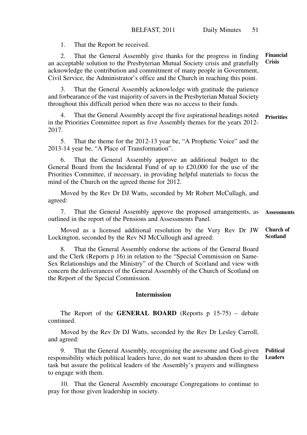1. That the Report be received.

2. That the General Assembly give thanks for the progress in finding an acceptable solution to the Presbyterian Mutual Society crisis and gratefully acknowledge the contribution and commitment of many people in Government, Civil Service, the Administrator's office and the Church in reaching this point. **Financial Crisis**

That the General Assembly acknowledge with gratitude the patience and forbearance of the vast majority of savers in the Presbyterian Mutual Society throughout this difficult period when there was no access to their funds.

4. That the General Assembly accept the five aspirational headings noted **Priorities** in the Priorities Committee report as five Assembly themes for the years 2012- 2017.

5. That the theme for the 2012-13 year be, "A Prophetic Voice" and the 2013-14 year be, "A Place of Transformation".

6. That the General Assembly approve an additional budget to the General Board from the Incidental Fund of up to £20,000 for the use of the Priorities Committee, if necessary, in providing helpful materials to focus the mind of the Church on the agreed theme for 2012.

Moved by the Rev Dr DJ Watts, seconded by Mr Robert McCullagh, and agreed:

7. That the General Assembly approve the proposed arrangements, as outlined in the report of the Pensions and Assessments Panel. **Assessments**

Moved as a licensed additional resolution by the Very Rev Dr JW Lockington, seconded by the Rev NJ McCullough and agreed: **Church of Scotland**

8. That the General Assembly endorse the actions of the General Board and the Clerk (Reports p 16) in relation to the "Special Commission on Same-Sex Relationships and the Ministry" of the Church of Scotland and view with concern the deliverances of the General Assembly of the Church of Scotland on the Report of the Special Commission.

#### **Intermission**

The Report of the **GENERAL BOARD** (Reports p 15-75) – debate continued.

Moved by the Rev Dr DJ Watts, seconded by the Rev Dr Lesley Carroll, and agreed:

9. That the General Assembly, recognising the awesome and God-given responsibility which political leaders have, do not want to abandon them to the **Leaders**task but assure the political leaders of the Assembly's prayers and willingness to engage with them. **Political** 

10. That the General Assembly encourage Congregations to continue to pray for those given leadership in society.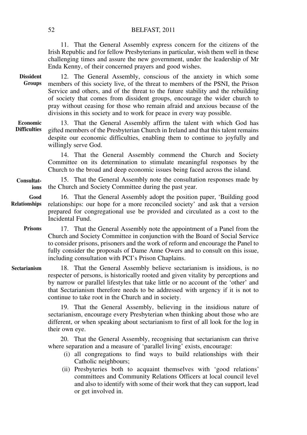#### 52 BELFAST, 2011

11. That the General Assembly express concern for the citizens of the Irish Republic and for fellow Presbyterians in particular, wish them well in these challenging times and assure the new government, under the leadership of Mr Enda Kenny, of their concerned prayers and good wishes.

12. The General Assembly, conscious of the anxiety in which some members of this society live, of the threat to members of the PSNI, the Prison Service and others, and of the threat to the future stability and the rebuilding of society that comes from dissident groups, encourage the wider church to pray without ceasing for those who remain afraid and anxious because of the divisions in this society and to work for peace in every way possible. **Dissident Groups**

13. That the General Assembly affirm the talent with which God has gifted members of the Presbyterian Church in Ireland and that this talent remains despite our economic difficulties, enabling them to continue to joyfully and willingly serve God. **Economic Difficulties**

> 14. That the General Assembly commend the Church and Society Committee on its determination to stimulate meaningful responses by the Church to the broad and deep economic issues being faced across the island.

#### 15. That the General Assembly note the consultation responses made by the Church and Society Committee during the past year. **Consultations**

16. That the General Assembly adopt the position paper, 'Building good relationships: our hope for a more reconciled society' and ask that a version prepared for congregational use be provided and circulated as a cost to the Incidental Fund. **Good Relationships**

#### 17. That the General Assembly note the appointment of a Panel from the Church and Society Committee in conjunction with the Board of Social Service to consider prisons, prisoners and the work of reform and encourage the Panel to fully consider the proposals of Dame Anne Owers and to consult on this issue. including consultation with PCI's Prison Chaplains. **Prisons**

18. That the General Assembly believe sectarianism is insidious, is no respecter of persons, is historically rooted and given vitality by perceptions and by narrow or parallel lifestyles that take little or no account of the 'other' and that Sectarianism therefore needs to be addressed with urgency if it is not to continue to take root in the Church and in society. **Sectarianism**

> 19. That the General Assembly, believing in the insidious nature of sectarianism, encourage every Presbyterian when thinking about those who are different, or when speaking about sectarianism to first of all look for the log in their own eye.

> 20. That the General Assembly, recognising that sectarianism can thrive where separation and a measure of 'parallel living' exists, encourage:

- (i) all congregations to find ways to build relationships with their Catholic neighbours;
- (ii) Presbyteries both to acquaint themselves with 'good relations' committees and Community Relations Officers at local council level and also to identify with some of their work that they can support, lead or get involved in.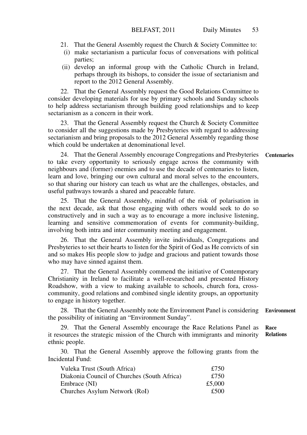- 21. That the General Assembly request the Church & Society Committee to:
- (i) make sectarianism a particular focus of conversations with political parties;
- (ii) develop an informal group with the Catholic Church in Ireland, perhaps through its bishops, to consider the issue of sectarianism and report to the 2012 General Assembly.

22. That the General Assembly request the Good Relations Committee to consider developing materials for use by primary schools and Sunday schools to help address sectarianism through building good relationships and to keep sectarianism as a concern in their work.

23. That the General Assembly request the Church & Society Committee to consider all the suggestions made by Presbyteries with regard to addressing sectarianism and bring proposals to the 2012 General Assembly regarding those which could be undertaken at denominational level.

24. That the General Assembly encourage Congregations and Presbyteries to take every opportunity to seriously engage across the community with neighbours and (former) enemies and to use the decade of centenaries to listen, learn and love, bringing our own cultural and moral selves to the encounters, so that sharing our history can teach us what are the challenges, obstacles, and useful pathways towards a shared and peaceable future. **Centenaries**

25. That the General Assembly, mindful of the risk of polarisation in the next decade, ask that those engaging with others would seek to do so constructively and in such a way as to encourage a more inclusive listening, learning and sensitive commemoration of events for community-building, involving both intra and inter community meeting and engagement.

26. That the General Assembly invite individuals, Congregations and Presbyteries to set their hearts to listen for the Spirit of God as He convicts of sin and so makes His people slow to judge and gracious and patient towards those who may have sinned against them.

27. That the General Assembly commend the initiative of Contemporary Christianity in Ireland to facilitate a well-researched and presented History Roadshow, with a view to making available to schools, church fora, crosscommunity, good relations and combined single identity groups, an opportunity to engage in history together.

28. That the General Assembly note the Environment Panel is considering the possibility of initiating an "Environment Sunday". **Environment**

29. That the General Assembly encourage the Race Relations Panel as it resources the strategic mission of the Church with immigrants and minority ethnic people. **Race Relations**

30. That the General Assembly approve the following grants from the Incidental Fund:

| Vuleka Trust (South Africa)                 | £750   |
|---------------------------------------------|--------|
| Diakonia Council of Churches (South Africa) | £750   |
| Embrace (NI)                                | £5,000 |
| Churches Asylum Network (RoI)               | £500   |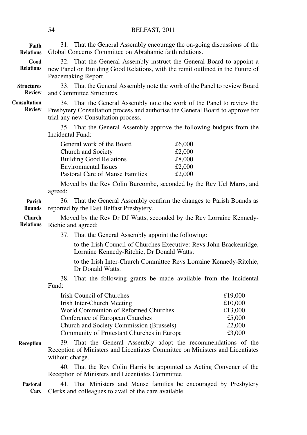# 54 BELFAST, 2011

| Faith<br><b>Relations</b>          | 31. That the General Assembly encourage the on-going discussions of the<br>Global Concerns Committee on Abrahamic faith relations.                                                                                           |                                                             |
|------------------------------------|------------------------------------------------------------------------------------------------------------------------------------------------------------------------------------------------------------------------------|-------------------------------------------------------------|
| Good<br><b>Relations</b>           | 32. That the General Assembly instruct the General Board to appoint a<br>new Panel on Building Good Relations, with the remit outlined in the Future of<br>Peacemaking Report.                                               |                                                             |
| <b>Structures</b><br><b>Review</b> | 33. That the General Assembly note the work of the Panel to review Board<br>and Committee Structures.                                                                                                                        |                                                             |
| Consultation<br><b>Review</b>      | 34. That the General Assembly note the work of the Panel to review the<br>Presbytery Consultation process and authorise the General Board to approve for<br>trial any new Consultation process.                              |                                                             |
|                                    | 35. That the General Assembly approve the following budgets from the<br>Incidental Fund:                                                                                                                                     |                                                             |
|                                    | General work of the Board<br>£6,000<br>Church and Society<br>£2,000<br><b>Building Good Relations</b><br>£8,000<br><b>Environmental Issues</b><br>£2,000<br>Pastoral Care of Manse Families<br>£2,000                        |                                                             |
|                                    | Moved by the Rev Colin Burcombe, seconded by the Rev Uel Marrs, and<br>agreed:                                                                                                                                               |                                                             |
| Parish<br><b>Bounds</b>            | 36. That the General Assembly confirm the changes to Parish Bounds as<br>reported by the East Belfast Presbytery.                                                                                                            |                                                             |
| Church<br><b>Relations</b>         | Moved by the Rev Dr DJ Watts, seconded by the Rev Lorraine Kennedy-<br>Richie and agreed:                                                                                                                                    |                                                             |
|                                    | 37.<br>That the General Assembly appoint the following:                                                                                                                                                                      |                                                             |
|                                    | to the Irish Council of Churches Executive: Revs John Brackenridge,<br>Lorraine Kennedy-Ritchie, Dr Donald Watts;                                                                                                            |                                                             |
|                                    | to the Irish Inter-Church Committee Revs Lorraine Kennedy-Ritchie,<br>Dr Donald Watts.                                                                                                                                       |                                                             |
|                                    | 38. That the following grants be made available from the Incidental<br>Fund:                                                                                                                                                 |                                                             |
|                                    | Irish Council of Churches<br>Irish Inter-Church Meeting<br>World Communion of Reformed Churches<br>Conference of European Churches<br>Church and Society Commission (Brussels)<br>Community of Protestant Churches in Europe | £19,000<br>£10,000<br>£13,000<br>£5,000<br>£2,000<br>£3,000 |
| <b>Reception</b>                   | 39. That the General Assembly adopt the recommendations of the<br>Reception of Ministers and Licentiates Committee on Ministers and Licentiates<br>without charge.                                                           |                                                             |
|                                    | 40. That the Rev Colin Harris be appointed as Acting Convener of the<br>Reception of Ministers and Licentiates Committee                                                                                                     |                                                             |
| <b>Pastoral</b><br>Care            | 41. That Ministers and Manse families be encouraged by Presbytery<br>Clerks and colleagues to avail of the care available.                                                                                                   |                                                             |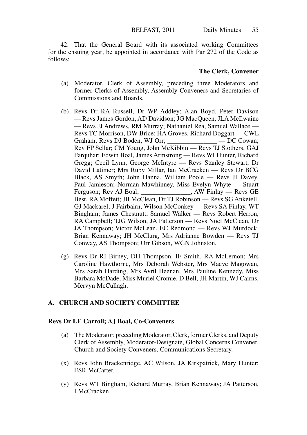42. That the General Board with its associated working Committees for the ensuing year, be appointed in accordance with Par 272 of the Code as follows:

# **The Clerk, Convener**

- (a) Moderator, Clerk of Assembly, preceding three Moderators and former Clerks of Assembly, Assembly Conveners and Secretaries of Commissions and Boards.
- (b) Revs Dr RA Russell, Dr WP Addley; Alan Boyd, Peter Davison — Revs James Gordon, AD Davidson; JG MacQueen, JLA McIlwaine — Revs JJ Andrews, RM Murray; Nathaniel Rea, Samuel Wallace — Revs TC Morrison, DW Brice; HA Groves, Richard Doggart — CWL Graham; Revs DJ Boden, WJ Orr; \_\_\_\_\_\_\_\_\_\_\_\_\_\_\_ — DC Cowan; Rev FP Sellar; CM Young, John McKibbin — Revs TJ Stothers, GAJ Farquhar; Edwin Boal, James Armstrong — Revs WI Hunter, Richard Gregg; Cecil Lynn, George McIntyre — Revs Stanley Stewart, Dr David Latimer; Mrs Ruby Millar, Ian McCracken — Revs Dr BCG Black, AS Smyth; John Hanna, William Poole — Revs JI Davey, Paul Jamieson; Norman Mawhinney, Miss Evelyn Whyte — Stuart , AW Finlay — Revs GE Best, RA Moffett; JB McClean, Dr TJ Robinson — Revs SG Anketell, GJ Mackarel; J Fairbairn, Wilson McConkey — Revs SA Finlay, WT Bingham; James Chestnutt, Samuel Walker — Revs Robert Herron, RA Campbell; TJG Wilson, JA Patterson — Revs Noel McClean, Dr JA Thompson; Victor McLean, EC Redmond — Revs WJ Murdock, Brian Kennaway; JH McClurg, Mrs Adrianne Bowden — Revs TJ Conway, AS Thompson; Orr Gibson, WGN Johnston.
- (g) Revs Dr RI Birney, DH Thompson, IF Smith, RA McLernon; Mrs Caroline Hawthorne, Mrs Deborah Webster, Mrs Maeve Magowan, Mrs Sarah Harding, Mrs Avril Heenan, Mrs Pauline Kennedy, Miss Barbara McDade, Miss Muriel Cromie, D Bell, JH Martin, WJ Cairns, Mervyn McCullagh.

# **A. CHURCH AND SOCIETY COMMITTEE**

# **Revs Dr LE Carroll; AJ Boal, Co-Conveners**

- (a) The Moderator, preceding Moderator, Clerk, former Clerks, and Deputy Clerk of Assembly, Moderator-Designate, Global Concerns Convener, Church and Society Conveners, Communications Secretary.
- (x) Revs John Brackenridge, AC Wilson, JA Kirkpatrick, Mary Hunter; ESR McCarter.
- (y) Revs WT Bingham, Richard Murray, Brian Kennaway; JA Patterson, I McCracken.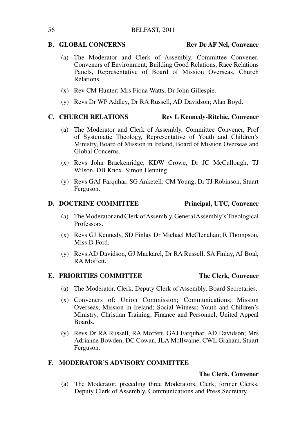# **B. GLOBAL CONCERNS Rev Dr AF Nel, Convener**

- (a) The Moderator and Clerk of Assembly, Committee Convener, Conveners of Environment, Building Good Relations, Race Relations Panels, Representative of Board of Mission Overseas, Church Relations.
- (x) Rev CM Hunter; Mrs Fiona Watts, Dr John Gillespie.
- (y) Revs Dr WP Addley, Dr RA Russell, AD Davidson; Alan Boyd.

# **C. CHURCH RELATIONS Rev L Kennedy-Ritchie, Convener**

- (a) The Moderator and Clerk of Assembly, Committee Convener, Prof of Systematic Theology, Representative of Youth and Children's Ministry, Board of Mission in Ireland, Board of Mission Overseas and Global Concerns.
- (x) Revs John Brackenridge, KDW Crowe, Dr JC McCullough, TJ Wilson, DB Knox, Simon Henning.
- (y) Revs GAJ Farquhar, SG Anketell; CM Young, Dr TJ Robinson, Stuart Ferguson.

# **D. DOCTRINE COMMITTEE Principal, UTC, Convener**

# (a) The Moderator and Clerk of Assembly, General Assembly's Theological Professors.

- (x) Revs GJ Kennedy, SD Finlay Dr Michael McClenahan; R Thompson, Miss D Ford.
- (y) Revs AD Davidson, GJ Mackarel, Dr RA Russell, SA Finlay, AJ Boal, RA Moffett.

# E. PRIORITIES COMMITTEE The Clerk, Convener

- (a) The Moderator, Clerk, Deputy Clerk of Assembly, Board Secretaries.
- (x) Conveners of: Union Commission; Communications; Mission Overseas, Mission in Ireland; Social Witness; Youth and Children's Ministry; Christian Training; Finance and Personnel; United Appeal Boards.
- (y) Revs Dr RA Russell, RA Moffett, GAJ Farquhar, AD Davidson; Mrs Adrianne Bowden, DC Cowan, JLA McIlwaine, CWL Graham, Stuart Ferguson.

# **F. MODERATOR'S ADVISORY COMMITTEE**

# **The Clerk, Convener**

(a) The Moderator, preceding three Moderators, Clerk, former Clerks, Deputy Clerk of Assembly, Communications and Press Secretary.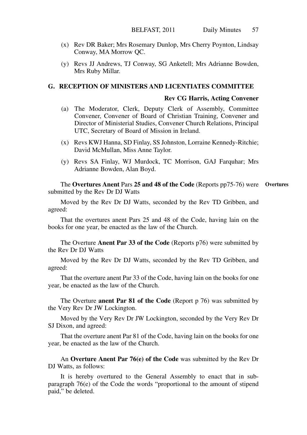- (x) Rev DR Baker; Mrs Rosemary Dunlop, Mrs Cherry Poynton, Lindsay Conway, MA Morrow QC.
- (y) Revs JJ Andrews, TJ Conway, SG Anketell; Mrs Adrianne Bowden, Mrs Ruby Millar.

# **G. RECEPTION OF MINISTERS AND LICENTIATES COMMITTEE**

# **Rev CG Harris, Acting Convener**

- (a) The Moderator, Clerk, Deputy Clerk of Assembly, Committee Convener, Convener of Board of Christian Training, Convener and Director of Ministerial Studies, Convener Church Relations, Principal UTC, Secretary of Board of Mission in Ireland.
- (x) Revs KWJ Hanna, SD Finlay, SS Johnston, Lorraine Kennedy-Ritchie; David McMullan, Miss Anne Taylor.
- (y) Revs SA Finlay, WJ Murdock, TC Morrison, GAJ Farquhar; Mrs Adrianne Bowden, Alan Boyd.

The **Overtures Anent** Pars **25 and 48 of the Code** (Reports pp75-76) were **Overtures**submitted by the Rev Dr DJ Watts

Moved by the Rev Dr DJ Watts, seconded by the Rev TD Gribben, and agreed:

That the overtures anent Pars 25 and 48 of the Code, having lain on the books for one year, be enacted as the law of the Church.

The Overture **Anent Par 33 of the Code** (Reports p76) were submitted by the Rev Dr DJ Watts

Moved by the Rev Dr DJ Watts, seconded by the Rev TD Gribben, and agreed:

That the overture anent Par 33 of the Code, having lain on the books for one year, be enacted as the law of the Church.

The Overture **anent Par 81 of the Code** (Report p 76) was submitted by the Very Rev Dr JW Lockington.

Moved by the Very Rev Dr JW Lockington, seconded by the Very Rev Dr SJ Dixon, and agreed:

That the overture anent Par 81 of the Code, having lain on the books for one year, be enacted as the law of the Church.

An **Overture Anent Par 76(e) of the Code** was submitted by the Rev Dr DJ Watts, as follows:

It is hereby overtured to the General Assembly to enact that in subparagraph 76(e) of the Code the words "proportional to the amount of stipend paid," be deleted.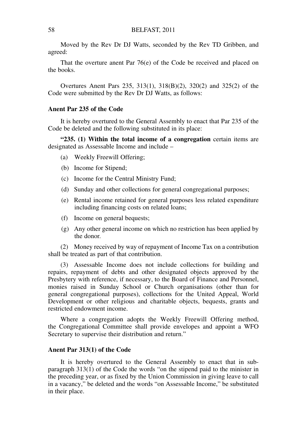Moved by the Rev Dr DJ Watts, seconded by the Rev TD Gribben, and agreed:

That the overture anent Par 76(e) of the Code be received and placed on the books.

Overtures Anent Pars 235, 313(1), 318(B)(2), 320(2) and 325(2) of the Code were submitted by the Rev Dr DJ Watts, as follows:

### **Anent Par 235 of the Code**

It is hereby overtured to the General Assembly to enact that Par 235 of the Code be deleted and the following substituted in its place:

**"235. (1) Within the total income of a congregation** certain items are designated as Assessable Income and include –

- (a) Weekly Freewill Offering;
- (b) Income for Stipend;
- (c) Income for the Central Ministry Fund;
- (d) Sunday and other collections for general congregational purposes;
- (e) Rental income retained for general purposes less related expenditure including financing costs on related loans;
- (f) Income on general bequests;
- (g) Any other general income on which no restriction has been applied by the donor.

(2) Money received by way of repayment of Income Tax on a contribution shall be treated as part of that contribution.

(3) Assessable Income does not include collections for building and repairs, repayment of debts and other designated objects approved by the Presbytery with reference, if necessary, to the Board of Finance and Personnel, monies raised in Sunday School or Church organisations (other than for general congregational purposes), collections for the United Appeal, World Development or other religious and charitable objects, bequests, grants and restricted endowment income.

Where a congregation adopts the Weekly Freewill Offering method, the Congregational Committee shall provide envelopes and appoint a WFO Secretary to supervise their distribution and return."

# **Anent Par 313(1) of the Code**

It is hereby overtured to the General Assembly to enact that in subparagraph 313(1) of the Code the words "on the stipend paid to the minister in the preceding year, or as fixed by the Union Commission in giving leave to call in a vacancy," be deleted and the words "on Assessable Income," be substituted in their place.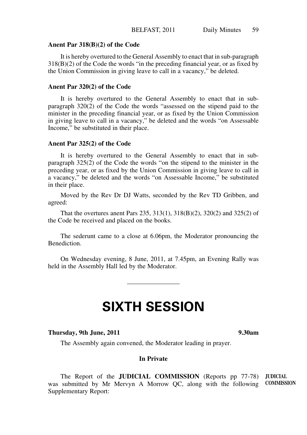#### **Anent Par 318(B)(2) of the Code**

It is hereby overtured to the General Assembly to enact that in sub-paragraph 318(B)(2) of the Code the words "in the preceding financial year, or as fixed by the Union Commission in giving leave to call in a vacancy," be deleted.

# **Anent Par 320(2) of the Code**

It is hereby overtured to the General Assembly to enact that in subparagraph 320(2) of the Code the words "assessed on the stipend paid to the minister in the preceding financial year, or as fixed by the Union Commission in giving leave to call in a vacancy," be deleted and the words "on Assessable Income," be substituted in their place.

# **Anent Par 325(2) of the Code**

It is hereby overtured to the General Assembly to enact that in subparagraph 325(2) of the Code the words "on the stipend to the minister in the preceding year, or as fixed by the Union Commission in giving leave to call in a vacancy," be deleted and the words "on Assessable Income," be substituted in their place.

Moved by the Rev Dr DJ Watts, seconded by the Rev TD Gribben, and agreed:

That the overtures anent Pars 235, 313(1), 318(B)(2), 320(2) and 325(2) of the Code be received and placed on the books.

The sederunt came to a close at 6.06pm, the Moderator pronouncing the Benediction.

On Wednesday evening, 8 June, 2011, at 7.45pm, an Evening Rally was held in the Assembly Hall led by the Moderator.

 $\overline{\phantom{a}}$ 

# **SIXTH SESSION**

#### **Thursday, 9th June, 2011 9.30am**

The Assembly again convened, the Moderator leading in prayer.

# **In Private**

The Report of the **JUDICIAL COMMISSION** (Reports pp 77-78) **JUDICIAL**  was submitted by Mr Mervyn A Morrow QC, along with the following **COMMISSION**Supplementary Report: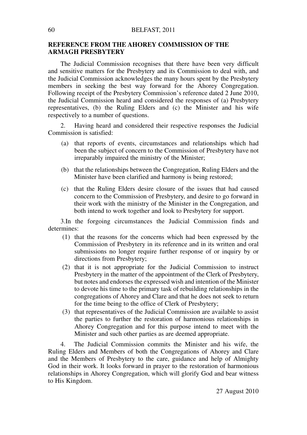# **REFERENCE FROM THE AHOREY COMMISSION OF THE ARMAGH PRESBYTERY**

The Judicial Commission recognises that there have been very difficult and sensitive matters for the Presbytery and its Commission to deal with, and the Judicial Commission acknowledges the many hours spent by the Presbytery members in seeking the best way forward for the Ahorey Congregation. Following receipt of the Presbytery Commission's reference dated 2 June 2010, the Judicial Commission heard and considered the responses of (a) Presbytery representatives, (b) the Ruling Elders and (c) the Minister and his wife respectively to a number of questions.

2. Having heard and considered their respective responses the Judicial Commission is satisfied:

- (a) that reports of events, circumstances and relationships which had been the subject of concern to the Commission of Presbytery have not irreparably impaired the ministry of the Minister;
- (b) that the relationships between the Congregation, Ruling Elders and the Minister have been clarified and harmony is being restored;
- (c) that the Ruling Elders desire closure of the issues that had caused concern to the Commission of Presbytery, and desire to go forward in their work with the ministry of the Minister in the Congregation, and both intend to work together and look to Presbytery for support.

3. In the forgoing circumstances the Judicial Commission finds and determines:

- (1) that the reasons for the concerns which had been expressed by the Commission of Presbytery in its reference and in its written and oral submissions no longer require further response of or inquiry by or directions from Presbytery;
- (2) that it is not appropriate for the Judicial Commission to instruct Presbytery in the matter of the appointment of the Clerk of Presbytery, but notes and endorses the expressed wish and intention of the Minister to devote his time to the primary task of rebuilding relationships in the congregations of Ahorey and Clare and that he does not seek to return for the time being to the office of Clerk of Presbytery;
- (3) that representatives of the Judicial Commission are available to assist the parties to further the restoration of harmonious relationships in Ahorey Congregation and for this purpose intend to meet with the Minister and such other parties as are deemed appropriate.

4. The Judicial Commission commits the Minister and his wife, the Ruling Elders and Members of both the Congregations of Ahorey and Clare and the Members of Presbytery to the care, guidance and help of Almighty God in their work. It looks forward in prayer to the restoration of harmonious relationships in Ahorey Congregation, which will glorify God and bear witness to His Kingdom.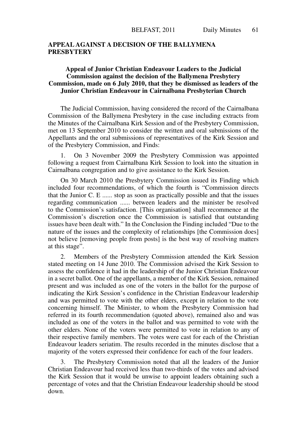# **APPEAL AGAINST A DECISION OF THE BALLYMENA PRESBYTERY**

# **Appeal of Junior Christian Endeavour Leaders to the Judicial Commission against the decision of the Ballymena Presbytery Commission, made on 6 July 2010, that they be dismissed as leaders of the Junior Christian Endeavour in Cairnalbana Presbyterian Church**

The Judicial Commission, having considered the record of the Cairnalbana Commission of the Ballymena Presbytery in the case including extracts from the Minutes of the Cairnalbana Kirk Session and of the Presbytery Commission, met on 13 September 2010 to consider the written and oral submissions of the Appellants and the oral submissions of representatives of the Kirk Session and of the Presbytery Commission, and Finds:

1. On 3 November 2009 the Presbytery Commission was appointed following a request from Cairnalbana Kirk Session to look into the situation in Cairnalbana congregation and to give assistance to the Kirk Session.

On 30 March 2010 the Presbytery Commission issued its Finding which included four recommendations, of which the fourth is "Commission directs that the Junior C. E ...... stop as soon as practically possible and that the issues regarding communication ...... between leaders and the minister be resolved to the Commission's satisfaction. [This organisation] shall recommence at the Commission's discretion once the Commission is satisfied that outstanding issues have been dealt with." In the Conclusion the Finding included "Due to the nature of the issues and the complexity of relationships [the Commission does] not believe [removing people from posts] is the best way of resolving matters at this stage".

2. Members of the Presbytery Commission attended the Kirk Session stated meeting on 14 June 2010. The Commission advised the Kirk Session to assess the confidence it had in the leadership of the Junior Christian Endeavour in a secret ballot. One of the appellants, a member of the Kirk Session, remained present and was included as one of the voters in the ballot for the purpose of indicating the Kirk Session's confidence in the Christian Endeavour leadership and was permitted to vote with the other elders, except in relation to the vote concerning himself. The Minister, to whom the Presbytery Commission had referred in its fourth recommendation (quoted above), remained also and was included as one of the voters in the ballot and was permitted to vote with the other elders. None of the voters were permitted to vote in relation to any of their respective family members. The votes were cast for each of the Christian Endeavour leaders seriatim. The results recorded in the minutes disclose that a majority of the voters expressed their confidence for each of the four leaders.

3. The Presbytery Commission noted that all the leaders of the Junior Christian Endeavour had received less than two-thirds of the votes and advised the Kirk Session that it would be unwise to appoint leaders obtaining such a percentage of votes and that the Christian Endeavour leadership should be stood down.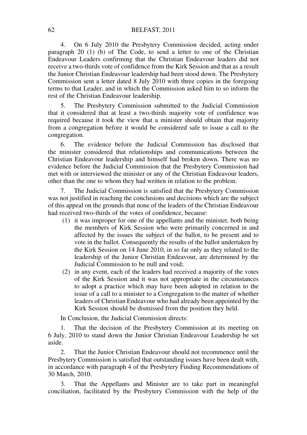4. On 6 July 2010 the Presbytery Commission decided, acting under paragraph 20 (1) (b) of The Code, to send a letter to one of the Christian Endeavour Leaders confirming that the Christian Endeavour leaders did not receive a two-thirds vote of confidence from the Kirk Session and that as a result the Junior Christian Endeavour leadership had been stood down. The Presbytery Commission sent a letter dated 8 July 2010 with three copies in the foregoing terms to that Leader, and in which the Commission asked him to so inform the rest of the Christian Endeavour leadership.

5. The Presbytery Commission submitted to the Judicial Commission that it considered that at least a two-thirds majority vote of confidence was required because it took the view that a minister should obtain that majority from a congregation before it would be considered safe to issue a call to the congregation.

6. The evidence before the Judicial Commission has disclosed that the minister considered that relationships and communications between the Christian Endeavour leadership and himself had broken down. There was no evidence before the Judicial Commission that the Presbytery Commission had met with or interviewed the minister or any of the Christian Endeavour leaders, other than the one to whom they had written in relation to the problem.

7. The Judicial Commission is satisfied that the Presbytery Commission was not justified in reaching the conclusions and decisions which are the subject of this appeal on the grounds that none of the leaders of the Christian Endeavour had received two-thirds of the votes of confidence, because:

- (1) it was improper for one of the appellants and the minister, both being the members of Kirk Session who were primarily concerned in and affected by the issues the subject of the ballot, to be present and to vote in the ballot. Consequently the results of the ballot undertaken by the Kirk Session on 14 June 2010, in so far only as they related to the leadership of the Junior Christian Endeavour, are determined by the Judicial Commission to be null and void;
- (2) in any event, each of the leaders had received a majority of the votes of the Kirk Session and it was not appropriate in the circumstances to adopt a practice which may have been adopted in relation to the issue of a call to a minister to a Congregation to the matter of whether leaders of Christian Endeavour who had already been appointed by the Kirk Session should be dismissed from the position they held.

In Conclusion, the Judicial Commission directs:

1. That the decision of the Presbytery Commission at its meeting on 6 July, 2010 to stand down the Junior Christian Endeavour Leadership be set aside.

2. That the Junior Christian Endeavour should not recommence until the Presbytery Commission is satisfied that outstanding issues have been dealt with, in accordance with paragraph 4 of the Presbytery Finding Recommendations of 30 March, 2010.

3. That the Appellants and Minister are to take part in meaningful conciliation, facilitated by the Presbytery Commission with the help of the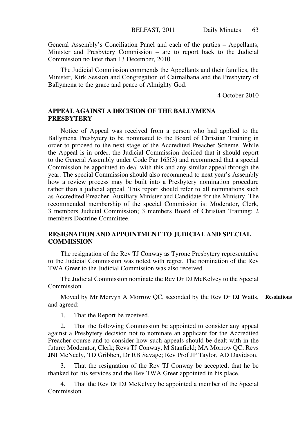General Assembly's Conciliation Panel and each of the parties – Appellants, Minister and Presbytery Commission – are to report back to the Judicial Commission no later than 13 December, 2010.

The Judicial Commission commends the Appellants and their families, the Minister, Kirk Session and Congregation of Cairnalbana and the Presbytery of Ballymena to the grace and peace of Almighty God.

4 October 2010

# **APPEAL AGAINST A DECISION OF THE BALLYMENA PRESBYTERY**

Notice of Appeal was received from a person who had applied to the Ballymena Presbytery to be nominated to the Board of Christian Training in order to proceed to the next stage of the Accredited Preacher Scheme. While the Appeal is in order, the Judicial Commission decided that it should report to the General Assembly under Code Par 165(3) and recommend that a special Commission be appointed to deal with this and any similar appeal through the year. The special Commission should also recommend to next year's Assembly how a review process may be built into a Presbytery nomination procedure rather than a judicial appeal. This report should refer to all nominations such as Accredited Preacher, Auxiliary Minister and Candidate for the Ministry. The recommended membership of the special Commission is: Moderator, Clerk, 3 members Judicial Commission; 3 members Board of Christian Training; 2 members Doctrine Committee.

# **RESIGNATION AND APPOINTMENT TO JUDICIAL AND SPECIAL COMMISSION**

The resignation of the Rev TJ Conway as Tyrone Presbytery representative to the Judicial Commission was noted with regret. The nomination of the Rev TWA Greer to the Judicial Commission was also received.

The Judicial Commission nominate the Rev Dr DJ McKelvey to the Special Commission.

Moved by Mr Mervyn A Morrow QC, seconded by the Rev Dr DJ Watts, **Resolutions**and agreed:

1. That the Report be received.

2. That the following Commission be appointed to consider any appeal against a Presbytery decision not to nominate an applicant for the Accredited Preacher course and to consider how such appeals should be dealt with in the future: Moderator, Clerk; Revs TJ Conway, M Stanfield; MA Morrow QC; Revs JNI McNeely, TD Gribben, Dr RB Savage; Rev Prof JP Taylor, AD Davidson.

3. That the resignation of the Rev TJ Conway be accepted, that he be thanked for his services and the Rev TWA Greer appointed in his place.

4. That the Rev Dr DJ McKelvey be appointed a member of the Special Commission.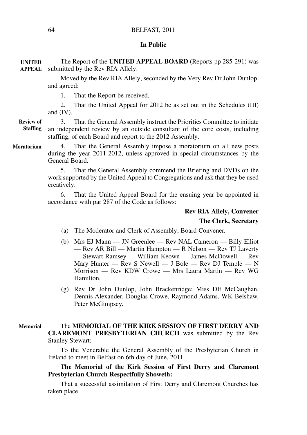#### **In Public**

The Report of the **UNITED APPEAL BOARD** (Reports pp 285-291) was submitted by the Rev RIA Allely. **APPEAL UNITED** 

> Moved by the Rev RIA Allely, seconded by the Very Rev Dr John Dunlop, and agreed:

1. That the Report be received.

2. That the United Appeal for 2012 be as set out in the Schedules (III) and (IV).

3. That the General Assembly instruct the Priorities Committee to initiate an independent review by an outside consultant of the core costs, including staffing, of each Board and report to the 2012 Assembly. **Review of Staffing**

**Moratorium**

4. That the General Assembly impose a moratorium on all new posts during the year 2011-2012, unless approved in special circumstances by the General Board.

5. That the General Assembly commend the Briefing and DVDs on the work supported by the United Appeal to Congregations and ask that they be used creatively.

6. That the United Appeal Board for the ensuing year be appointed in accordance with par 287 of the Code as follows:

# **Rev RIA Allely, Convener The Clerk, Secretary**

- (a) The Moderator and Clerk of Assembly; Board Convener.
- (b) Mrs EJ Mann JN Greenlee Rev NAL Cameron Billy Elliot — Rev AR Bill — Martin Hampton — R Nelson — Rev TJ Laverty — Stewart Ramsey — William Keown — James McDowell — Rev Mary Hunter — Rev S Newell — J Bole — Rev DJ Temple — N Morrison — Rev KDW Crowe — Mrs Laura Martin — Rev WG Hamilton.
- (g) Rev Dr John Dunlop, John Brackenridge; Miss DE McCaughan, Dennis Alexander, Douglas Crowe, Raymond Adams, WK Belshaw, Peter McGimpsey.

#### The **MEMORIAL OF THE KIRK SESSION OF FIRST DERRY AND CLAREMONT PRESBYTERIAN CHURCH** was submitted by the Rev Stanley Stewart: **Memorial**

To the Venerable the General Assembly of the Presbyterian Church in Ireland to meet in Belfast on 6th day of June, 2011.

# **The Memorial of the Kirk Session of First Derry and Claremont Presbyterian Church Respectfully Showeth:**

That a successful assimilation of First Derry and Claremont Churches has taken place.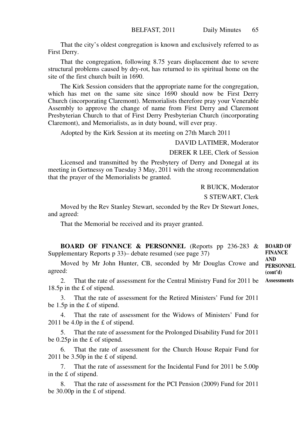That the city's oldest congregation is known and exclusively referred to as First Derry.

That the congregation, following 8.75 years displacement due to severe structural problems caused by dry-rot, has returned to its spiritual home on the site of the first church built in 1690.

The Kirk Session considers that the appropriate name for the congregation, which has met on the same site since 1690 should now be First Derry Church (incorporating Claremont). Memorialists therefore pray your Venerable Assembly to approve the change of name from First Derry and Claremont Presbyterian Church to that of First Derry Presbyterian Church (incorporating Claremont), and Memorialists, as in duty bound, will ever pray.

Adopted by the Kirk Session at its meeting on 27th March 2011

DAVID LATIMER, Moderator

DEREK R LEE, Clerk of Session

Licensed and transmitted by the Presbytery of Derry and Donegal at its meeting in Gortnessy on Tuesday 3 May, 2011 with the strong recommendation that the prayer of the Memorialists be granted.

R BUICK, Moderator

S STEWART, Clerk

Moved by the Rev Stanley Stewart, seconded by the Rev Dr Stewart Jones, and agreed:

That the Memorial be received and its prayer granted.

**BOARD OF FINANCE & PERSONNEL** (Reports pp 236-283 & **BOARD OF**  Supplementary Reports p 33)– debate resumed (see page 37) **FINANCE** 

Moved by Mr John Hunter, CB, seconded by Mr Douglas Crowe and agreed:

2. That the rate of assessment for the Central Ministry Fund for 2011 be **Assessments**18.5p in the £ of stipend.

3. That the rate of assessment for the Retired Ministers' Fund for 2011 be 1.5p in the £ of stipend.

4. That the rate of assessment for the Widows of Ministers' Fund for 2011 be 4.0p in the £ of stipend.

5. That the rate of assessment for the Prolonged Disability Fund for 2011 be 0.25p in the £ of stipend.

6. That the rate of assessment for the Church House Repair Fund for 2011 be 3.50p in the £ of stipend.

7. That the rate of assessment for the Incidental Fund for 2011 be 5.00p in the £ of stipend.

8. That the rate of assessment for the PCI Pension (2009) Fund for 2011 be 30.00p in the £ of stipend.

**AND PERSONNEL (cont'd)**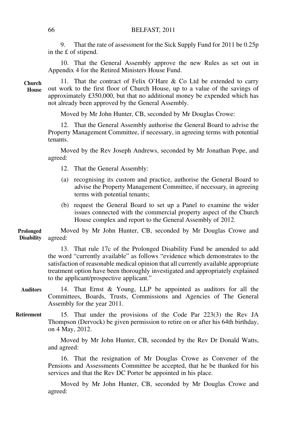9. That the rate of assessment for the Sick Supply Fund for 2011 be 0.25p in the £ of stipend.

10. That the General Assembly approve the new Rules as set out in Appendix 4 for the Retired Ministers House Fund.

11. That the contract of Felix O'Hare & Co Ltd be extended to carry out work to the first floor of Church House, up to a value of the savings of approximately £350,000, but that no additional money be expended which has not already been approved by the General Assembly. **Church House**

Moved by Mr John Hunter, CB, seconded by Mr Douglas Crowe:

12. That the General Assembly authorise the General Board to advise the Property Management Committee, if necessary, in agreeing terms with potential tenants.

Moved by the Rev Joseph Andrews, seconded by Mr Jonathan Pope, and agreed:

- 12. That the General Assembly:
- (a) recognising its custom and practice, authorise the General Board to advise the Property Management Committee, if necessary, in agreeing terms with potential tenants;
- (b) request the General Board to set up a Panel to examine the wider issues connected with the commercial property aspect of the Church House complex and report to the General Assembly of 2012.

Moved by Mr John Hunter, CB, seconded by Mr Douglas Crowe and agreed: **Prolonged Disability**

> 13. That rule 17c of the Prolonged Disability Fund be amended to add the word "currently available" as follows "evidence which demonstrates to the satisfaction of reasonable medical opinion that all currently available appropriate treatment option have been thoroughly investigated and appropriately explained to the applicant/prospective applicant."

- 14. That Ernst & Young, LLP be appointed as auditors for all the Committees, Boards, Trusts, Commissions and Agencies of The General Assembly for the year 2011. **Auditors**
- 15. That under the provisions of the Code Par 223(3) the Rev JA Thompson (Dervock) be given permission to retire on or after his 64th birthday, on 4 May, 2012. **Retirement**

Moved by Mr John Hunter, CB, seconded by the Rev Dr Donald Watts, and agreed:

16. That the resignation of Mr Douglas Crowe as Convener of the Pensions and Assessments Committee be accepted, that he be thanked for his services and that the Rev DC Porter be appointed in his place.

Moved by Mr John Hunter, CB, seconded by Mr Douglas Crowe and agreed: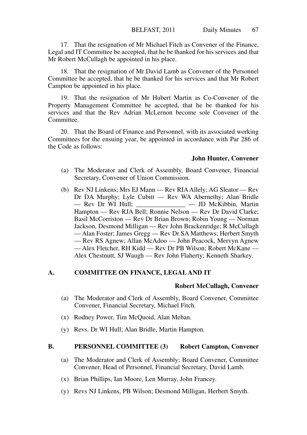17. That the resignation of Mr Michael Fitch as Convener of the Finance, Legal and IT Committee be accepted, that he be thanked for his services and that Mr Robert McCullagh be appointed in his place.

18. That the resignation of Mr David Lamb as Convener of the Personnel Committee be accepted, that he be thanked for his services and that Mr Robert Campton be appointed in his place.

19. That the resignation of Mr Hubert Martin as Co-Convener of the Property Management Committee be accepted, that he be thanked for his services and that the Rev Adrian McLernon become sole Convener of the Committee.

20. That the Board of Finance and Personnel, with its associated working Committees for the ensuing year, be appointed in accordance with Par 286 of the Code as follows:

#### **John Hunter, Convener**

- (a) The Moderator and Clerk of Assembly, Board Convener, Financial Secretary, Convener of Union Commission.
- (b) Rev NJ Linkens; Mrs EJ Mann Rev RIA Allely; AG Sleator Rev Dr DA Murphy; Lyle Cubitt — Rev WA Abernethy; Alan Bridle — Rev Dr WI Hull: — JD McKibbin. Martin  $\frac{1}{\sqrt{2\pi}}$  — JD McKibbin, Martin Hampton — Rev RJA Bell; Ronnie Nelson — Rev Dr David Clarke; Basil McCorriston — Rev Dr Brian Brown; Robin Young — Norman Jackson, Desmond Milligan — Rev John Brackenridge; R McCullagh — Alan Foster; James Gregg — Rev Dr SA Matthews; Herbert Smyth — Rev RS Agnew; Allan McAdoo — John Peacock, Mervyn Agnew — Alex Fletcher, RH Kidd — Rev Dr PB Wilson; Robert McKane — Alex Chestnutt, SJ Waugh — Rev John Flaherty; Kenneth Sharkey.

# **A. COMMITTEE ON FINANCE, LEGAL AND IT**

# **Robert McCullagh, Convener**

- (a) The Moderator and Clerk of Assembly, Board Convener, Committee Convener, Financial Secretary, Michael Fitch.
- (x) Rodney Power, Tim McQuoid, Alan Meban.
- (y) Revs. Dr WI Hull; Alan Bridle, Martin Hampton.

#### **B. PERSONNEL COMMITTEE (3) Robert Campton, Convener**

- (a) The Moderator and Clerk of Assembly; Board Convener, Committee Convener, Head of Personnel, Financial Secretary, David Lamb.
- (x) Brian Phillips, Ian Moore, Len Murray, John Francey.
- (y) Revs NJ Linkens, PB Wilson; Desmond Milligan, Herbert Smyth.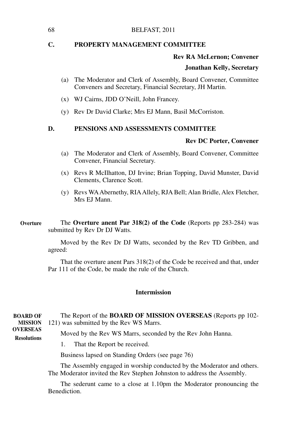#### 68 BELFAST, 2011

# **C. PROPERTY MANAGEMENT COMMITTEE**

#### **Rev RA McLernon; Convener**

# **Jonathan Kelly, Secretary**

- (a) The Moderator and Clerk of Assembly, Board Convener, Committee Conveners and Secretary, Financial Secretary, JH Martin.
- (x) WJ Cairns, JDD O'Neill, John Francey.
- (y) Rev Dr David Clarke; Mrs EJ Mann, Basil McCorriston.

# **D. PENSIONS AND ASSESSMENTS COMMITTEE**

#### **Rev DC Porter, Convener**

- (a) The Moderator and Clerk of Assembly, Board Convener, Committee Convener, Financial Secretary.
- (x) Revs R McIlhatton, DJ Irvine; Brian Topping, David Munster, David Clements, Clarence Scott.
- (y) Revs WA Abernethy, RIA Allely, RJA Bell; Alan Bridle, Alex Fletcher, Mrs EJ Mann.

The **Overture anent Par 318(2) of the Code** (Reports pp 283-284) was submitted by Rev Dr DJ Watts. **Overture**

> Moved by the Rev Dr DJ Watts, seconded by the Rev TD Gribben, and agreed:

> That the overture anent Pars 318(2) of the Code be received and that, under Par 111 of the Code, be made the rule of the Church.

# **Intermission**

| <b>BOARD OF</b>                       | The Report of the <b>BOARD OF MISSION OVERSEAS</b> (Reports pp 102- |
|---------------------------------------|---------------------------------------------------------------------|
| <b>MISSION</b>                        | 121) was submitted by the Rev WS Marrs.                             |
| <b>OVERSEAS</b><br><b>Resolutions</b> | Moved by the Rev WS Marrs, seconded by the Rev John Hanna.          |
|                                       | 1. That the Report be received.                                     |
|                                       | Business lapsed on Standing Orders (see page 76)                    |

The Assembly engaged in worship conducted by the Moderator and others. The Moderator invited the Rev Stephen Johnston to address the Assembly.

The sederunt came to a close at 1.10pm the Moderator pronouncing the Benediction.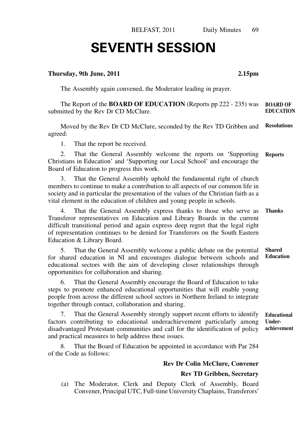#### **Thursday, 9th June, 2011 2.15pm**

The Assembly again convened, the Moderator leading in prayer.

The Report of the **BOARD OF EDUCATION** (Reports pp 222 - 235) was submitted by the Rev Dr CD McClure. **BOARD OF EDUCATION**

Moved by the Rev Dr CD McClure, seconded by the Rev TD Gribben and agreed: **Resolutions**

1. That the report be received.

2. That the General Assembly welcome the reports on 'Supporting Christians in Education' and 'Supporting our Local School' and encourage the Board of Education to progress this work. **Reports**

3. That the General Assembly uphold the fundamental right of church members to continue to make a contribution to all aspects of our common life in society and in particular the presentation of the values of the Christian faith as a vital element in the education of children and young people in schools.

4. That the General Assembly express thanks to those who serve as Transferor representatives on Education and Library Boards in the current difficult transitional period and again express deep regret that the legal right of representation continues to be denied for Transferors on the South Eastern Education & Library Board. **Thanks**

5. That the General Assembly welcome a public debate on the potential for shared education in NI and encourages dialogue between schools and educational sectors with the aim of developing closer relationships through opportunities for collaboration and sharing. **Shared Education**

6. That the General Assembly encourage the Board of Education to take steps to promote enhanced educational opportunities that will enable young people from across the different school sectors in Northern Ireland to integrate together through contact, collaboration and sharing.

7. That the General Assembly strongly support recent efforts to identify factors contributing to educational underachievement particularly among disadvantaged Protestant communities and call for the identification of policy and practical measures to help address these issues. **Educational Underachievement**

That the Board of Education be appointed in accordance with Par 284 of the Code as follows:

# **Rev Dr Colin McClure, Convener Rev TD Gribben, Secretary**

(a) The Moderator, Clerk and Deputy Clerk of Assembly, Board Convener, Principal UTC, Full-time University Chaplains, Transferors'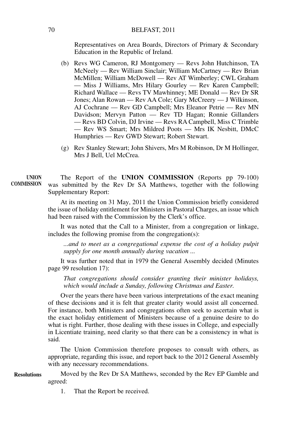Representatives on Area Boards, Directors of Primary & Secondary Education in the Republic of Ireland.

- (b) Revs WG Cameron, RJ Montgomery Revs John Hutchinson, TA McNeely — Rev William Sinclair; William McCartney — Rev Brian McMillen; William McDowell — Rev AT Wimberley; CWL Graham — Miss J Williams, Mrs Hilary Gourley — Rev Karen Campbell; Richard Wallace — Revs TV Mawhinney; ME Donald — Rev Dr SR Jones; Alan Rowan — Rev AA Cole; Gary McCreery — J Wilkinson, AJ Cochrane — Rev GD Campbell; Mrs Eleanor Petrie — Rev MN Davidson; Mervyn Patton — Rev TD Hagan; Ronnie Gillanders — Revs BD Colvin, DJ Irvine — Revs RA Campbell, Miss C Trimble — Rev WS Smart; Mrs Mildred Poots — Mrs IK Nesbitt, DMcC Humphries — Rev GWD Stewart; Robert Stewart.
- (g) Rev Stanley Stewart; John Shivers, Mrs M Robinson, Dr M Hollinger, Mrs J Bell, Uel McCrea.

#### The Report of the **UNION COMMISSION** (Reports pp 79-100) was submitted by the Rev Dr SA Matthews, together with the following Supplementary Report: **UNION COMMISSION**

At its meeting on 31 May, 2011 the Union Commission briefly considered the issue of holiday entitlement for Ministers in Pastoral Charges, an issue which had been raised with the Commission by the Clerk's office.

It was noted that the Call to a Minister, from a congregation or linkage, includes the following promise from the congregation(s):

*...and to meet as a congregational expense the cost of a holiday pulpit supply for one month annually during vacation ...*

It was further noted that in 1979 the General Assembly decided (Minutes page 99 resolution 17):

*That congregations should consider granting their minister holidays, which would include a Sunday, following Christmas and Easter.*

Over the years there have been various interpretations of the exact meaning of these decisions and it is felt that greater clarity would assist all concerned. For instance, both Ministers and congregations often seek to ascertain what is the exact holiday entitlement of Ministers because of a genuine desire to do what is right. Further, those dealing with these issues in College, and especially in Licentiate training, need clarity so that there can be a consistency in what is said.

The Union Commission therefore proposes to consult with others, as appropriate, regarding this issue, and report back to the 2012 General Assembly with any necessary recommendations.

Moved by the Rev Dr SA Matthews, seconded by the Rev EP Gamble and agreed: **Resolutions**

1. That the Report be received.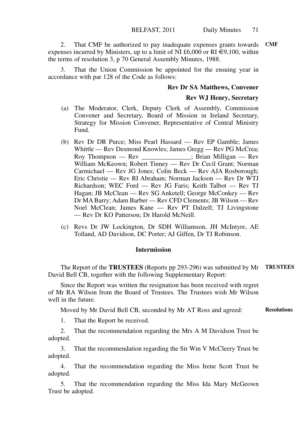2. That CMF be authorized to pay inadequate expenses grants towards **CMF** expenses incurred by Ministers, up to a limit of NI £6,000 or RI  $\epsilon$ 9,100, within the terms of resolution 3, p 70 General Assembly Minutes, 1988.

That the Union Commission be appointed for the ensuing year in accordance with par 128 of the Code as follows:

#### **Rev Dr SA Matthews, Convener**

#### **Rev WJ Henry, Secretary**

- (a) The Moderator, Clerk, Deputy Clerk of Assembly, Commission Convener and Secretary, Board of Mission in Ireland Secretary, Strategy for Mission Convener, Representative of Central Ministry Fund.
- (b) Rev Dr DR Purce; Miss Pearl Hassard Rev EP Gamble; James Whittle — Rev Desmond Knowles; James Gregg — Rev PG McCrea; Roy Thompson — Rev \_\_\_\_\_\_\_\_\_\_\_\_\_\_\_; Brian Milligan — Rev William McKeown; Robert Tinney — Rev Dr Cecil Grant; Norman Carmichael — Rev JG Jones; Colin Beck — Rev AJA Rosborough; Eric Christie — Rev RI Abraham; Norman Jackson — Rev Dr WTJ Richardson; WEC Ford — Rev JG Faris; Keith Talbot — Rev TJ Hagan; JB McClean — Rev SG Anketell; George McConkey — Rev Dr MA Barry; Adam Barber — Rev CFD Clements; JB Wilson — Rev Noel McClean; James Kane — Rev PT Dalzell; TJ Livingstone — Rev Dr KO Patterson; Dr Harold McNeill.
- (c) Revs Dr JW Lockington, Dr SDH Williamson, JH McIntyre, AE Tolland, AD Davidson, DC Porter; AJ Giffen, Dr TJ Robinson.

#### **Intermission**

The Report of the **TRUSTEES** (Reports pp 293-296) was submitted by Mr **TRUSTEES** David Bell CB, together with the following Supplementary Report:

Since the Report was written the resignation has been received with regret of Mr RA Wilson from the Board of Trustees. The Trustees wish Mr Wilson well in the future.

Moved by Mr David Bell CB, seconded by Mr AT Ross and agreed: **Resolutions**

1. That the Report be received.

2. That the recommendation regarding the Mrs A M Davidson Trust be adopted.

3. That the recommendation regarding the Sir Wm V McCleery Trust be adopted.

4. That the recommendation regarding the Miss Irene Scott Trust be adopted.

5. That the recommendation regarding the Miss Ida Mary McGeown Trust be adopted.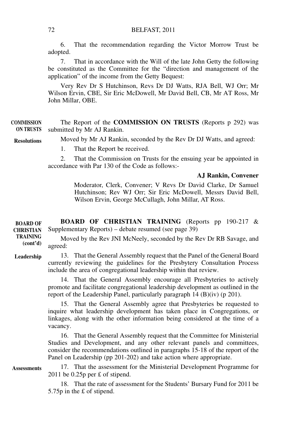6. That the recommendation regarding the Victor Morrow Trust be adopted.

7. That in accordance with the Will of the late John Getty the following be constituted as the Committee for the "direction and management of the application" of the income from the Getty Bequest:

Very Rev Dr S Hutchinson, Revs Dr DJ Watts, RJA Bell, WJ Orr; Mr Wilson Ervin, CBE, Sir Eric McDowell, Mr David Bell, CB, Mr AT Ross, Mr John Millar, OBE.

The Report of the **COMMISSION ON TRUSTS** (Reports p 292) was submitted by Mr AJ Rankin. **COMMISSION ON TRUSTS**

**Resolutions**

1. That the Report be received.

2. That the Commission on Trusts for the ensuing year be appointed in accordance with Par 130 of the Code as follows:-

Moved by Mr AJ Rankin, seconded by the Rev Dr DJ Watts, and agreed:

#### **AJ Rankin, Convener**

 Moderator, Clerk, Convener; V Revs Dr David Clarke, Dr Samuel Hutchinson; Rev WJ Orr; Sir Eric McDowell, Messrs David Bell, Wilson Ervin, George McCullagh, John Millar, AT Ross.

**BOARD OF CHRISTIAN TRAINING** (Reports pp 190-217 & Supplementary Reports) – debate resumed (see page 39) **BOARD OF CHRISTIAN** 

Moved by the Rev JNI McNeely, seconded by the Rev Dr RB Savage, and agreed: **TRAINING (cont'd)**

13. That the General Assembly request that the Panel of the General Board currently reviewing the guidelines for the Presbytery Consultation Process include the area of congregational leadership within that review. **Leadership**

> 14. That the General Assembly encourage all Presbyteries to actively promote and facilitate congregational leadership development as outlined in the report of the Leadership Panel, particularly paragraph  $14 \text{ (B)}$ (iv) (p 201).

> 15. That the General Assembly agree that Presbyteries be requested to inquire what leadership development has taken place in Congregations, or linkages, along with the other information being considered at the time of a vacancy.

> 16. That the General Assembly request that the Committee for Ministerial Studies and Development, and any other relevant panels and committees, consider the recommendations outlined in paragraphs 15-18 of the report of the Panel on Leadership (pp 201-202) and take action where appropriate.

**Assessments**

17. That the assessment for the Ministerial Development Programme for 2011 be 0.25p per £ of stipend.

18. That the rate of assessment for the Students' Bursary Fund for 2011 be 5.75p in the £ of stipend.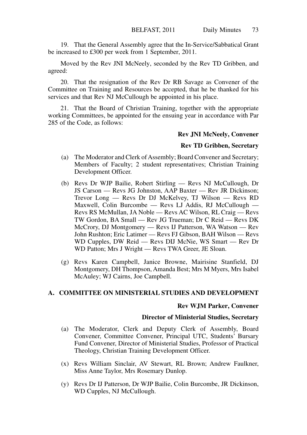19. That the General Assembly agree that the In-Service/Sabbatical Grant be increased to £300 per week from 1 September, 2011.

Moved by the Rev JNI McNeely, seconded by the Rev TD Gribben, and agreed:

20. That the resignation of the Rev Dr RB Savage as Convener of the Committee on Training and Resources be accepted, that he be thanked for his services and that Rev NJ McCullough be appointed in his place.

21. That the Board of Christian Training, together with the appropriate working Committees, be appointed for the ensuing year in accordance with Par 285 of the Code, as follows:

#### **Rev JNI McNeely, Convener**

#### **Rev TD Gribben, Secretary**

- (a) The Moderator and Clerk of Assembly; Board Convener and Secretary; Members of Faculty; 2 student representatives; Christian Training Development Officer.
- (b) Revs Dr WJP Bailie, Robert Stirling Revs NJ McCullough, Dr JS Carson — Revs JG Johnston, AAP Baxter — Rev JR Dickinson; Trevor Long — Revs Dr DJ McKelvey, TJ Wilson — Revs RD Maxwell, Colin Burcombe — Revs LJ Addis, RJ McCullough — Revs RS McMullan, JA Noble — Revs AC Wilson, RL Craig — Revs TW Gordon, BA Small — Rev JG Trueman; Dr C Reid — Revs DK McCrory, DJ Montgomery — Revs IJ Patterson, WA Watson — Rev John Rushton; Eric Latimer — Revs FJ Gibson, BAH Wilson — Revs WD Cupples, DW Reid — Revs DIJ McNie, WS Smart — Rev Dr WD Patton; Mrs J Wright — Revs TWA Greer, JE Sloan.
- (g) Revs Karen Campbell, Janice Browne, Mairisine Stanfield, DJ Montgomery, DH Thompson, Amanda Best; Mrs M Myers, Mrs Isabel McAuley; WJ Cairns, Joe Campbell.

# **A. COMMITTEE ON MINISTERIAL STUDIES AND DEVELOPMENT**

#### **Rev WJM Parker, Convener**

#### **Director of Ministerial Studies, Secretary**

- (a) The Moderator, Clerk and Deputy Clerk of Assembly, Board Convener, Committee Convener, Principal UTC, Students' Bursary Fund Convener, Director of Ministerial Studies, Professor of Practical Theology, Christian Training Development Officer.
- (x) Revs William Sinclair, AV Stewart, RL Brown; Andrew Faulkner, Miss Anne Taylor, Mrs Rosemary Dunlop.
- (y) Revs Dr IJ Patterson, Dr WJP Bailie, Colin Burcombe, JR Dickinson, WD Cupples, NJ McCullough.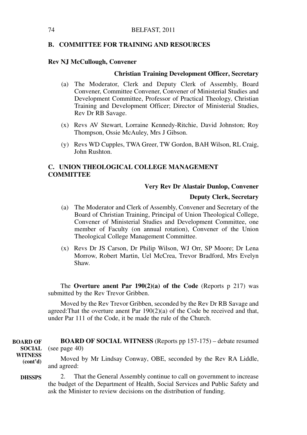#### **B. COMMITTEE FOR TRAINING AND RESOURCES**

#### **Rev NJ McCullough, Convener**

#### **Christian Training Development Officer, Secretary**

- (a) The Moderator, Clerk and Deputy Clerk of Assembly, Board Convener, Committee Convener, Convener of Ministerial Studies and Development Committee, Professor of Practical Theology, Christian Training and Development Officer; Director of Ministerial Studies, Rev Dr RB Savage.
- (x) Revs AV Stewart, Lorraine Kennedy-Ritchie, David Johnston; Roy Thompson, Ossie McAuley, Mrs J Gibson.
- (y) Revs WD Cupples, TWA Greer, TW Gordon, BAH Wilson, RL Craig, John Rushton.

# **C. UNION THEOLOGICAL COLLEGE MANAGEMENT COMMITTEE**

#### **Very Rev Dr Alastair Dunlop, Convener**

### **Deputy Clerk, Secretary**

- (a) The Moderator and Clerk of Assembly, Convener and Secretary of the Board of Christian Training, Principal of Union Theological College, Convener of Ministerial Studies and Development Committee, one member of Faculty (on annual rotation), Convener of the Union Theological College Management Committee.
- (x) Revs Dr JS Carson, Dr Philip Wilson, WJ Orr, SP Moore; Dr Lena Morrow, Robert Martin, Uel McCrea, Trevor Bradford, Mrs Evelyn Shaw.

The **Overture anent Par 190(2)(a) of the Code** (Reports p 217) was submitted by the Rev Trevor Gribben.

Moved by the Rev Trevor Gribben, seconded by the Rev Dr RB Savage and agreed:That the overture anent Par 190(2)(a) of the Code be received and that, under Par 111 of the Code, it be made the rule of the Church.

**BOARD OF SOCIAL WITNESS** (Reports pp 157-175) – debate resumed **SOCIAL** (see page 40) Moved by Mr Lindsay Conway, OBE, seconded by the Rev RA Liddle, and agreed: 2. That the General Assembly continue to call on government to increase the budget of the Department of Health, Social Services and Public Safety and **DHSSPS BOARD OF WITNESS (cont'd)**

ask the Minister to review decisions on the distribution of funding.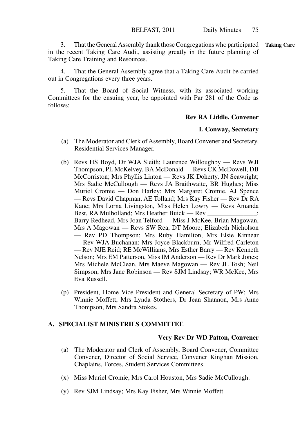3. That the General Assembly thank those Congregations who participated **Taking Care**in the recent Taking Care Audit, assisting greatly in the future planning of Taking Care Training and Resources.

4. That the General Assembly agree that a Taking Care Audit be carried out in Congregations every three years.

5. That the Board of Social Witness, with its associated working Committees for the ensuing year, be appointed with Par 281 of the Code as follows:

#### **Rev RA Liddle, Convener**

#### **L Conway, Secretary**

- (a) The Moderator and Clerk of Assembly, Board Convener and Secretary, Residential Services Manager.
- (b) Revs HS Boyd, Dr WJA Sleith; Laurence Willoughby Revs WJI Thompson, PL McKelvey, BA McDonald — Revs CK McDowell, DB McCorriston; Mrs Phyllis Linton — Revs JK Doherty, JN Seawright; Mrs Sadie McCullough — Revs JA Braithwaite, BR Hughes; Miss Muriel Cromie — Don Harley; Mrs Margaret Cromie, AJ Spence — Revs David Chapman, AE Tolland; Mrs Kay Fisher — Rev Dr RA Kane; Mrs Lorna Livingston, Miss Helen Lowry — Revs Amanda Best, RA Mulholland; Mrs Heather Buick — Rev \_\_\_\_\_\_\_\_\_\_; Barry Redhead, Mrs Joan Telford — Miss J McKee, Brian Magowan, Mrs A Magowan — Revs SW Rea, DT Moore; Elizabeth Nicholson — Rev PD Thompson; Mrs Ruby Hamilton, Mrs Elsie Kinnear — Rev WJA Buchanan; Mrs Joyce Blackburn, Mr Wilfred Carleton — Rev NJE Reid; RE McWilliams, Mrs Esther Barry — Rev Kenneth Nelson; Mrs EM Patterson, Miss IM Anderson — Rev Dr Mark Jones; Mrs Michele McClean, Mrs Maeve Magowan — Rev JL Tosh; Neil Simpson, Mrs Jane Robinson — Rev SJM Lindsay; WR McKee, Mrs Eva Russell.
- (p) President, Home Vice President and General Secretary of PW; Mrs Winnie Moffett, Mrs Lynda Stothers, Dr Jean Shannon, Mrs Anne Thompson, Mrs Sandra Stokes.

# **A. SPECIALIST MINISTRIES COMMITTEE**

#### **Very Rev Dr WD Patton, Convener**

- (a) The Moderator and Clerk of Assembly, Board Convener, Committee Convener, Director of Social Service, Convener Kinghan Mission, Chaplains, Forces, Student Services Committees.
- (x) Miss Muriel Cromie, Mrs Carol Houston, Mrs Sadie McCullough.
- (y) Rev SJM Lindsay; Mrs Kay Fisher, Mrs Winnie Moffett.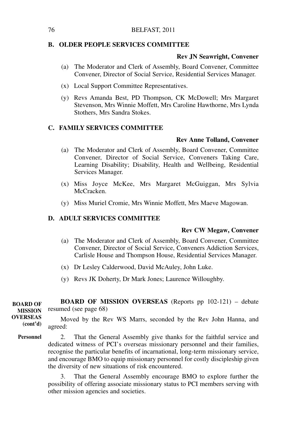#### 76 BELFAST, 2011

#### **B. OLDER PEOPLE SERVICES COMMITTEE**

#### **Rev JN Seawright, Convener**

- (a) The Moderator and Clerk of Assembly, Board Convener, Committee Convener, Director of Social Service, Residential Services Manager.
- (x) Local Support Committee Representatives.
- (y) Revs Amanda Best, PD Thompson, CK McDowell; Mrs Margaret Stevenson, Mrs Winnie Moffett, Mrs Caroline Hawthorne, Mrs Lynda Stothers, Mrs Sandra Stokes.

#### **C. FAMILY SERVICES COMMITTEE**

#### **Rev Anne Tolland, Convener**

- (a) The Moderator and Clerk of Assembly, Board Convener, Committee Convener, Director of Social Service, Conveners Taking Care, Learning Disability; Disability, Health and Wellbeing, Residential Services Manager.
- (x) Miss Joyce McKee, Mrs Margaret McGuiggan, Mrs Sylvia McCracken.
- (y) Miss Muriel Cromie, Mrs Winnie Moffett, Mrs Maeve Magowan.

#### **D. ADULT SERVICES COMMITTEE**

#### **Rev CW Megaw, Convener**

- (a) The Moderator and Clerk of Assembly, Board Convener, Committee Convener, Director of Social Service, Conveners Addiction Services, Carlisle House and Thompson House, Residential Services Manager.
- (x) Dr Lesley Calderwood, David McAuley, John Luke.
- (y) Revs JK Doherty, Dr Mark Jones; Laurence Willoughby.

**BOARD OF MISSION OVERSEAS** (Reports pp 102-121) – debate resumed (see page 68) Moved by the Rev WS Marrs, seconded by the Rev John Hanna, and agreed: 2. That the General Assembly give thanks for the faithful service and **BOARD OF MISSION OVERSEAS (cont'd) Personnel**

dedicated witness of PCI's overseas missionary personnel and their families, recognise the particular benefits of incarnational, long-term missionary service, and encourage BMO to equip missionary personnel for costly discipleship given the diversity of new situations of risk encountered.

> 3. That the General Assembly encourage BMO to explore further the possibility of offering associate missionary status to PCI members serving with other mission agencies and societies.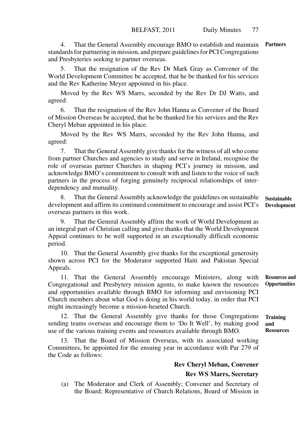4. That the General Assembly encourage BMO to establish and maintain **Partners** standards for partnering in mission, and prepare guidelines for PCI Congregations and Presbyteries seeking to partner overseas.

5. That the resignation of the Rev Dr Mark Gray as Convener of the World Development Committee be accepted, that he be thanked for his services and the Rev Katherine Meyer appointed in his place.

Moved by the Rev WS Marrs, seconded by the Rev Dr DJ Watts, and agreed:

6. That the resignation of the Rev John Hanna as Convener of the Board of Mission Overseas be accepted, that he be thanked for his services and the Rev Cheryl Meban appointed in his place.

Moved by the Rev WS Marrs, seconded by the Rev John Hanna, and agreed:

7. That the General Assembly give thanks for the witness of all who come from partner Churches and agencies to study and serve in Ireland, recognise the role of overseas partner Churches in shaping PCI's journey in mission, and acknowledge BMO's commitment to consult with and listen to the voice of such partners in the process of forging genuinely reciprocal relationships of interdependency and mutuality.

8. That the General Assembly acknowledge the guidelines on sustainable development and affirm its continued commitment to encourage and assist PCI's overseas partners in this work. **Sustainable** 

9. That the General Assembly affirm the work of World Development as an integral part of Christian calling and give thanks that the World Development Appeal continues to be well supported in an exceptionally difficult economic period.

10. That the General Assembly give thanks for the exceptional generosity shown across PCI for the Moderator supported Haiti and Pakistan Special Appeals.

11. That the General Assembly encourage Ministers, along with Congregational and Presbytery mission agents, to make known the resources and opportunities available through BMO for informing and envisioning PCI Church members about what God is doing in his world today, in order that PCI might increasingly become a mission-hearted Church. **Resources and Opportunities**

12. That the General Assembly give thanks for those Congregations sending teams overseas and encourage them to 'Do It Well', by making good use of the various training events and resources available through BMO. **and** 

13. That the Board of Mission Overseas, with its associated working Committees, be appointed for the ensuing year in accordance with Par 279 of the Code as follows:

# **Rev Cheryl Meban, Convener Rev WS Marrs, Secretary**

(a) The Moderator and Clerk of Assembly; Convener and Secretary of the Board; Representative of Church Relations, Board of Mission in

**Development**

**Training Resources**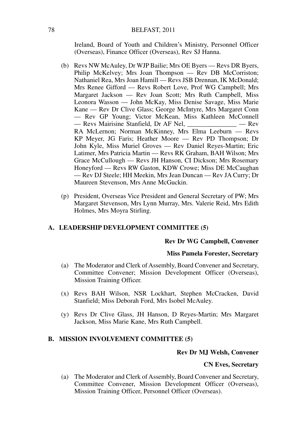Ireland, Board of Youth and Children's Ministry, Personnel Officer (Overseas), Finance Officer (Overseas), Rev SJ Hanna.

- (b) Revs NW McAuley, Dr WJP Bailie; Mrs OE Byers Revs DR Byers, Philip McKelvey; Mrs Joan Thompson — Rev DB McCorriston; Nathaniel Rea, Mrs Joan Hamill — Revs JSB Drennan, IK McDonald; Mrs Renee Gifford — Revs Robert Love, Prof WG Campbell; Mrs Margaret Jackson — Rev Joan Scott; Mrs Ruth Campbell, Miss Leonora Wasson — John McKay, Miss Denise Savage, Miss Marie Kane — Rev Dr Clive Glass; George McIntyre, Mrs Margaret Conn — Rev GP Young; Victor McKean, Miss Kathleen McConnell — Revs Mairisine Stanfield, Dr AF Nel, \_\_\_\_\_\_\_\_\_\_\_\_\_\_\_ — Rev RA McLernon; Norman McKinney, Mrs Elma Leeburn — Revs KP Meyer, JG Faris; Heather Moore — Rev PD Thompson; Dr John Kyle, Miss Muriel Groves — Rev Daniel Reyes-Martin; Eric Latimer, Mrs Patricia Martin — Revs RK Graham, BAH Wilson; Mrs Grace McCullough — Revs JH Hanson, CI Dickson; Mrs Rosemary Honeyford — Revs RW Gaston, KDW Crowe; Miss DE McCaughan — Rev DJ Steele; HH Meekin, Mrs Jean Duncan — Rev JA Curry; Dr Maureen Stevenson, Mrs Anne McGuckin.
- (p) President, Overseas Vice President and General Secretary of PW; Mrs Margaret Stevenson, Mrs Lynn Murray, Mrs. Valerie Reid, Mrs Edith Holmes, Mrs Moyra Stirling.

#### **A. LEADERSHIP DEVELOPMENT COMMITTEE (5)**

#### **Rev Dr WG Campbell, Convener**

#### **Miss Pamela Forester, Secretary**

- (a) The Moderator and Clerk of Assembly, Board Convener and Secretary, Committee Convener; Mission Development Officer (Overseas), Mission Training Officer.
- (x) Revs BAH Wilson, NSR Lockhart, Stephen McCracken, David Stanfield; Miss Deborah Ford, Mrs Isobel McAuley.
- (y) Revs Dr Clive Glass, JH Hanson, D Reyes-Martin; Mrs Margaret Jackson, Miss Marie Kane, Mrs Ruth Campbell.

#### **B. MISSION INVOLVEMENT COMMITTEE (5)**

#### **Rev Dr MJ Welsh, Convener**

#### **CN Eves, Secretary**

(a) The Moderator and Clerk of Assembly, Board Convener and Secretary, Committee Convener, Mission Development Officer (Overseas), Mission Training Officer, Personnel Officer (Overseas).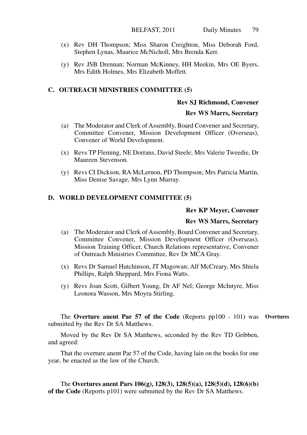- (x) Rev DH Thompson; Miss Sharon Creighton, Miss Deborah Ford, Stephen Lynas, Maurice McNicholl, Mrs Brenda Kerr.
- (y) Rev JSB Drennan; Norman McKinney, HH Meekin, Mrs OE Byers, Mrs Edith Holmes, Mrs Elizabeth Moffett.

#### **C. OUTREACH MINISTRIES COMMITTEE (5)**

#### **Rev SJ Richmond, Convener**

#### **Rev WS Marrs, Secretary**

- (a) The Moderator and Clerk of Assembly, Board Convener and Secretary, Committee Convener, Mission Development Officer (Overseas), Convener of World Development.
- (x) Revs TP Fleming, NE Dorrans, David Steele; Mrs Valerie Tweedie, Dr Maureen Stevenson.
- (y) Revs CI Dickson, RA McLernon, PD Thompson; Mrs Patricia Martin, Miss Denise Savage, Mrs Lynn Murray.

# **D. WORLD DEVELOPMENT COMMITTEE (5)**

#### **Rev KP Meyer, Convener**

#### **Rev WS Marrs, Secretary**

- (a) The Moderator and Clerk of Assembly, Board Convener and Secretary, Committee Convener, Mission Development Officer (Overseas), Mission Training Officer, Church Relations representative, Convener of Outreach Ministries Committee, Rev Dr MCA Gray.
- (x) Revs Dr Samuel Hutchinson, JT Magowan; Alf McCreary, Mrs Shiela Phillips, Ralph Sheppard, Mrs Fiona Watts.
- (y) Revs Joan Scott, Gilbert Young, Dr AF Nel; George McIntyre, Miss Leonora Wasson, Mrs Moyra Stirling.

The **Overture anent Par 57 of the Code** (Reports pp100 - 101) was **Overtures**submitted by the Rev Dr SA Matthews.

Moved by the Rev Dr SA Matthews, seconded by the Rev TD Gribben, and agreed:

That the overture anent Par 57 of the Code, having lain on the books for one year, be enacted as the law of the Church.

The **Overtures anent Pars 106(g), 128(3), 128(5)(a), 128(5)(d), 128(6)(b) of the Code** (Reports p101) were submitted by the Rev Dr SA Matthews.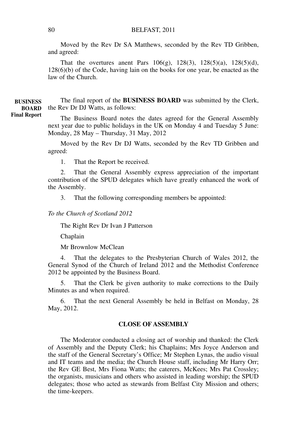#### 80 BELFAST, 2011

Moved by the Rev Dr SA Matthews, seconded by the Rev TD Gribben, and agreed:

That the overtures anent Pars 106(g), 128(3), 128(5)(a), 128(5)(d), 128(6)(b) of the Code, having lain on the books for one year, be enacted as the law of the Church.

The final report of the **BUSINESS BOARD** was submitted by the Clerk, **BOARD** the Rev Dr DJ Watts, as follows:

> The Business Board notes the dates agreed for the General Assembly next year due to public holidays in the UK on Monday 4 and Tuesday 5 June: Monday, 28 May – Thursday, 31 May, 2012

> Moved by the Rev Dr DJ Watts, seconded by the Rev TD Gribben and agreed:

1. That the Report be received.

2. That the General Assembly express appreciation of the important contribution of the SPUD delegates which have greatly enhanced the work of the Assembly.

3. That the following corresponding members be appointed:

*To the Church of Scotland 2012*

The Right Rev Dr Ivan J Patterson

Chaplain

Mr Brownlow McClean

4. That the delegates to the Presbyterian Church of Wales 2012, the General Synod of the Church of Ireland 2012 and the Methodist Conference 2012 be appointed by the Business Board.

5. That the Clerk be given authority to make corrections to the Daily Minutes as and when required.

6. That the next General Assembly be held in Belfast on Monday, 28 May, 2012.

# **CLOSE OF ASSEMBLY**

The Moderator conducted a closing act of worship and thanked: the Clerk of Assembly and the Deputy Clerk; his Chaplains; Mrs Joyce Anderson and the staff of the General Secretary's Office; Mr Stephen Lynas, the audio visual and IT teams and the media; the Church House staff, including Mr Harry Orr; the Rev GE Best, Mrs Fiona Watts; the caterers, McKees; Mrs Pat Crossley; the organists, musicians and others who assisted in leading worship; the SPUD delegates; those who acted as stewards from Belfast City Mission and others; the time-keepers.

**BUSINESS Final Report**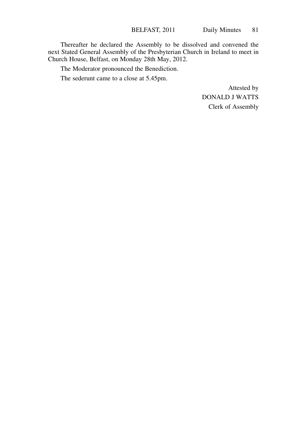Thereafter he declared the Assembly to be dissolved and convened the next Stated General Assembly of the Presbyterian Church in Ireland to meet in Church House, Belfast, on Monday 28th May, 2012.

The Moderator pronounced the Benediction.

The sederunt came to a close at 5.45pm.

Attested by DONALD J WATTS Clerk of Assembly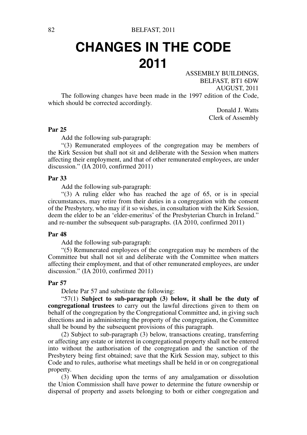# **CHANGES IN THE CODE 2011**

ASSEMBLY BUILDINGS, BELFAST, BT1 6DW AUGUST, 2011

The following changes have been made in the 1997 edition of the Code, which should be corrected accordingly.

Donald J. Watts Clerk of Assembly

#### **Par 25**

Add the following sub-paragraph:

"(3) Remunerated employees of the congregation may be members of the Kirk Session but shall not sit and deliberate with the Session when matters affecting their employment, and that of other remunerated employees, are under discussion." (IA 2010, confirmed 2011)

#### **Par 33**

Add the following sub-paragraph:

"(3) A ruling elder who has reached the age of 65, or is in special circumstances, may retire from their duties in a congregation with the consent of the Presbytery, who may if it so wishes, in consultation with the Kirk Session, deem the elder to be an 'elder-emeritus' of the Presbyterian Church in Ireland." and re-number the subsequent sub-paragraphs. (IA 2010, confirmed 2011)

#### **Par 48**

Add the following sub-paragraph:

"(5) Remunerated employees of the congregation may be members of the Committee but shall not sit and deliberate with the Committee when matters affecting their employment, and that of other remunerated employees, are under discussion." (IA 2010, confirmed 2011)

#### **Par 57**

Delete Par 57 and substitute the following:

"57(1) **Subject to sub-paragraph (3) below, it shall be the duty of congregational trustees** to carry out the lawful directions given to them on behalf of the congregation by the Congregational Committee and, in giving such directions and in administering the property of the congregation, the Committee shall be bound by the subsequent provisions of this paragraph.

(2) Subject to sub-paragraph (3) below, transactions creating, transferring or affecting any estate or interest in congregational property shall not be entered into without the authorisation of the congregation and the sanction of the Presbytery being first obtained; save that the Kirk Session may, subject to this Code and to rules, authorise what meetings shall be held in or on congregational property.

(3) When deciding upon the terms of any amalgamation or dissolution the Union Commission shall have power to determine the future ownership or dispersal of property and assets belonging to both or either congregation and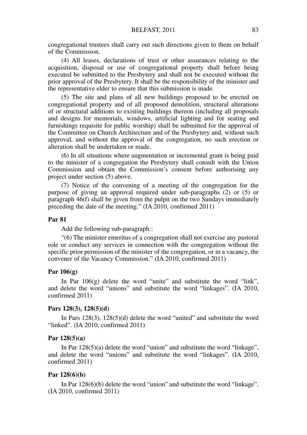congregational trustees shall carry out such directions given to them on behalf of the Commission.

(4) All leases, declarations of trust or other assurances relating to the acquisition, disposal or use of congregational property shall before being executed be submitted to the Presbytery and shall not be executed without the prior approval of the Presbytery. It shall be the responsibility of the minister and the representative elder to ensure that this submission is made.

(5) The site and plans of all new buildings proposed to be erected on congregational property and of all proposed demolition, structural alterations of or structural additions to existing buildings thereon (including all proposals and designs for memorials, windows, artificial lighting and for seating and furnishings requisite for public worship) shall be submitted for the approval of the Committee on Church Architecture and of the Presbytery and, without such approval, and without the approval of the congregation, no such erection or alteration shall be undertaken or made.

(6) In all situations where augmentation or incremental grant is being paid to the minister of a congregation the Presbytery shall consult with the Union Commission and obtain the Commission's consent before authorising any project under section (5) above.

(7) Notice of the convening of a meeting of the congregation for the purpose of giving an approval required under sub-paragraphs (2) or (5) or paragraph 46(f) shall be given from the pulpit on the two Sundays immediately preceding the date of the meeting." (IA 2010, confirmed 2011)

#### **Par 81**

Add the following sub-paragraph::

"(6) The minister emeritus of a congregation shall not exercise any pastoral role or conduct any services in connection with the congregation without the specific prior permission of the minister of the congregation, or in a vacancy, the convener of the Vacancy Commission." (IA 2010, confirmed 2011)

# **Par 106(g)**

In Par  $106(g)$  delete the word "unite" and substitute the word "link", and delete the word "unions" and substitute the word "linkages". (IA 2010, confirmed 2011)

#### **Pars 128(3), 128(5)(d)**

In Pars 128(3), 128(5)(d) delete the word "united" and substitute the word "linked". (IA 2010, confirmed 2011)

#### **Par 128(5)(a)**

In Par 128(5)(a) delete the word "union" and substitute the word "linkage", and delete the word "unions" and substitute the word "linkages". (IA 2010, confirmed 2011)

#### **Par 128(6)(b)**

In Par 128(6)(b) delete the word "union" and substitute the word "linkage". (IA 2010, confirmed 2011)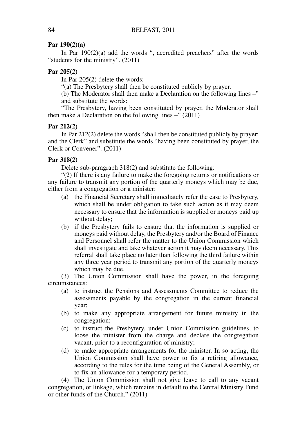### **Par 190(2)(a)**

In Par  $190(2)(a)$  add the words ", accredited preachers" after the words "students for the ministry". (2011)

# **Par 205(2)**

In Par 205(2) delete the words:

"(a) The Presbytery shall then be constituted publicly by prayer.

(b) The Moderator shall then make a Declaration on the following lines –" and substitute the words:

"The Presbytery, having been constituted by prayer, the Moderator shall then make a Declaration on the following lines  $-$ " (2011)

#### **Par 212(2)**

In Par 212(2) delete the words "shall then be constituted publicly by prayer; and the Clerk" and substitute the words "having been constituted by prayer, the Clerk or Convener". (2011)

#### **Par 318(2)**

Delete sub-paragraph 318(2) and substitute the following:

"(2) If there is any failure to make the foregoing returns or notifications or any failure to transmit any portion of the quarterly moneys which may be due, either from a congregation or a minister:

- (a) the Financial Secretary shall immediately refer the case to Presbytery, which shall be under obligation to take such action as it may deem necessary to ensure that the information is supplied or moneys paid up without delay;
- (b) if the Presbytery fails to ensure that the information is supplied or moneys paid without delay, the Presbytery and/or the Board of Finance and Personnel shall refer the matter to the Union Commission which shall investigate and take whatever action it may deem necessary. This referral shall take place no later than following the third failure within any three year period to transmit any portion of the quarterly moneys which may be due.

(3) The Union Commission shall have the power, in the foregoing circumstances:

- (a) to instruct the Pensions and Assessments Committee to reduce the assessments payable by the congregation in the current financial year;
- (b) to make any appropriate arrangement for future ministry in the congregation;
- (c) to instruct the Presbytery, under Union Commission guidelines, to loose the minister from the charge and declare the congregation vacant, prior to a reconfiguration of ministry;
- (d) to make appropriate arrangements for the minister. In so acting, the Union Commission shall have power to fix a retiring allowance, according to the rules for the time being of the General Assembly, or to fix an allowance for a temporary period.

(4) The Union Commission shall not give leave to call to any vacant congregation, or linkage, which remains in default to the Central Ministry Fund or other funds of the Church." (2011)